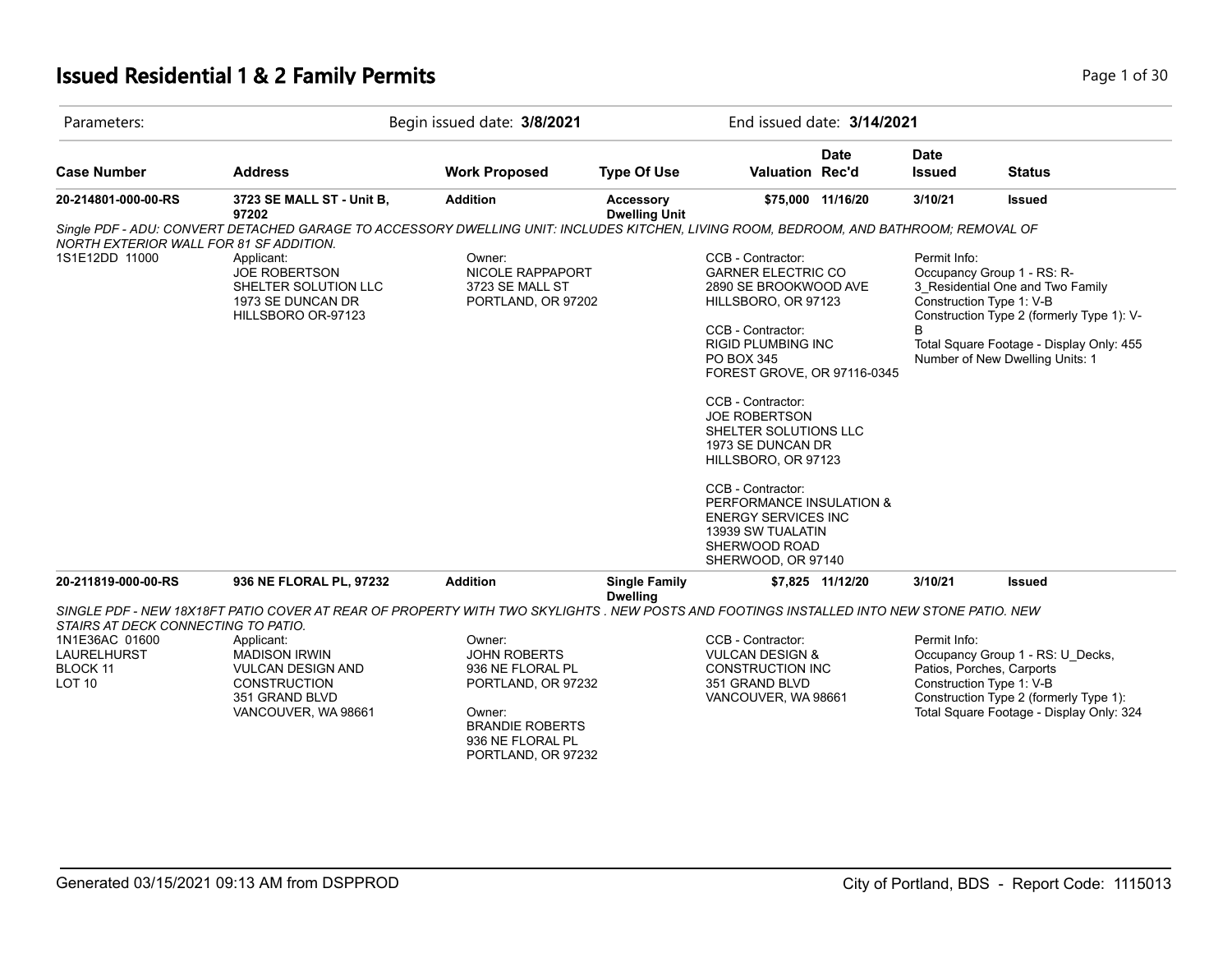#### **Issued Residential 1 & 2 Family Permits Page 1 of 30 Page 1 of 30**

| Parameters:                                                                                              |                                                                                                                                        | Begin issued date: 3/8/2021                                                                                                                           |                                                                                                                                                                                                                                                                                    | End issued date: 3/14/2021                                                                                                                                                                                                                                                                                                                                                                                                    |                   |                              |                                                                                                                                                                                                                        |
|----------------------------------------------------------------------------------------------------------|----------------------------------------------------------------------------------------------------------------------------------------|-------------------------------------------------------------------------------------------------------------------------------------------------------|------------------------------------------------------------------------------------------------------------------------------------------------------------------------------------------------------------------------------------------------------------------------------------|-------------------------------------------------------------------------------------------------------------------------------------------------------------------------------------------------------------------------------------------------------------------------------------------------------------------------------------------------------------------------------------------------------------------------------|-------------------|------------------------------|------------------------------------------------------------------------------------------------------------------------------------------------------------------------------------------------------------------------|
| <b>Case Number</b>                                                                                       | <b>Address</b>                                                                                                                         | <b>Work Proposed</b>                                                                                                                                  | <b>Type Of Use</b>                                                                                                                                                                                                                                                                 | Valuation Rec'd                                                                                                                                                                                                                                                                                                                                                                                                               | <b>Date</b>       | <b>Date</b><br><b>Issued</b> | <b>Status</b>                                                                                                                                                                                                          |
| 20-214801-000-00-RS                                                                                      | 3723 SE MALL ST - Unit B,<br>97202                                                                                                     | <b>Addition</b>                                                                                                                                       | Accessory<br><b>Dwelling Unit</b>                                                                                                                                                                                                                                                  |                                                                                                                                                                                                                                                                                                                                                                                                                               | \$75,000 11/16/20 | 3/10/21                      | <b>Issued</b>                                                                                                                                                                                                          |
| NORTH EXTERIOR WALL FOR 81 SF ADDITION.                                                                  | Single PDF - ADU: CONVERT DETACHED GARAGE TO ACCESSORY DWELLING UNIT: INCLUDES KITCHEN, LIVING ROOM, BEDROOM, AND BATHROOM; REMOVAL OF |                                                                                                                                                       |                                                                                                                                                                                                                                                                                    |                                                                                                                                                                                                                                                                                                                                                                                                                               |                   |                              |                                                                                                                                                                                                                        |
| 1S1E12DD 11000                                                                                           | Applicant:<br><b>JOE ROBERTSON</b><br>SHELTER SOLUTION LLC<br>1973 SE DUNCAN DR<br>HILLSBORO OR-97123                                  | Owner:<br>NICOLE RAPPAPORT<br>3723 SE MALL ST<br>PORTLAND, OR 97202                                                                                   |                                                                                                                                                                                                                                                                                    | CCB - Contractor:<br><b>GARNER ELECTRIC CO</b><br>2890 SE BROOKWOOD AVE<br>HILLSBORO, OR 97123<br>CCB - Contractor:<br>RIGID PLUMBING INC<br>PO BOX 345<br>FOREST GROVE, OR 97116-0345<br>CCB - Contractor:<br><b>JOE ROBERTSON</b><br>SHELTER SOLUTIONS LLC<br>1973 SE DUNCAN DR<br>HILLSBORO, OR 97123<br>CCB - Contractor:<br>PERFORMANCE INSULATION &<br><b>ENERGY SERVICES INC</b><br>13939 SW TUALATIN<br>SHERWOOD ROAD |                   | Permit Info:                 | Occupancy Group 1 - RS: R-<br>3 Residential One and Two Family<br>Construction Type 1: V-B<br>Construction Type 2 (formerly Type 1): V-<br>Total Square Footage - Display Only: 455<br>Number of New Dwelling Units: 1 |
| 20-211819-000-00-RS                                                                                      | 936 NE FLORAL PL, 97232                                                                                                                | <b>Addition</b>                                                                                                                                       | <b>Single Family</b>                                                                                                                                                                                                                                                               | SHERWOOD, OR 97140                                                                                                                                                                                                                                                                                                                                                                                                            | \$7,825 11/12/20  | 3/10/21                      | <b>Issued</b>                                                                                                                                                                                                          |
| STAIRS AT DECK CONNECTING TO PATIO.<br>1N1E36AC 01600<br>LAURELHURST<br><b>BLOCK 11</b><br><b>LOT 10</b> | Applicant:<br><b>MADISON IRWIN</b><br><b>VULCAN DESIGN AND</b><br><b>CONSTRUCTION</b><br>351 GRAND BLVD<br>VANCOUVER, WA 98661         | Owner:<br><b>JOHN ROBERTS</b><br>936 NE FLORAL PL<br>PORTLAND, OR 97232<br>Owner:<br><b>BRANDIE ROBERTS</b><br>936 NE FLORAL PL<br>PORTLAND, OR 97232 | <b>Dwelling</b><br>SINGLE PDF - NEW 18X18FT PATIO COVER AT REAR OF PROPERTY WITH TWO SKYLIGHTS . NEW POSTS AND FOOTINGS INSTALLED INTO NEW STONE PATIO. NEW<br>CCB - Contractor:<br><b>VULCAN DESIGN &amp;</b><br><b>CONSTRUCTION INC</b><br>351 GRAND BLVD<br>VANCOUVER, WA 98661 |                                                                                                                                                                                                                                                                                                                                                                                                                               |                   | Permit Info:                 | Occupancy Group 1 - RS: U_Decks,<br>Patios, Porches, Carports<br>Construction Type 1: V-B<br>Construction Type 2 (formerly Type 1):<br>Total Square Footage - Display Only: 324                                        |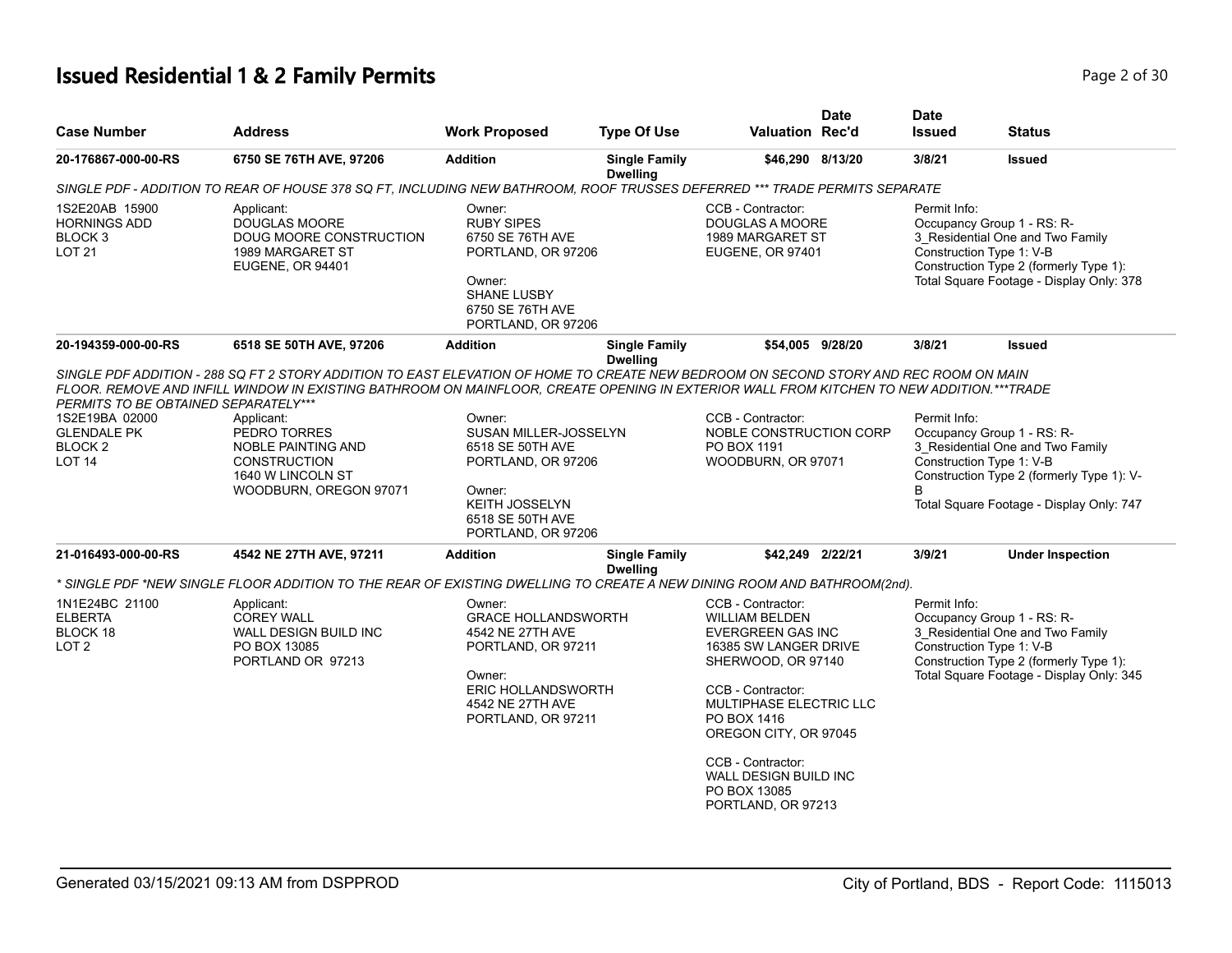## **Issued Residential 1 & 2 Family Permits Page 1 and 2011 12 July 120 2008 2 of 30**

| <b>Case Number</b>                                                                                                      | <b>Address</b>                                                                                                                                                                                                                                                                                                                                                      | <b>Work Proposed</b>                                                                                                                                            | <b>Type Of Use</b>                      | <b>Valuation Rec'd</b>                                                                                                                                                                                                                                                                            | <b>Date</b> | Date<br><b>Issued</b> | <b>Status</b>                                                                                                                                                                       |
|-------------------------------------------------------------------------------------------------------------------------|---------------------------------------------------------------------------------------------------------------------------------------------------------------------------------------------------------------------------------------------------------------------------------------------------------------------------------------------------------------------|-----------------------------------------------------------------------------------------------------------------------------------------------------------------|-----------------------------------------|---------------------------------------------------------------------------------------------------------------------------------------------------------------------------------------------------------------------------------------------------------------------------------------------------|-------------|-----------------------|-------------------------------------------------------------------------------------------------------------------------------------------------------------------------------------|
| 20-176867-000-00-RS                                                                                                     | 6750 SE 76TH AVE, 97206                                                                                                                                                                                                                                                                                                                                             | <b>Addition</b>                                                                                                                                                 | <b>Single Family</b><br><b>Dwelling</b> | \$46,290 8/13/20                                                                                                                                                                                                                                                                                  |             | 3/8/21                | <b>Issued</b>                                                                                                                                                                       |
|                                                                                                                         | SINGLE PDF - ADDITION TO REAR OF HOUSE 378 SQ FT, INCLUDING NEW BATHROOM, ROOF TRUSSES DEFERRED *** TRADE PERMITS SEPARATE                                                                                                                                                                                                                                          |                                                                                                                                                                 |                                         |                                                                                                                                                                                                                                                                                                   |             |                       |                                                                                                                                                                                     |
| 1S2E20AB 15900<br><b>HORNINGS ADD</b><br>BLOCK 3<br><b>LOT 21</b>                                                       | CCB - Contractor:<br>Applicant:<br>Owner:<br><b>DOUGLAS MOORE</b><br><b>RUBY SIPES</b><br>DOUGLAS A MOORE<br>DOUG MOORE CONSTRUCTION<br>6750 SE 76TH AVE<br>1989 MARGARET ST<br>1989 MARGARET ST<br>PORTLAND, OR 97206<br>EUGENE, OR 97401<br><b>EUGENE, OR 94401</b><br>Owner:<br><b>SHANE LUSBY</b><br>6750 SE 76TH AVE<br>PORTLAND, OR 97206<br>\$54,005 9/28/20 |                                                                                                                                                                 |                                         | Permit Info:<br>Occupancy Group 1 - RS: R-<br>3 Residential One and Two Family<br>Construction Type 1: V-B<br>Construction Type 2 (formerly Type 1):<br>Total Square Footage - Display Only: 378                                                                                                  |             |                       |                                                                                                                                                                                     |
| 20-194359-000-00-RS                                                                                                     | 6518 SE 50TH AVE, 97206                                                                                                                                                                                                                                                                                                                                             | <b>Addition</b>                                                                                                                                                 | <b>Single Family</b>                    |                                                                                                                                                                                                                                                                                                   |             | 3/8/21                | <b>Issued</b>                                                                                                                                                                       |
| PERMITS TO BE OBTAINED SEPARATELY***<br>1S2E19BA 02000<br><b>GLENDALE PK</b><br>BLOCK <sub>2</sub><br>LOT <sub>14</sub> | FLOOR. REMOVE AND INFILL WINDOW IN EXISTING BATHROOM ON MAINFLOOR. CREATE OPENING IN EXTERIOR WALL FROM KITCHEN TO NEW ADDITION.***TRADE<br>Applicant:<br>PEDRO TORRES<br>NOBLE PAINTING AND<br><b>CONSTRUCTION</b><br>1640 W LINCOLN ST<br>WOODBURN, OREGON 97071                                                                                                  | Owner:<br><b>SUSAN MILLER-JOSSELYN</b><br>6518 SE 50TH AVE<br>PORTLAND, OR 97206<br>Owner:<br><b>KEITH JOSSELYN</b><br>6518 SE 50TH AVE<br>PORTLAND, OR 97206   |                                         | CCB - Contractor:<br>NOBLE CONSTRUCTION CORP<br>PO BOX 1191<br>WOODBURN, OR 97071                                                                                                                                                                                                                 |             | Permit Info:<br>B     | Occupancy Group 1 - RS: R-<br>3_Residential One and Two Family<br>Construction Type 1: V-B<br>Construction Type 2 (formerly Type 1): V-<br>Total Square Footage - Display Only: 747 |
| 21-016493-000-00-RS                                                                                                     | 4542 NE 27TH AVE, 97211                                                                                                                                                                                                                                                                                                                                             | <b>Addition</b>                                                                                                                                                 | <b>Single Family</b><br><b>Dwelling</b> | \$42,249 2/22/21                                                                                                                                                                                                                                                                                  |             | 3/9/21                | <b>Under Inspection</b>                                                                                                                                                             |
|                                                                                                                         | * SINGLE PDF *NEW SINGLE FLOOR ADDITION TO THE REAR OF EXISTING DWELLING TO CREATE A NEW DINING ROOM AND BATHROOM(2nd).                                                                                                                                                                                                                                             |                                                                                                                                                                 |                                         |                                                                                                                                                                                                                                                                                                   |             |                       |                                                                                                                                                                                     |
| 1N1E24BC 21100<br><b>ELBERTA</b><br>BLOCK 18<br>LOT <sub>2</sub>                                                        | Applicant:<br><b>COREY WALL</b><br>WALL DESIGN BUILD INC<br>PO BOX 13085<br>PORTLAND OR 97213                                                                                                                                                                                                                                                                       | Owner:<br><b>GRACE HOLLANDSWORTH</b><br>4542 NE 27TH AVE<br>PORTLAND, OR 97211<br>Owner:<br><b>ERIC HOLLANDSWORTH</b><br>4542 NE 27TH AVE<br>PORTLAND, OR 97211 |                                         | CCB - Contractor:<br><b>WILLIAM BELDEN</b><br><b>EVERGREEN GAS INC</b><br>16385 SW LANGER DRIVE<br>SHERWOOD, OR 97140<br>CCB - Contractor:<br>MULTIPHASE ELECTRIC LLC<br>PO BOX 1416<br>OREGON CITY, OR 97045<br>CCB - Contractor:<br>WALL DESIGN BUILD INC<br>PO BOX 13085<br>PORTLAND, OR 97213 |             | Permit Info:          | Occupancy Group 1 - RS: R-<br>3 Residential One and Two Family<br>Construction Type 1: V-B<br>Construction Type 2 (formerly Type 1):<br>Total Square Footage - Display Only: 345    |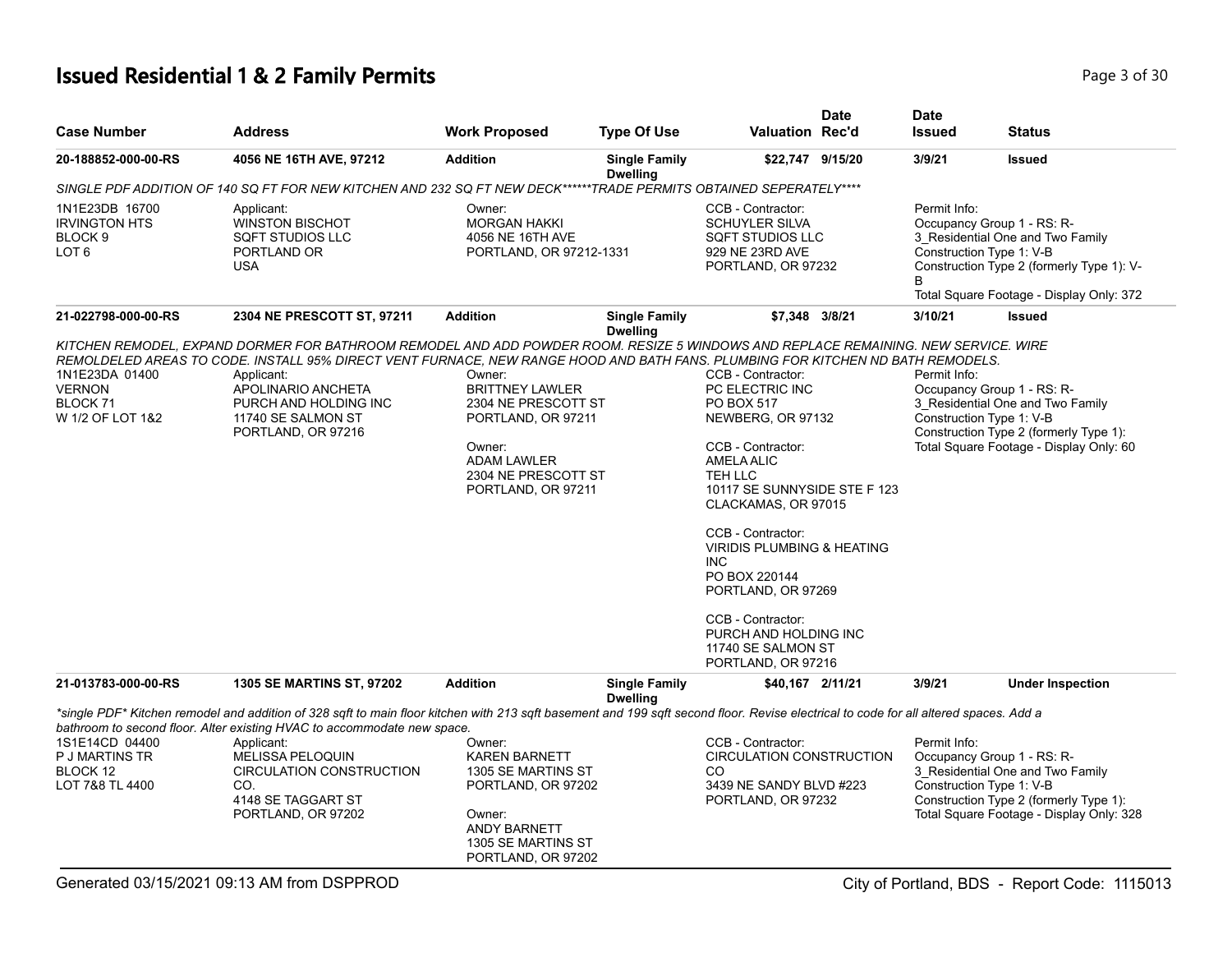#### **Issued Residential 1 & 2 Family Permits Page 1 and 20 July 10 and 20 July 10 and 20 July 10 and 20 Page 3 of 30**

| <b>Case Number</b>                                                         | <b>Address</b>                                                                                                                                                                                                                                                                                                                                                                           | <b>Work Proposed</b>                                                                                                                                       | <b>Type Of Use</b>                      | <b>Valuation Rec'd</b>                                                                                                                                                                                                                                                                                                                                                                           | <b>Date</b> | <b>Date</b><br><b>Issued</b>             | <b>Status</b>                                                                                                                                           |
|----------------------------------------------------------------------------|------------------------------------------------------------------------------------------------------------------------------------------------------------------------------------------------------------------------------------------------------------------------------------------------------------------------------------------------------------------------------------------|------------------------------------------------------------------------------------------------------------------------------------------------------------|-----------------------------------------|--------------------------------------------------------------------------------------------------------------------------------------------------------------------------------------------------------------------------------------------------------------------------------------------------------------------------------------------------------------------------------------------------|-------------|------------------------------------------|---------------------------------------------------------------------------------------------------------------------------------------------------------|
| 20-188852-000-00-RS                                                        | 4056 NE 16TH AVE, 97212                                                                                                                                                                                                                                                                                                                                                                  | <b>Addition</b>                                                                                                                                            | <b>Single Family</b><br><b>Dwelling</b> | \$22,747 9/15/20                                                                                                                                                                                                                                                                                                                                                                                 |             | 3/9/21                                   | <b>Issued</b>                                                                                                                                           |
|                                                                            | SINGLE PDF ADDITION OF 140 SQ FT FOR NEW KITCHEN AND 232 SQ FT NEW DECK******TRADE PERMITS OBTAINED SEPERATELY****                                                                                                                                                                                                                                                                       |                                                                                                                                                            |                                         |                                                                                                                                                                                                                                                                                                                                                                                                  |             |                                          |                                                                                                                                                         |
| 1N1E23DB 16700<br><b>IRVINGTON HTS</b><br>BLOCK 9<br>LOT <sub>6</sub>      | Applicant:<br><b>WINSTON BISCHOT</b><br>SQFT STUDIOS LLC<br>PORTLAND OR<br><b>USA</b>                                                                                                                                                                                                                                                                                                    | Owner:<br><b>MORGAN HAKKI</b><br>4056 NE 16TH AVE<br>PORTLAND, OR 97212-1331                                                                               |                                         | CCB - Contractor:<br><b>SCHUYLER SILVA</b><br>SQFT STUDIOS LLC<br>929 NE 23RD AVE<br>PORTLAND, OR 97232                                                                                                                                                                                                                                                                                          |             | Permit Info:<br>Construction Type 1: V-B | Occupancy Group 1 - RS: R-<br>3_Residential One and Two Family<br>Construction Type 2 (formerly Type 1): V-<br>Total Square Footage - Display Only: 372 |
| 21-022798-000-00-RS                                                        | 2304 NE PRESCOTT ST, 97211                                                                                                                                                                                                                                                                                                                                                               | <b>Addition</b>                                                                                                                                            | <b>Single Family</b><br><b>Dwelling</b> | \$7,348 3/8/21                                                                                                                                                                                                                                                                                                                                                                                   |             | 3/10/21                                  | Issued                                                                                                                                                  |
| 1N1E23DA 01400<br><b>VERNON</b><br>BLOCK <sub>71</sub><br>W 1/2 OF LOT 1&2 | KITCHEN REMODEL, EXPAND DORMER FOR BATHROOM REMODEL AND ADD POWDER ROOM. RESIZE 5 WINDOWS AND REPLACE REMAINING. NEW SERVICE. WIRE<br>REMOLDELED AREAS TO CODE. INSTALL 95% DIRECT VENT FURNACE, NEW RANGE HOOD AND BATH FANS. PLUMBING FOR KITCHEN ND BATH REMODELS.<br>Applicant:<br>APOLINARIO ANCHETA<br>PURCH AND HOLDING INC<br>11740 SE SALMON ST<br>PORTLAND, OR 97216           | Owner:<br><b>BRITTNEY LAWLER</b><br>2304 NE PRESCOTT ST<br>PORTLAND, OR 97211<br>Owner:<br><b>ADAM LAWLER</b><br>2304 NE PRESCOTT ST<br>PORTLAND, OR 97211 |                                         | CCB - Contractor:<br>PC ELECTRIC INC<br>PO BOX 517<br>NEWBERG, OR 97132<br>CCB - Contractor:<br><b>AMELA ALIC</b><br>TEH LLC<br>10117 SE SUNNYSIDE STE F 123<br>CLACKAMAS, OR 97015<br>CCB - Contractor:<br><b>VIRIDIS PLUMBING &amp; HEATING</b><br><b>INC</b><br>PO BOX 220144<br>PORTLAND, OR 97269<br>CCB - Contractor:<br>PURCH AND HOLDING INC<br>11740 SE SALMON ST<br>PORTLAND, OR 97216 |             | Permit Info:<br>Construction Type 1: V-B | Occupancy Group 1 - RS: R-<br>3 Residential One and Two Family<br>Construction Type 2 (formerly Type 1):<br>Total Square Footage - Display Only: 60     |
| 21-013783-000-00-RS                                                        | <b>1305 SE MARTINS ST, 97202</b>                                                                                                                                                                                                                                                                                                                                                         | <b>Addition</b>                                                                                                                                            | <b>Single Family</b>                    | \$40,167 2/11/21                                                                                                                                                                                                                                                                                                                                                                                 |             | 3/9/21                                   | <b>Under Inspection</b>                                                                                                                                 |
| 1S1E14CD 04400<br>P J MARTINS TR<br>BLOCK 12<br>LOT 7&8 TL 4400            | *single PDF* Kitchen remodel and addition of 328 sqft to main floor kitchen with 213 sqft basement and 199 sqft second floor. Revise electrical to code for all altered spaces. Add a<br>bathroom to second floor. Alter existing HVAC to accommodate new space.<br>Applicant:<br><b>MELISSA PELOQUIN</b><br>CIRCULATION CONSTRUCTION<br>CO.<br>4148 SE TAGGART ST<br>PORTLAND, OR 97202 | Owner:<br><b>KAREN BARNETT</b><br>1305 SE MARTINS ST<br>PORTLAND, OR 97202<br>Owner:<br><b>ANDY BARNETT</b><br>1305 SE MARTINS ST<br>PORTLAND, OR 97202    | <b>Dwelling</b>                         | CCB - Contractor:<br><b>CIRCULATION CONSTRUCTION</b><br>CO<br>3439 NE SANDY BLVD #223<br>PORTLAND, OR 97232                                                                                                                                                                                                                                                                                      |             | Permit Info:<br>Construction Type 1: V-B | Occupancy Group 1 - RS: R-<br>3_Residential One and Two Family<br>Construction Type 2 (formerly Type 1):<br>Total Square Footage - Display Only: 328    |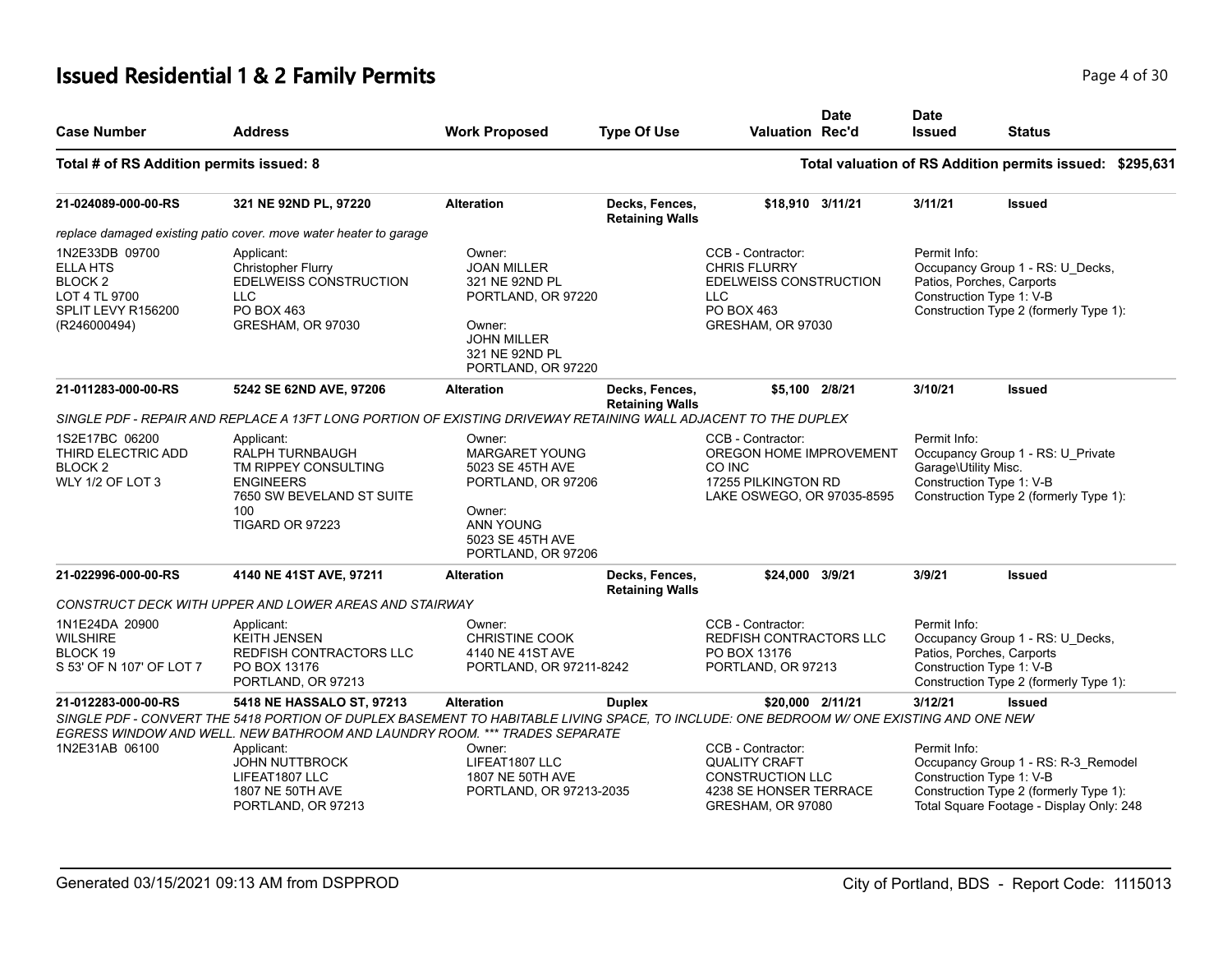#### **Issued Residential 1 & 2 Family Permits Page 1 of 30** Page 4 of 30

| <b>Case Number</b>                                                                                        | <b>Address</b>                                                                                                                         | <b>Work Proposed</b>                                                                                                                              | <b>Type Of Use</b>                       | <b>Valuation Rec'd</b>                                                                                              | <b>Date</b>      | <b>Date</b><br><b>Issued</b>                                                                                                                    | Status                                                                                                                                                |  |
|-----------------------------------------------------------------------------------------------------------|----------------------------------------------------------------------------------------------------------------------------------------|---------------------------------------------------------------------------------------------------------------------------------------------------|------------------------------------------|---------------------------------------------------------------------------------------------------------------------|------------------|-------------------------------------------------------------------------------------------------------------------------------------------------|-------------------------------------------------------------------------------------------------------------------------------------------------------|--|
| Total # of RS Addition permits issued: 8                                                                  |                                                                                                                                        |                                                                                                                                                   |                                          |                                                                                                                     |                  |                                                                                                                                                 | Total valuation of RS Addition permits issued: \$295,631                                                                                              |  |
| 21-024089-000-00-RS                                                                                       | 321 NE 92ND PL, 97220                                                                                                                  | <b>Alteration</b>                                                                                                                                 | Decks, Fences,<br><b>Retaining Walls</b> |                                                                                                                     | \$18,910 3/11/21 | 3/11/21                                                                                                                                         | <b>Issued</b>                                                                                                                                         |  |
|                                                                                                           | replace damaged existing patio cover. move water heater to garage                                                                      |                                                                                                                                                   |                                          |                                                                                                                     |                  |                                                                                                                                                 |                                                                                                                                                       |  |
| 1N2E33DB 09700<br><b>ELLA HTS</b><br><b>BLOCK2</b><br>LOT 4 TL 9700<br>SPLIT LEVY R156200<br>(R246000494) | Applicant:<br>Christopher Flurry<br>EDELWEISS CONSTRUCTION<br><b>LLC</b><br>PO BOX 463<br>GRESHAM, OR 97030                            | Owner:<br><b>JOAN MILLER</b><br>321 NE 92ND PL<br>PORTLAND, OR 97220<br>Owner:<br><b>JOHN MILLER</b><br>321 NE 92ND PL<br>PORTLAND, OR 97220      |                                          | CCB - Contractor:<br><b>CHRIS FLURRY</b><br>EDELWEISS CONSTRUCTION<br><b>LLC</b><br>PO BOX 463<br>GRESHAM, OR 97030 |                  | Permit Info:                                                                                                                                    | Occupancy Group 1 - RS: U_Decks,<br>Patios, Porches, Carports<br>Construction Type 1: V-B<br>Construction Type 2 (formerly Type 1):                   |  |
| 21-011283-000-00-RS                                                                                       | 5242 SE 62ND AVE, 97206                                                                                                                | <b>Alteration</b>                                                                                                                                 | Decks, Fences,                           |                                                                                                                     | \$5.100 2/8/21   | 3/10/21                                                                                                                                         | <b>Issued</b>                                                                                                                                         |  |
|                                                                                                           | SINGLE PDF - REPAIR AND REPLACE A 13FT LONG PORTION OF EXISTING DRIVEWAY RETAINING WALL ADJACENT TO THE DUPLEX                         |                                                                                                                                                   | <b>Retaining Walls</b>                   |                                                                                                                     |                  |                                                                                                                                                 |                                                                                                                                                       |  |
|                                                                                                           |                                                                                                                                        |                                                                                                                                                   |                                          |                                                                                                                     |                  |                                                                                                                                                 |                                                                                                                                                       |  |
| 1S2E17BC 06200<br>THIRD ELECTRIC ADD<br>BLOCK <sub>2</sub><br>WLY 1/2 OF LOT 3                            | Applicant:<br>RALPH TURNBAUGH<br>TM RIPPEY CONSULTING<br><b>ENGINEERS</b><br>7650 SW BEVELAND ST SUITE<br>100<br>TIGARD OR 97223       | Owner:<br><b>MARGARET YOUNG</b><br>5023 SE 45TH AVE<br>PORTLAND, OR 97206<br>Owner:<br><b>ANN YOUNG</b><br>5023 SE 45TH AVE<br>PORTLAND, OR 97206 |                                          | CCB - Contractor:<br>OREGON HOME IMPROVEMENT<br>CO INC<br>17255 PILKINGTON RD<br>LAKE OSWEGO, OR 97035-8595         |                  | Permit Info:<br>Occupancy Group 1 - RS: U_Private<br>Garage\Utility Misc.<br>Construction Type 1: V-B<br>Construction Type 2 (formerly Type 1): |                                                                                                                                                       |  |
| 21-022996-000-00-RS                                                                                       | 4140 NE 41ST AVE, 97211                                                                                                                | <b>Alteration</b>                                                                                                                                 | Decks, Fences,<br><b>Retaining Walls</b> | \$24,000 3/9/21                                                                                                     |                  | 3/9/21                                                                                                                                          | Issued                                                                                                                                                |  |
|                                                                                                           | CONSTRUCT DECK WITH UPPER AND LOWER AREAS AND STAIRWAY                                                                                 |                                                                                                                                                   |                                          |                                                                                                                     |                  |                                                                                                                                                 |                                                                                                                                                       |  |
| 1N1E24DA 20900<br><b>WILSHIRE</b><br>BLOCK 19<br>S 53' OF N 107' OF LOT 7                                 | Applicant:<br><b>KEITH JENSEN</b><br>REDFISH CONTRACTORS LLC<br>PO BOX 13176<br>PORTLAND, OR 97213                                     | Owner:<br><b>CHRISTINE COOK</b><br>4140 NE 41ST AVE<br>PORTLAND, OR 97211-8242                                                                    |                                          | CCB - Contractor:<br>REDFISH CONTRACTORS LLC<br>PO BOX 13176<br>PORTLAND, OR 97213                                  |                  | Permit Info:                                                                                                                                    | Occupancy Group 1 - RS: U_Decks,<br>Patios, Porches, Carports<br>Construction Type 1: V-B<br>Construction Type 2 (formerly Type 1):                   |  |
| 21-012283-000-00-RS                                                                                       | 5418 NE HASSALO ST, 97213                                                                                                              | Alteration                                                                                                                                        | <b>Duplex</b>                            |                                                                                                                     | \$20,000 2/11/21 | 3/12/21                                                                                                                                         | Issued                                                                                                                                                |  |
|                                                                                                           | SINGLE PDF - CONVERT THE 5418 PORTION OF DUPLEX BASEMENT TO HABITABLE LIVING SPACE. TO INCLUDE: ONE BEDROOM W/ONE EXISTING AND ONE NEW |                                                                                                                                                   |                                          |                                                                                                                     |                  |                                                                                                                                                 |                                                                                                                                                       |  |
|                                                                                                           | EGRESS WINDOW AND WELL. NEW BATHROOM AND LAUNDRY ROOM. *** TRADES SEPARATE                                                             |                                                                                                                                                   |                                          |                                                                                                                     |                  |                                                                                                                                                 |                                                                                                                                                       |  |
| 1N2E31AB 06100                                                                                            | Applicant:<br><b>JOHN NUTTBROCK</b><br>LIFEAT1807 LLC<br>1807 NE 50TH AVE<br>PORTLAND, OR 97213                                        | Owner:<br>LIFEAT1807 LLC<br>1807 NE 50TH AVE<br>PORTLAND, OR 97213-2035                                                                           |                                          | CCB - Contractor:<br><b>QUALITY CRAFT</b><br><b>CONSTRUCTION LLC</b><br>4238 SE HONSER TERRACE<br>GRESHAM, OR 97080 |                  | Permit Info:                                                                                                                                    | Occupancy Group 1 - RS: R-3_Remodel<br>Construction Type 1: V-B<br>Construction Type 2 (formerly Type 1):<br>Total Square Footage - Display Only: 248 |  |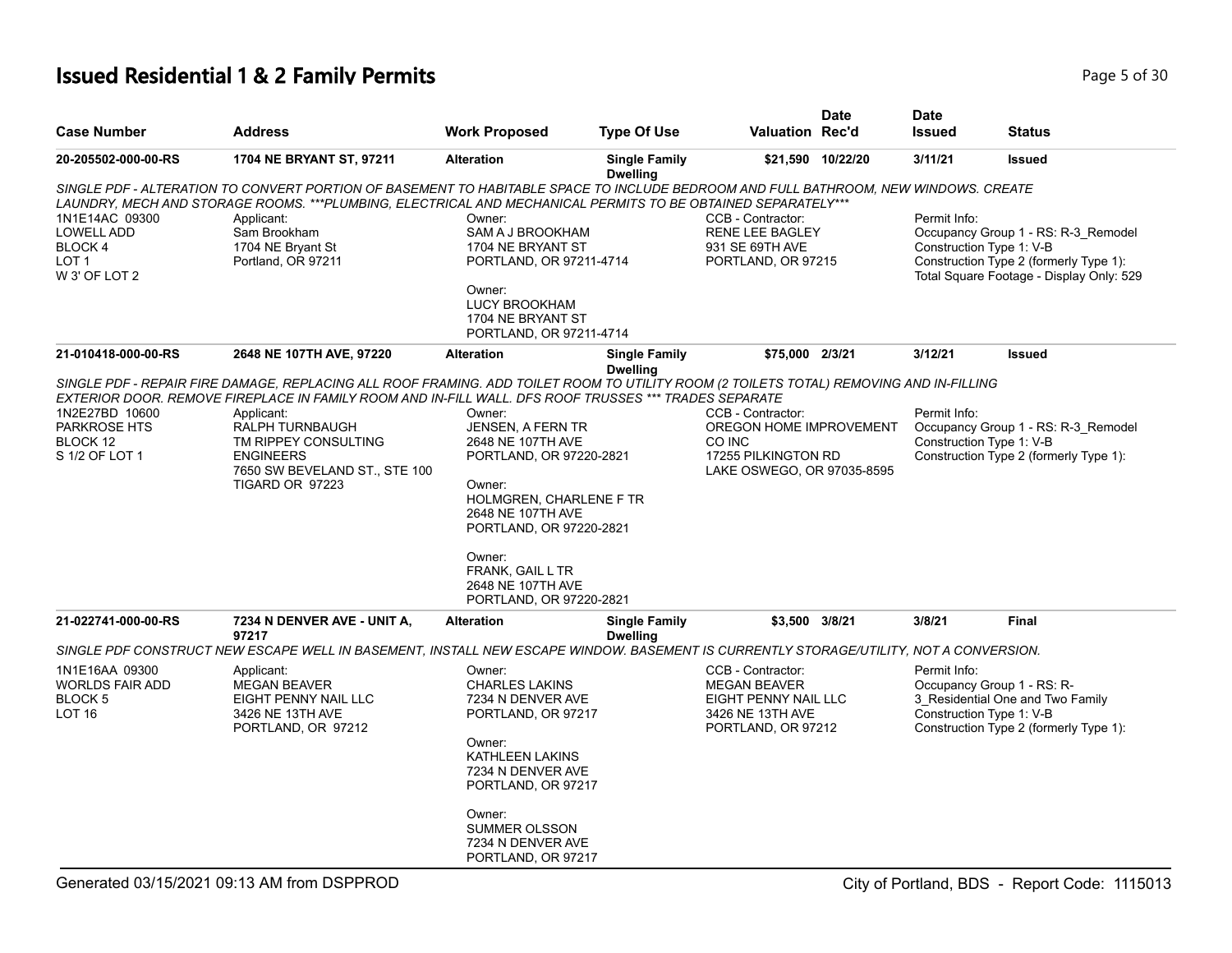#### **Issued Residential 1 & 2 Family Permits Page 1 and 20 July 10 and 20 July 10 and 20 July 10 and 20 Page 5 of 30**

| <b>Case Number</b>           | <b>Address</b>                                                                                                                                                                                                                                  | <b>Work Proposed</b>                  | <b>Type Of Use</b>                      | Valuation Rec'd                    | <b>Date</b>       | <b>Date</b><br><b>Issued</b> | Status                                                          |
|------------------------------|-------------------------------------------------------------------------------------------------------------------------------------------------------------------------------------------------------------------------------------------------|---------------------------------------|-----------------------------------------|------------------------------------|-------------------|------------------------------|-----------------------------------------------------------------|
| 20-205502-000-00-RS          | 1704 NE BRYANT ST, 97211                                                                                                                                                                                                                        | <b>Alteration</b>                     | <b>Single Family</b><br><b>Dwelling</b> |                                    | \$21,590 10/22/20 | 3/11/21                      | <b>Issued</b>                                                   |
|                              | SINGLE PDF - ALTERATION TO CONVERT PORTION OF BASEMENT TO HABITABLE SPACE TO INCLUDE BEDROOM AND FULL BATHROOM, NEW WINDOWS. CREATE                                                                                                             |                                       |                                         |                                    |                   |                              |                                                                 |
|                              | LAUNDRY, MECH AND STORAGE ROOMS. ***PLUMBING, ELECTRICAL AND MECHANICAL PERMITS TO BE OBTAINED SEPARATELY***                                                                                                                                    |                                       |                                         |                                    |                   |                              |                                                                 |
| 1N1E14AC 09300               | Applicant:                                                                                                                                                                                                                                      | Owner:                                |                                         | CCB - Contractor:                  |                   | Permit Info:                 |                                                                 |
| <b>LOWELL ADD</b><br>BLOCK 4 | Sam Brookham<br>1704 NE Bryant St                                                                                                                                                                                                               | SAM A J BROOKHAM<br>1704 NE BRYANT ST |                                         | RENE LEE BAGLEY<br>931 SE 69TH AVE |                   |                              | Occupancy Group 1 - RS: R-3_Remodel<br>Construction Type 1: V-B |
| LOT 1                        | Portland, OR 97211                                                                                                                                                                                                                              | PORTLAND, OR 97211-4714               |                                         | PORTLAND, OR 97215                 |                   |                              | Construction Type 2 (formerly Type 1):                          |
| W 3' OF LOT 2                |                                                                                                                                                                                                                                                 |                                       |                                         |                                    |                   |                              | Total Square Footage - Display Only: 529                        |
|                              |                                                                                                                                                                                                                                                 | Owner:                                |                                         |                                    |                   |                              |                                                                 |
|                              |                                                                                                                                                                                                                                                 | LUCY BROOKHAM                         |                                         |                                    |                   |                              |                                                                 |
|                              |                                                                                                                                                                                                                                                 | 1704 NE BRYANT ST                     |                                         |                                    |                   |                              |                                                                 |
|                              |                                                                                                                                                                                                                                                 | PORTLAND, OR 97211-4714               |                                         |                                    |                   |                              |                                                                 |
| 21-010418-000-00-RS          | 2648 NE 107TH AVE, 97220                                                                                                                                                                                                                        | <b>Alteration</b>                     | <b>Single Family</b>                    | \$75,000 2/3/21                    |                   | 3/12/21                      | <b>Issued</b>                                                   |
|                              |                                                                                                                                                                                                                                                 |                                       | <b>Dwelling</b>                         |                                    |                   |                              |                                                                 |
|                              | SINGLE PDF - REPAIR FIRE DAMAGE, REPLACING ALL ROOF FRAMING. ADD TOILET ROOM TO UTILITY ROOM (2 TOILETS TOTAL) REMOVING AND IN-FILLING<br>EXTERIOR DOOR. REMOVE FIREPLACE IN FAMILY ROOM AND IN-FILL WALL. DFS ROOF TRUSSES *** TRADES SEPARATE |                                       |                                         |                                    |                   |                              |                                                                 |
| 1N2E27BD 10600               | Applicant:                                                                                                                                                                                                                                      | Owner:                                |                                         | CCB - Contractor:                  |                   | Permit Info:                 |                                                                 |
| <b>PARKROSE HTS</b>          | RALPH TURNBAUGH                                                                                                                                                                                                                                 | <b>JENSEN, A FERN TR</b>              |                                         | OREGON HOME IMPROVEMENT            |                   |                              | Occupancy Group 1 - RS: R-3_Remodel                             |
| BLOCK 12                     | TM RIPPEY CONSULTING                                                                                                                                                                                                                            | 2648 NE 107TH AVE                     |                                         | CO INC                             |                   |                              | Construction Type 1: V-B                                        |
| S 1/2 OF LOT 1               | <b>ENGINEERS</b>                                                                                                                                                                                                                                | PORTLAND, OR 97220-2821               |                                         | 17255 PILKINGTON RD                |                   |                              | Construction Type 2 (formerly Type 1):                          |
|                              | 7650 SW BEVELAND ST., STE 100                                                                                                                                                                                                                   |                                       |                                         | LAKE OSWEGO, OR 97035-8595         |                   |                              |                                                                 |
|                              | TIGARD OR 97223                                                                                                                                                                                                                                 | Owner:<br>HOLMGREN, CHARLENE F TR     |                                         |                                    |                   |                              |                                                                 |
|                              |                                                                                                                                                                                                                                                 | 2648 NE 107TH AVE                     |                                         |                                    |                   |                              |                                                                 |
|                              |                                                                                                                                                                                                                                                 | PORTLAND, OR 97220-2821               |                                         |                                    |                   |                              |                                                                 |
|                              |                                                                                                                                                                                                                                                 | Owner:                                |                                         |                                    |                   |                              |                                                                 |
|                              |                                                                                                                                                                                                                                                 | FRANK, GAIL L TR                      |                                         |                                    |                   |                              |                                                                 |
|                              |                                                                                                                                                                                                                                                 | 2648 NE 107TH AVE                     |                                         |                                    |                   |                              |                                                                 |
|                              |                                                                                                                                                                                                                                                 | PORTLAND, OR 97220-2821               |                                         |                                    |                   |                              |                                                                 |
| 21-022741-000-00-RS          | 7234 N DENVER AVE - UNIT A,<br>97217                                                                                                                                                                                                            | <b>Alteration</b>                     | <b>Single Family</b><br><b>Dwelling</b> | \$3,500 3/8/21                     |                   | 3/8/21                       | <b>Final</b>                                                    |
|                              | SINGLE PDF CONSTRUCT NEW ESCAPE WELL IN BASEMENT, INSTALL NEW ESCAPE WINDOW. BASEMENT IS CURRENTLY STORAGE/UTILITY, NOT A CONVERSION.                                                                                                           |                                       |                                         |                                    |                   |                              |                                                                 |
| 1N1E16AA 09300               | Applicant:                                                                                                                                                                                                                                      | Owner:                                |                                         | CCB - Contractor:                  |                   | Permit Info:                 |                                                                 |
| <b>WORLDS FAIR ADD</b>       | <b>MEGAN BEAVER</b>                                                                                                                                                                                                                             | <b>CHARLES LAKINS</b>                 |                                         | <b>MEGAN BEAVER</b>                |                   |                              | Occupancy Group 1 - RS: R-                                      |
| BLOCK <sub>5</sub>           | EIGHT PENNY NAIL LLC                                                                                                                                                                                                                            | 7234 N DENVER AVE                     |                                         | EIGHT PENNY NAIL LLC               |                   |                              | 3 Residential One and Two Family                                |
| <b>LOT 16</b>                | 3426 NE 13TH AVE                                                                                                                                                                                                                                | PORTLAND, OR 97217                    |                                         | 3426 NE 13TH AVE                   |                   |                              | Construction Type 1: V-B                                        |
|                              | PORTLAND, OR 97212                                                                                                                                                                                                                              | Owner:                                |                                         | PORTLAND, OR 97212                 |                   |                              | Construction Type 2 (formerly Type 1):                          |
|                              |                                                                                                                                                                                                                                                 | KATHLEEN LAKINS                       |                                         |                                    |                   |                              |                                                                 |
|                              |                                                                                                                                                                                                                                                 | 7234 N DENVER AVE                     |                                         |                                    |                   |                              |                                                                 |
|                              |                                                                                                                                                                                                                                                 | PORTLAND, OR 97217                    |                                         |                                    |                   |                              |                                                                 |
|                              |                                                                                                                                                                                                                                                 | Owner:                                |                                         |                                    |                   |                              |                                                                 |
|                              |                                                                                                                                                                                                                                                 | <b>SUMMER OLSSON</b>                  |                                         |                                    |                   |                              |                                                                 |
|                              |                                                                                                                                                                                                                                                 | 7234 N DENVER AVE                     |                                         |                                    |                   |                              |                                                                 |
|                              |                                                                                                                                                                                                                                                 | PORTLAND, OR 97217                    |                                         |                                    |                   |                              |                                                                 |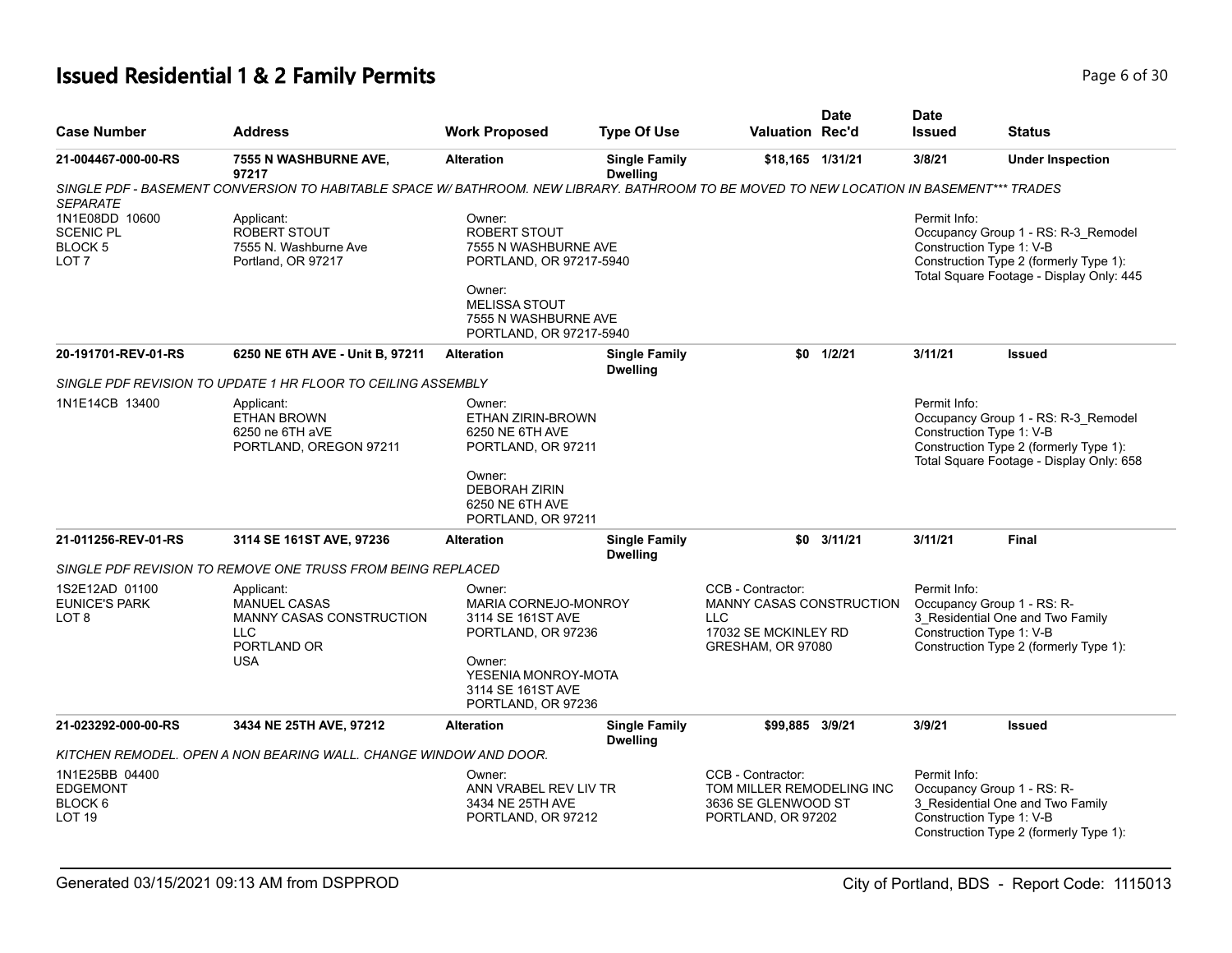## **Issued Residential 1 & 2 Family Permits Page 1 and 20 July 10 and 20 July 10 and 20 July 10 and 20 Page 6 of 30**

| <b>Case Number</b>                                                           | Address                                                                                                                                 | <b>Work Proposed</b>                                                                                                                                                  | <b>Type Of Use</b>                      | Valuation Rec'd                                                                                                 | <b>Date</b>   | <b>Date</b><br><b>Issued</b>             | <b>Status</b>                                                                                                                        |
|------------------------------------------------------------------------------|-----------------------------------------------------------------------------------------------------------------------------------------|-----------------------------------------------------------------------------------------------------------------------------------------------------------------------|-----------------------------------------|-----------------------------------------------------------------------------------------------------------------|---------------|------------------------------------------|--------------------------------------------------------------------------------------------------------------------------------------|
| 21-004467-000-00-RS                                                          | 7555 N WASHBURNE AVE,<br>97217                                                                                                          | <b>Alteration</b>                                                                                                                                                     | <b>Single Family</b><br><b>Dwelling</b> | \$18,165 1/31/21                                                                                                |               | 3/8/21                                   | <b>Under Inspection</b>                                                                                                              |
| <b>SEPARATE</b>                                                              | SINGLE PDF - BASEMENT CONVERSION TO HABITABLE SPACE W/BATHROOM. NEW LIBRARY. BATHROOM TO BE MOVED TO NEW LOCATION IN BASEMENT*** TRADES |                                                                                                                                                                       |                                         |                                                                                                                 |               |                                          |                                                                                                                                      |
| 1N1E08DD 10600<br><b>SCENIC PL</b><br>BLOCK <sub>5</sub><br>LOT <sub>7</sub> | Applicant:<br>ROBERT STOUT<br>7555 N. Washburne Ave<br>Portland, OR 97217                                                               | Owner:<br><b>ROBERT STOUT</b><br>7555 N WASHBURNE AVE<br>PORTLAND, OR 97217-5940<br>Owner:<br><b>MELISSA STOUT</b><br>7555 N WASHBURNE AVE<br>PORTLAND, OR 97217-5940 |                                         |                                                                                                                 |               | Permit Info:<br>Construction Type 1: V-B | Occupancy Group 1 - RS: R-3_Remodel<br>Construction Type 2 (formerly Type 1):<br>Total Square Footage - Display Only: 445            |
| 20-191701-REV-01-RS                                                          | 6250 NE 6TH AVE - Unit B, 97211                                                                                                         | <b>Alteration</b>                                                                                                                                                     | <b>Single Family</b><br><b>Dwelling</b> |                                                                                                                 | $$0$ $1/2/21$ | 3/11/21                                  | <b>Issued</b>                                                                                                                        |
|                                                                              | SINGLE PDF REVISION TO UPDATE 1 HR FLOOR TO CEILING ASSEMBLY                                                                            |                                                                                                                                                                       |                                         |                                                                                                                 |               |                                          |                                                                                                                                      |
| 1N1E14CB 13400                                                               | Applicant:<br><b>ETHAN BROWN</b><br>6250 ne 6TH aVE<br>PORTLAND, OREGON 97211                                                           | Owner:<br><b>ETHAN ZIRIN-BROWN</b><br>6250 NE 6TH AVE<br>PORTLAND, OR 97211<br>Owner:<br><b>DEBORAH ZIRIN</b><br>6250 NE 6TH AVE<br>PORTLAND, OR 97211                |                                         |                                                                                                                 |               | Permit Info:<br>Construction Type 1: V-B | Occupancy Group 1 - RS: R-3_Remodel<br>Construction Type 2 (formerly Type 1):<br>Total Square Footage - Display Only: 658            |
| 21-011256-REV-01-RS                                                          | 3114 SE 161ST AVE, 97236                                                                                                                | <b>Alteration</b>                                                                                                                                                     | <b>Single Family</b><br><b>Dwelling</b> |                                                                                                                 | $$0$ 3/11/21  | 3/11/21                                  | <b>Final</b>                                                                                                                         |
|                                                                              | SINGLE PDF REVISION TO REMOVE ONE TRUSS FROM BEING REPLACED                                                                             |                                                                                                                                                                       |                                         |                                                                                                                 |               |                                          |                                                                                                                                      |
| 1S2E12AD 01100<br><b>EUNICE'S PARK</b><br>LOT 8                              | Applicant:<br><b>MANUEL CASAS</b><br>MANNY CASAS CONSTRUCTION<br><b>LLC</b><br>PORTLAND OR<br><b>USA</b>                                | Owner:<br>MARIA CORNEJO-MONROY<br>3114 SE 161ST AVE<br>PORTLAND, OR 97236<br>Owner:<br>YESENIA MONROY-MOTA<br>3114 SE 161ST AVE<br>PORTLAND, OR 97236                 |                                         | CCB - Contractor:<br><b>MANNY CASAS CONSTRUCTION</b><br><b>LLC</b><br>17032 SE MCKINLEY RD<br>GRESHAM, OR 97080 |               | Permit Info:                             | Occupancy Group 1 - RS: R-<br>3_Residential One and Two Family<br>Construction Type 1: V-B<br>Construction Type 2 (formerly Type 1): |
| 21-023292-000-00-RS                                                          | 3434 NE 25TH AVE, 97212                                                                                                                 | <b>Alteration</b>                                                                                                                                                     | <b>Single Family</b><br><b>Dwelling</b> | \$99,885 3/9/21                                                                                                 |               | 3/9/21                                   | <b>Issued</b>                                                                                                                        |
|                                                                              | KITCHEN REMODEL. OPEN A NON BEARING WALL. CHANGE WINDOW AND DOOR.                                                                       |                                                                                                                                                                       |                                         |                                                                                                                 |               |                                          |                                                                                                                                      |
| 1N1E25BB 04400<br><b>EDGEMONT</b><br>BLOCK 6<br>LOT <sub>19</sub>            |                                                                                                                                         | Owner:<br>ANN VRABEL REV LIV TR<br>3434 NE 25TH AVE<br>PORTLAND, OR 97212                                                                                             |                                         | CCB - Contractor:<br>TOM MILLER REMODELING INC<br>3636 SE GLENWOOD ST<br>PORTLAND, OR 97202                     |               | Permit Info:                             | Occupancy Group 1 - RS: R-<br>3 Residential One and Two Family<br>Construction Type 1: V-B<br>Construction Type 2 (formerly Type 1): |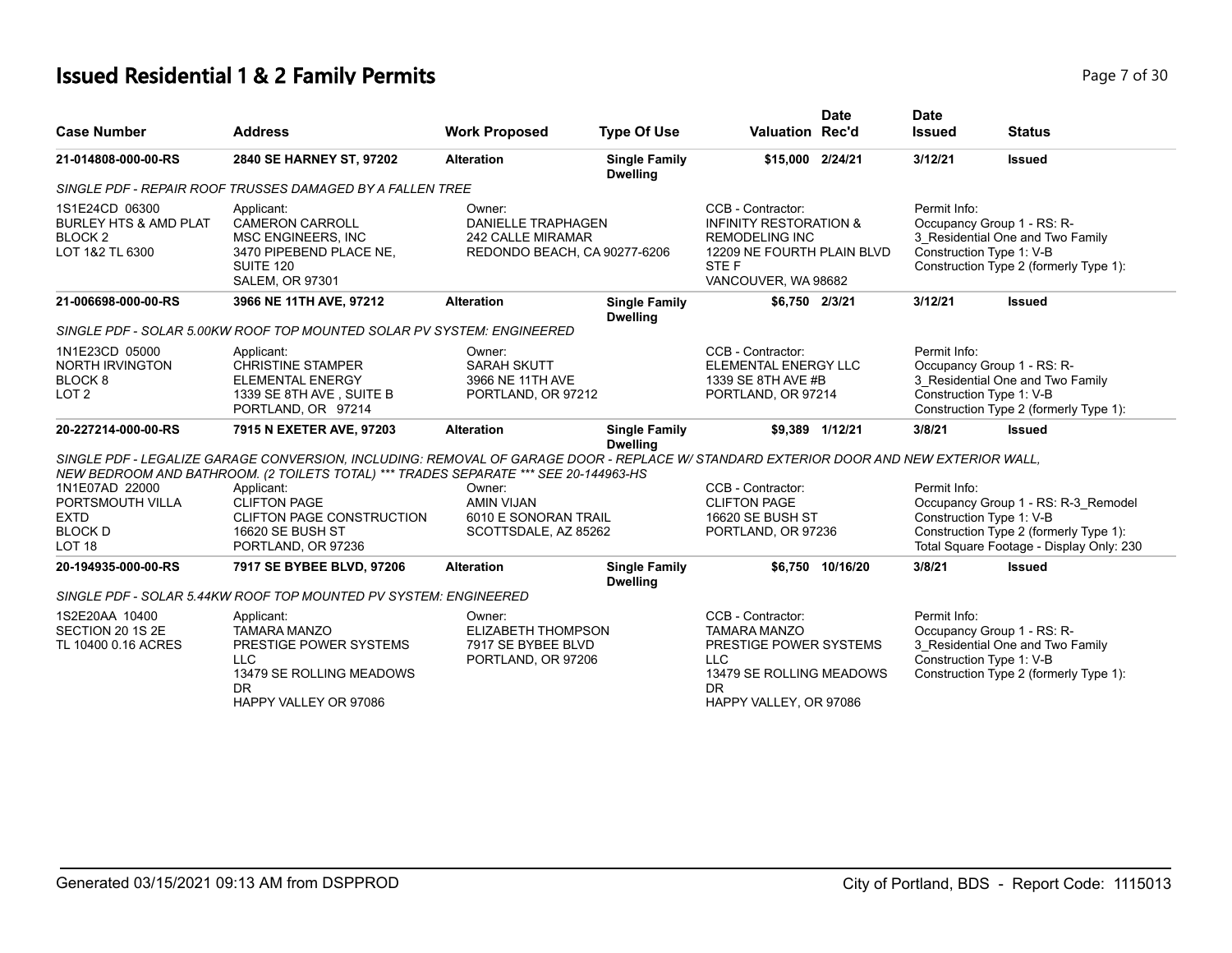#### **Issued Residential 1 & 2 Family Permits Page 7 of 30 Page 7 of 30**

|                | Page 7 of 3 |  |
|----------------|-------------|--|
|                |             |  |
| D <sub>0</sub> |             |  |

| <b>Case Number</b>                                                                          | <b>Address</b>                                                                                                                                                                                                                | <b>Work Proposed</b>                                                                            | <b>Type Of Use</b>                      | <b>Valuation Rec'd</b>                                                                                                                              | <b>Date</b>      | <b>Date</b><br><b>Issued</b>             | <b>Status</b>                                                                                                             |
|---------------------------------------------------------------------------------------------|-------------------------------------------------------------------------------------------------------------------------------------------------------------------------------------------------------------------------------|-------------------------------------------------------------------------------------------------|-----------------------------------------|-----------------------------------------------------------------------------------------------------------------------------------------------------|------------------|------------------------------------------|---------------------------------------------------------------------------------------------------------------------------|
| 21-014808-000-00-RS                                                                         | 2840 SE HARNEY ST, 97202                                                                                                                                                                                                      | <b>Alteration</b>                                                                               | <b>Single Family</b><br><b>Dwelling</b> | \$15,000 2/24/21                                                                                                                                    |                  | 3/12/21                                  | <b>Issued</b>                                                                                                             |
|                                                                                             | SINGLE PDF - REPAIR ROOF TRUSSES DAMAGED BY A FALLEN TREE                                                                                                                                                                     |                                                                                                 |                                         |                                                                                                                                                     |                  |                                          |                                                                                                                           |
| 1S1E24CD 06300<br><b>BURLEY HTS &amp; AMD PLAT</b><br>BLOCK <sub>2</sub><br>LOT 1&2 TL 6300 | Applicant:<br><b>CAMERON CARROLL</b><br><b>MSC ENGINEERS, INC</b><br>3470 PIPEBEND PLACE NE,<br>SUITE 120<br><b>SALEM, OR 97301</b>                                                                                           | Owner:<br><b>DANIELLE TRAPHAGEN</b><br><b>242 CALLE MIRAMAR</b><br>REDONDO BEACH, CA 90277-6206 |                                         | CCB - Contractor:<br><b>INFINITY RESTORATION &amp;</b><br><b>REMODELING INC</b><br>12209 NE FOURTH PLAIN BLVD<br>STE F<br>VANCOUVER, WA 98682       |                  | Permit Info:<br>Construction Type 1: V-B | Occupancy Group 1 - RS: R-<br>3_Residential One and Two Family<br>Construction Type 2 (formerly Type 1):                  |
| 21-006698-000-00-RS                                                                         | 3966 NE 11TH AVE, 97212                                                                                                                                                                                                       | <b>Alteration</b>                                                                               | <b>Single Family</b><br><b>Dwelling</b> | \$6,750 2/3/21                                                                                                                                      |                  | 3/12/21                                  | <b>Issued</b>                                                                                                             |
|                                                                                             | SINGLE PDF - SOLAR 5.00KW ROOF TOP MOUNTED SOLAR PV SYSTEM: ENGINEERED                                                                                                                                                        |                                                                                                 |                                         |                                                                                                                                                     |                  |                                          |                                                                                                                           |
| 1N1E23CD 05000<br><b>NORTH IRVINGTON</b><br>BLOCK <sub>8</sub><br>LOT <sub>2</sub>          | Applicant:<br><b>CHRISTINE STAMPER</b><br><b>ELEMENTAL ENERGY</b><br>1339 SE 8TH AVE, SUITE B<br>PORTLAND, OR 97214                                                                                                           | Owner:<br><b>SARAH SKUTT</b><br>3966 NE 11TH AVE<br>PORTLAND, OR 97212                          |                                         | CCB - Contractor:<br>ELEMENTAL ENERGY LLC<br>1339 SE 8TH AVE #B<br>PORTLAND, OR 97214                                                               |                  | Permit Info:<br>Construction Type 1: V-B | Occupancy Group 1 - RS: R-<br>3 Residential One and Two Family<br>Construction Type 2 (formerly Type 1):                  |
| 20-227214-000-00-RS                                                                         | 7915 N EXETER AVE, 97203                                                                                                                                                                                                      | <b>Alteration</b>                                                                               | <b>Single Family</b><br><b>Dwelling</b> |                                                                                                                                                     | \$9.389 1/12/21  | 3/8/21                                   | <b>Issued</b>                                                                                                             |
|                                                                                             | SINGLE PDF - LEGALIZE GARAGE CONVERSION, INCLUDING: REMOVAL OF GARAGE DOOR - REPLACE W/ STANDARD EXTERIOR DOOR AND NEW EXTERIOR WALL,<br>NEW BEDROOM AND BATHROOM. (2 TOILETS TOTAL) *** TRADES SEPARATE *** SEE 20-144963-HS |                                                                                                 |                                         |                                                                                                                                                     |                  |                                          |                                                                                                                           |
| 1N1E07AD 22000<br>PORTSMOUTH VILLA<br><b>EXTD</b><br><b>BLOCK D</b><br>LOT <sub>18</sub>    | Applicant:<br><b>CLIFTON PAGE</b><br><b>CLIFTON PAGE CONSTRUCTION</b><br>16620 SE BUSH ST<br>PORTLAND, OR 97236                                                                                                               | Owner:<br><b>AMIN VIJAN</b><br>6010 E SONORAN TRAIL<br>SCOTTSDALE, AZ 85262                     |                                         | CCB - Contractor:<br><b>CLIFTON PAGE</b><br>16620 SE BUSH ST<br>PORTLAND, OR 97236                                                                  |                  | Permit Info:<br>Construction Type 1: V-B | Occupancy Group 1 - RS: R-3_Remodel<br>Construction Type 2 (formerly Type 1):<br>Total Square Footage - Display Only: 230 |
| 20-194935-000-00-RS                                                                         | 7917 SE BYBEE BLVD, 97206                                                                                                                                                                                                     | <b>Alteration</b>                                                                               | <b>Single Family</b><br><b>Dwelling</b> |                                                                                                                                                     | \$6.750 10/16/20 | 3/8/21                                   | <b>Issued</b>                                                                                                             |
|                                                                                             | SINGLE PDF - SOLAR 5.44KW ROOF TOP MOUNTED PV SYSTEM: ENGINEERED                                                                                                                                                              |                                                                                                 |                                         |                                                                                                                                                     |                  |                                          |                                                                                                                           |
| 1S2E20AA 10400<br>SECTION 20 1S 2E<br>TL 10400 0.16 ACRES                                   | Applicant:<br><b>TAMARA MANZO</b><br>PRESTIGE POWER SYSTEMS<br><b>LLC</b><br>13479 SE ROLLING MEADOWS<br>DR.<br>HAPPY VALLEY OR 97086                                                                                         | Owner:<br>ELIZABETH THOMPSON<br>7917 SE BYBEE BLVD<br>PORTLAND, OR 97206                        |                                         | CCB - Contractor:<br><b>TAMARA MANZO</b><br>PRESTIGE POWER SYSTEMS<br><b>LLC</b><br>13479 SE ROLLING MEADOWS<br><b>DR</b><br>HAPPY VALLEY, OR 97086 |                  | Permit Info:<br>Construction Type 1: V-B | Occupancy Group 1 - RS: R-<br>3_Residential One and Two Family<br>Construction Type 2 (formerly Type 1):                  |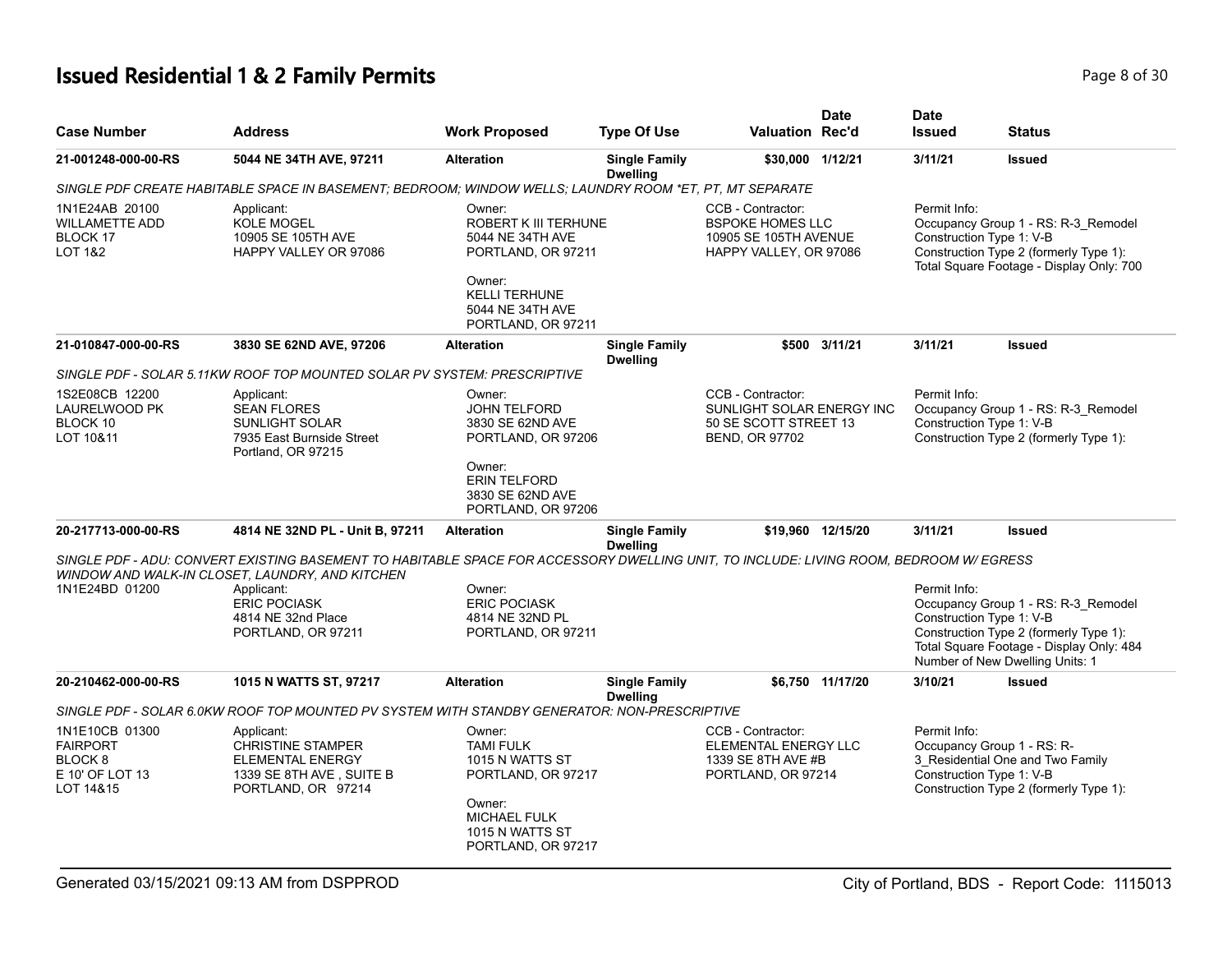#### **Issued Residential 1 & 2 Family Permits Page 8 of 30 Page 8 of 30**

| <b>Case Number</b>                                                           | <b>Address</b>                                                                                                                         | <b>Work Proposed</b>                                                                                                                          | <b>Type Of Use</b>                      | <b>Valuation Rec'd</b>                                                                          | <b>Date</b>       | <b>Date</b><br><b>Issued</b>             | <b>Status</b>                                                                                                                                                |
|------------------------------------------------------------------------------|----------------------------------------------------------------------------------------------------------------------------------------|-----------------------------------------------------------------------------------------------------------------------------------------------|-----------------------------------------|-------------------------------------------------------------------------------------------------|-------------------|------------------------------------------|--------------------------------------------------------------------------------------------------------------------------------------------------------------|
| 21-001248-000-00-RS                                                          | 5044 NE 34TH AVE, 97211                                                                                                                | <b>Alteration</b>                                                                                                                             | <b>Single Family</b><br><b>Dwelling</b> | \$30,000 1/12/21                                                                                |                   | 3/11/21                                  | <b>Issued</b>                                                                                                                                                |
|                                                                              | SINGLE PDF CREATE HABITABLE SPACE IN BASEMENT; BEDROOM; WINDOW WELLS; LAUNDRY ROOM *ET, PT, MT SEPARATE                                |                                                                                                                                               |                                         |                                                                                                 |                   |                                          |                                                                                                                                                              |
| 1N1E24AB 20100<br><b>WILLAMETTE ADD</b><br>BLOCK 17<br><b>LOT 1&amp;2</b>    | Applicant:<br><b>KOLE MOGEL</b><br>10905 SE 105TH AVE<br>HAPPY VALLEY OR 97086                                                         | Owner:<br><b>ROBERT K III TERHUNE</b><br>5044 NE 34TH AVE<br>PORTLAND, OR 97211<br>Owner:<br><b>KELLI TERHUNE</b>                             |                                         | CCB - Contractor:<br><b>BSPOKE HOMES LLC</b><br>10905 SE 105TH AVENUE<br>HAPPY VALLEY, OR 97086 |                   | Permit Info:<br>Construction Type 1: V-B | Occupancy Group 1 - RS: R-3 Remodel<br>Construction Type 2 (formerly Type 1):<br>Total Square Footage - Display Only: 700                                    |
|                                                                              |                                                                                                                                        | 5044 NE 34TH AVE                                                                                                                              |                                         |                                                                                                 |                   |                                          |                                                                                                                                                              |
| 21-010847-000-00-RS                                                          | 3830 SE 62ND AVE, 97206                                                                                                                | PORTLAND, OR 97211<br><b>Alteration</b>                                                                                                       | <b>Single Family</b><br><b>Dwelling</b> | \$500                                                                                           | 3/11/21           | 3/11/21                                  | <b>Issued</b>                                                                                                                                                |
|                                                                              | SINGLE PDF - SOLAR 5.11KW ROOF TOP MOUNTED SOLAR PV SYSTEM: PRESCRIPTIVE                                                               |                                                                                                                                               |                                         |                                                                                                 |                   |                                          |                                                                                                                                                              |
| 1S2E08CB 12200<br><b>LAURELWOOD PK</b><br>BLOCK 10<br>LOT 10&11              | Applicant:<br><b>SEAN FLORES</b><br><b>SUNLIGHT SOLAR</b><br>7935 East Burnside Street<br>Portland, OR 97215                           | Owner:<br><b>JOHN TELFORD</b><br>3830 SE 62ND AVE<br>PORTLAND, OR 97206                                                                       |                                         | CCB - Contractor:<br>SUNLIGHT SOLAR ENERGY INC<br>50 SE SCOTT STREET 13<br>BEND, OR 97702       |                   | Permit Info:<br>Construction Type 1: V-B | Occupancy Group 1 - RS: R-3_Remodel<br>Construction Type 2 (formerly Type 1):                                                                                |
|                                                                              |                                                                                                                                        | Owner:<br><b>ERIN TELFORD</b><br>3830 SE 62ND AVE<br>PORTLAND, OR 97206                                                                       |                                         |                                                                                                 |                   |                                          |                                                                                                                                                              |
| 20-217713-000-00-RS                                                          | 4814 NE 32ND PL - Unit B, 97211                                                                                                        | <b>Alteration</b>                                                                                                                             | <b>Single Family</b><br><b>Dwelling</b> |                                                                                                 | \$19,960 12/15/20 | 3/11/21                                  | <b>Issued</b>                                                                                                                                                |
|                                                                              | SINGLE PDF - ADU: CONVERT EXISTING BASEMENT TO HABITABLE SPACE FOR ACCESSORY DWELLING UNIT. TO INCLUDE: LIVING ROOM, BEDROOM W/ EGRESS |                                                                                                                                               |                                         |                                                                                                 |                   |                                          |                                                                                                                                                              |
| 1N1E24BD 01200                                                               | WINDOW AND WALK-IN CLOSET, LAUNDRY, AND KITCHEN<br>Applicant:<br><b>ERIC POCIASK</b><br>4814 NE 32nd Place<br>PORTLAND, OR 97211       | Owner:<br><b>ERIC POCIASK</b><br>4814 NE 32ND PL<br>PORTLAND, OR 97211                                                                        |                                         |                                                                                                 |                   | Permit Info:<br>Construction Type 1: V-B | Occupancy Group 1 - RS: R-3_Remodel<br>Construction Type 2 (formerly Type 1):<br>Total Square Footage - Display Only: 484<br>Number of New Dwelling Units: 1 |
| 20-210462-000-00-RS                                                          | 1015 N WATTS ST, 97217                                                                                                                 | <b>Alteration</b>                                                                                                                             | <b>Single Family</b><br><b>Dwelling</b> |                                                                                                 | \$6,750 11/17/20  | 3/10/21                                  | <b>Issued</b>                                                                                                                                                |
|                                                                              | SINGLE PDF - SOLAR 6.0KW ROOF TOP MOUNTED PV SYSTEM WITH STANDBY GENERATOR: NON-PRESCRIPTIVE                                           |                                                                                                                                               |                                         |                                                                                                 |                   |                                          |                                                                                                                                                              |
| 1N1E10CB 01300<br><b>FAIRPORT</b><br>BLOCK 8<br>E 10' OF LOT 13<br>LOT 14&15 | Applicant:<br><b>CHRISTINE STAMPER</b><br><b>ELEMENTAL ENERGY</b><br>1339 SE 8TH AVE, SUITE B<br>PORTLAND, OR 97214                    | Owner:<br><b>TAMI FULK</b><br>1015 N WATTS ST<br>PORTLAND, OR 97217<br>Owner:<br><b>MICHAEL FULK</b><br>1015 N WATTS ST<br>PORTLAND, OR 97217 |                                         | CCB - Contractor:<br>ELEMENTAL ENERGY LLC<br>1339 SE 8TH AVE #B<br>PORTLAND, OR 97214           |                   | Permit Info:<br>Construction Type 1: V-B | Occupancy Group 1 - RS: R-<br>3 Residential One and Two Family<br>Construction Type 2 (formerly Type 1):                                                     |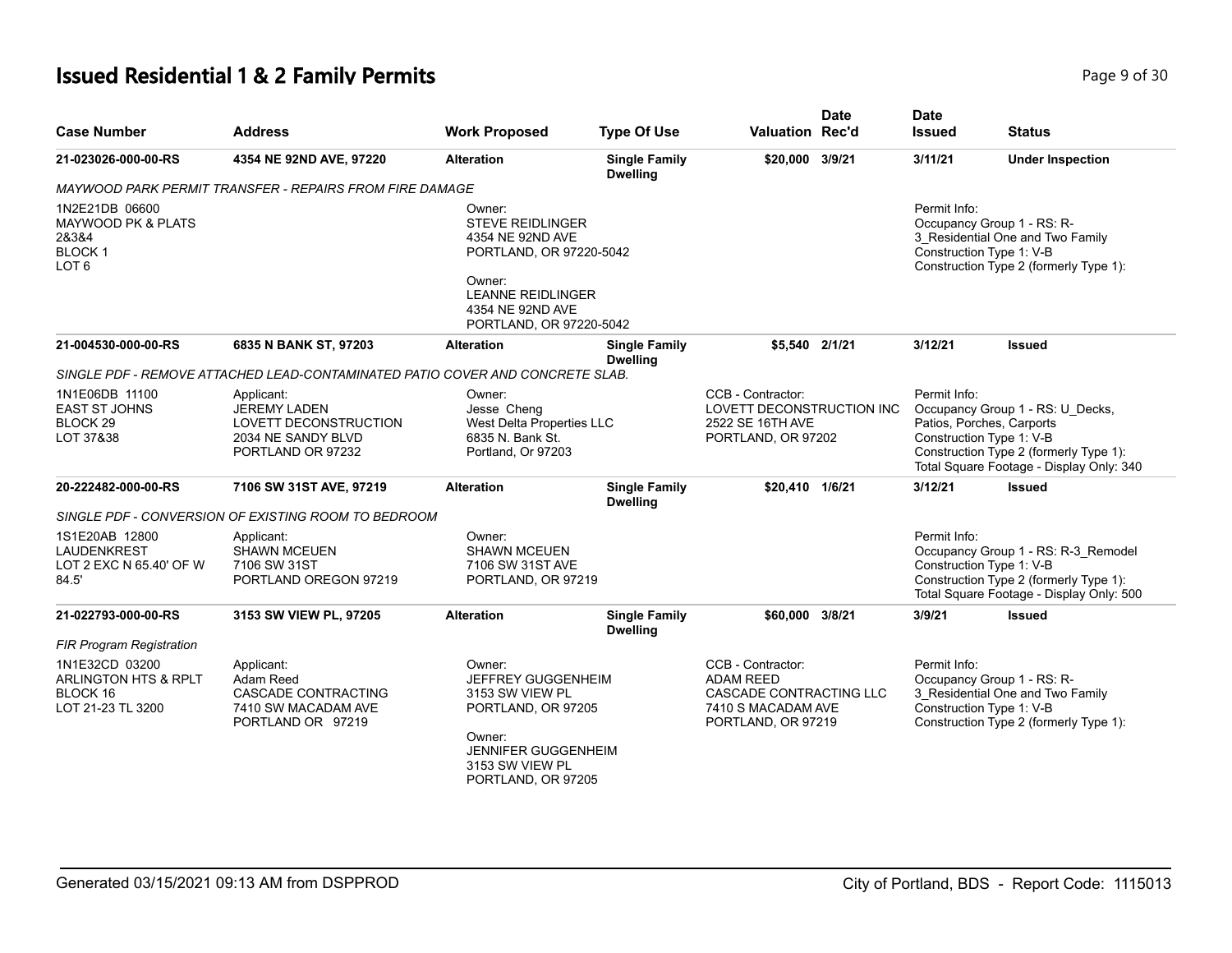#### **Issued Residential 1 & 2 Family Permits Page 1 and 20 Interval 2 and 2 Page 9 of 30**

|                                                                                               |                                                                                                       |                                                                                                                                                        |                                         |                                                                                                              | <b>Date</b> | <b>Date</b>                                                            |                                                                                                                           |
|-----------------------------------------------------------------------------------------------|-------------------------------------------------------------------------------------------------------|--------------------------------------------------------------------------------------------------------------------------------------------------------|-----------------------------------------|--------------------------------------------------------------------------------------------------------------|-------------|------------------------------------------------------------------------|---------------------------------------------------------------------------------------------------------------------------|
| <b>Case Number</b>                                                                            | <b>Address</b>                                                                                        | <b>Work Proposed</b>                                                                                                                                   | <b>Type Of Use</b>                      | <b>Valuation Rec'd</b>                                                                                       |             | <b>Issued</b>                                                          | <b>Status</b>                                                                                                             |
| 21-023026-000-00-RS                                                                           | 4354 NE 92ND AVE, 97220                                                                               | <b>Alteration</b>                                                                                                                                      | <b>Single Family</b><br><b>Dwelling</b> | \$20,000 3/9/21                                                                                              |             | 3/11/21                                                                | <b>Under Inspection</b>                                                                                                   |
|                                                                                               | MAYWOOD PARK PERMIT TRANSFER - REPAIRS FROM FIRE DAMAGE                                               |                                                                                                                                                        |                                         |                                                                                                              |             |                                                                        |                                                                                                                           |
| 1N2E21DB 06600<br><b>MAYWOOD PK &amp; PLATS</b><br>28384<br><b>BLOCK1</b><br>LOT <sub>6</sub> |                                                                                                       | Owner:<br><b>STEVE REIDLINGER</b><br>4354 NE 92ND AVE<br>PORTLAND, OR 97220-5042<br>Owner:<br><b>LEANNE REIDLINGER</b><br>4354 NE 92ND AVE             |                                         |                                                                                                              |             | Permit Info:<br>Occupancy Group 1 - RS: R-<br>Construction Type 1: V-B | 3_Residential One and Two Family<br>Construction Type 2 (formerly Type 1):                                                |
|                                                                                               |                                                                                                       | PORTLAND, OR 97220-5042                                                                                                                                |                                         |                                                                                                              |             |                                                                        |                                                                                                                           |
| 21-004530-000-00-RS                                                                           | 6835 N BANK ST, 97203                                                                                 | <b>Alteration</b>                                                                                                                                      | <b>Single Family</b><br><b>Dwelling</b> | \$5,540 2/1/21                                                                                               |             | 3/12/21                                                                | <b>Issued</b>                                                                                                             |
|                                                                                               | SINGLE PDF - REMOVE ATTACHED LEAD-CONTAMINATED PATIO COVER AND CONCRETE SLAB.                         |                                                                                                                                                        |                                         |                                                                                                              |             |                                                                        |                                                                                                                           |
| 1N1E06DB 11100<br><b>EAST ST JOHNS</b><br>BLOCK <sub>29</sub><br>LOT 37&38                    | Applicant:<br><b>JEREMY LADEN</b><br>LOVETT DECONSTRUCTION<br>2034 NE SANDY BLVD<br>PORTLAND OR 97232 | Owner:<br>Jesse Cheng<br>West Delta Properties LLC<br>6835 N. Bank St.<br>Portland, Or 97203                                                           |                                         | CCB - Contractor:<br>LOVETT DECONSTRUCTION INC<br>2522 SE 16TH AVE<br>PORTLAND, OR 97202                     |             | Permit Info:<br>Patios, Porches, Carports<br>Construction Type 1: V-B  | Occupancy Group 1 - RS: U_Decks,<br>Construction Type 2 (formerly Type 1):<br>Total Square Footage - Display Only: 340    |
| 20-222482-000-00-RS                                                                           | 7106 SW 31ST AVE, 97219                                                                               | <b>Alteration</b>                                                                                                                                      | <b>Single Family</b><br><b>Dwelling</b> | \$20,410 1/6/21                                                                                              |             | 3/12/21                                                                | <b>Issued</b>                                                                                                             |
|                                                                                               | SINGLE PDF - CONVERSION OF EXISTING ROOM TO BEDROOM                                                   |                                                                                                                                                        |                                         |                                                                                                              |             |                                                                        |                                                                                                                           |
| 1S1E20AB 12800<br><b>LAUDENKREST</b><br>LOT 2 EXC N 65.40' OF W<br>84.5'                      | Applicant:<br><b>SHAWN MCEUEN</b><br>7106 SW 31ST<br>PORTLAND OREGON 97219                            | Owner:<br><b>SHAWN MCEUEN</b><br>7106 SW 31ST AVE<br>PORTLAND, OR 97219                                                                                |                                         |                                                                                                              |             | Permit Info:<br>Construction Type 1: V-B                               | Occupancy Group 1 - RS: R-3_Remodel<br>Construction Type 2 (formerly Type 1):<br>Total Square Footage - Display Only: 500 |
| 21-022793-000-00-RS                                                                           | 3153 SW VIEW PL, 97205                                                                                | <b>Alteration</b>                                                                                                                                      | <b>Single Family</b><br><b>Dwelling</b> | \$60,000 3/8/21                                                                                              |             | 3/9/21                                                                 | <b>Issued</b>                                                                                                             |
| <b>FIR Program Registration</b>                                                               |                                                                                                       |                                                                                                                                                        |                                         |                                                                                                              |             |                                                                        |                                                                                                                           |
| 1N1E32CD 03200<br>ARLINGTON HTS & RPLT<br>BLOCK 16<br>LOT 21-23 TL 3200                       | Applicant:<br>Adam Reed<br><b>CASCADE CONTRACTING</b><br>7410 SW MACADAM AVE<br>PORTLAND OR 97219     | Owner:<br>JEFFREY GUGGENHEIM<br>3153 SW VIEW PL<br>PORTLAND, OR 97205<br>Owner:<br><b>JENNIFER GUGGENHEIM</b><br>3153 SW VIEW PL<br>PORTLAND, OR 97205 |                                         | CCB - Contractor:<br><b>ADAM REED</b><br>CASCADE CONTRACTING LLC<br>7410 S MACADAM AVE<br>PORTLAND, OR 97219 |             | Permit Info:<br>Occupancy Group 1 - RS: R-<br>Construction Type 1: V-B | 3_Residential One and Two Family<br>Construction Type 2 (formerly Type 1):                                                |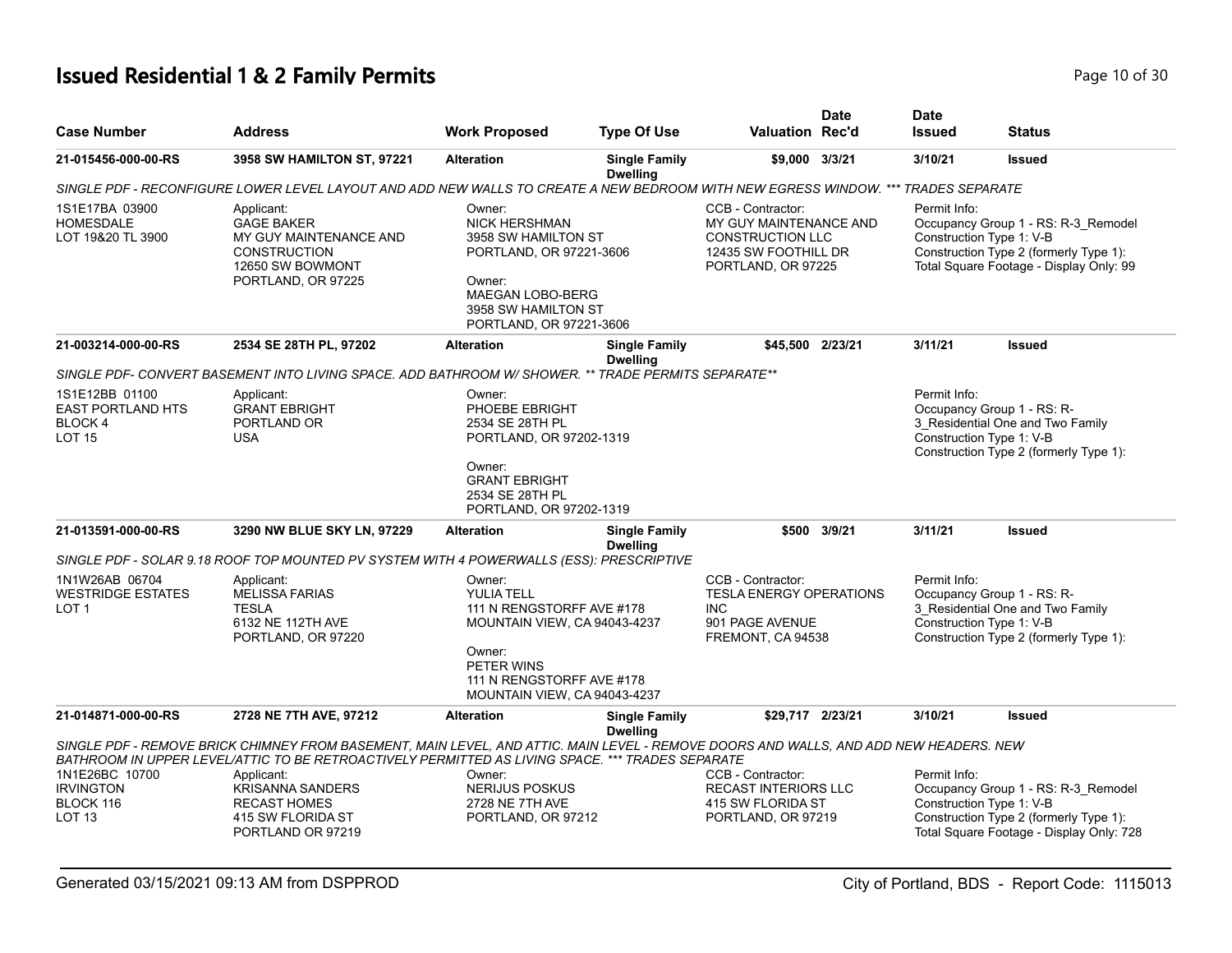## **Issued Residential 1 & 2 Family Permits Page 10 of 30 Page 10 of 30**

| <b>Case Number</b>                                                     | <b>Address</b>                                                                                                                                                                                                                            | <b>Work Proposed</b>                                                                                                                                                    | <b>Type Of Use</b>                      | <b>Valuation Rec'd</b>                                                                                                                                                               | <b>Date</b>  | <b>Date</b><br><b>Issued</b>                                                                                             | Status                                                                                                                                                |
|------------------------------------------------------------------------|-------------------------------------------------------------------------------------------------------------------------------------------------------------------------------------------------------------------------------------------|-------------------------------------------------------------------------------------------------------------------------------------------------------------------------|-----------------------------------------|--------------------------------------------------------------------------------------------------------------------------------------------------------------------------------------|--------------|--------------------------------------------------------------------------------------------------------------------------|-------------------------------------------------------------------------------------------------------------------------------------------------------|
| 21-015456-000-00-RS                                                    | 3958 SW HAMILTON ST, 97221                                                                                                                                                                                                                | <b>Alteration</b>                                                                                                                                                       | <b>Single Family</b><br><b>Dwelling</b> | \$9,000 3/3/21                                                                                                                                                                       |              | 3/10/21                                                                                                                  | <b>Issued</b>                                                                                                                                         |
|                                                                        | SINGLE PDF - RECONFIGURE LOWER LEVEL LAYOUT AND ADD NEW WALLS TO CREATE A NEW BEDROOM WITH NEW EGRESS WINDOW. ***                                                                                                                         |                                                                                                                                                                         |                                         |                                                                                                                                                                                      |              | <b>TRADES SEPARATE</b>                                                                                                   |                                                                                                                                                       |
| 1S1E17BA 03900<br><b>HOMESDALE</b><br>LOT 19&20 TL 3900                | Applicant:<br><b>GAGE BAKER</b><br>MY GUY MAINTENANCE AND<br><b>CONSTRUCTION</b><br>12650 SW BOWMONT<br>PORTLAND, OR 97225                                                                                                                | Owner:<br><b>NICK HERSHMAN</b><br>3958 SW HAMILTON ST<br>PORTLAND, OR 97221-3606<br>Owner:<br><b>MAEGAN LOBO-BERG</b><br>3958 SW HAMILTON ST<br>PORTLAND, OR 97221-3606 |                                         | CCB - Contractor:<br>Permit Info:<br>MY GUY MAINTENANCE AND<br>Construction Type 1: V-B<br><b>CONSTRUCTION LLC</b><br>12435 SW FOOTHILL DR<br>PORTLAND, OR 97225<br>\$45,500 2/23/21 |              | Occupancy Group 1 - RS: R-3_Remodel<br>Construction Type 2 (formerly Type 1):<br>Total Square Footage - Display Only: 99 |                                                                                                                                                       |
| 21-003214-000-00-RS                                                    | 2534 SE 28TH PL, 97202                                                                                                                                                                                                                    | <b>Alteration</b>                                                                                                                                                       | <b>Single Family</b><br><b>Dwelling</b> |                                                                                                                                                                                      |              | 3/11/21                                                                                                                  | <b>Issued</b>                                                                                                                                         |
|                                                                        | SINGLE PDF- CONVERT BASEMENT INTO LIVING SPACE. ADD BATHROOM W/ SHOWER. ** TRADE PERMITS SEPARATE**                                                                                                                                       |                                                                                                                                                                         |                                         |                                                                                                                                                                                      |              |                                                                                                                          |                                                                                                                                                       |
| 1S1E12BB 01100<br><b>EAST PORTLAND HTS</b><br>BLOCK 4<br><b>LOT 15</b> | Applicant:<br><b>GRANT EBRIGHT</b><br>PORTLAND OR<br><b>USA</b>                                                                                                                                                                           | Owner:<br>PHOEBE EBRIGHT<br>2534 SE 28TH PL<br>PORTLAND, OR 97202-1319                                                                                                  |                                         |                                                                                                                                                                                      |              | Permit Info:                                                                                                             | Occupancy Group 1 - RS: R-<br>3 Residential One and Two Family<br>Construction Type 1: V-B<br>Construction Type 2 (formerly Type 1):                  |
|                                                                        |                                                                                                                                                                                                                                           | Owner:<br><b>GRANT EBRIGHT</b><br>2534 SE 28TH PL<br>PORTLAND, OR 97202-1319                                                                                            |                                         |                                                                                                                                                                                      |              |                                                                                                                          |                                                                                                                                                       |
| 21-013591-000-00-RS                                                    | 3290 NW BLUE SKY LN, 97229                                                                                                                                                                                                                | <b>Alteration</b>                                                                                                                                                       | <b>Single Family</b><br><b>Dwelling</b> |                                                                                                                                                                                      | \$500 3/9/21 | 3/11/21                                                                                                                  | <b>Issued</b>                                                                                                                                         |
|                                                                        | SINGLE PDF - SOLAR 9.18 ROOF TOP MOUNTED PV SYSTEM WITH 4 POWERWALLS (ESS): PRESCRIPTIVE                                                                                                                                                  |                                                                                                                                                                         |                                         |                                                                                                                                                                                      |              |                                                                                                                          |                                                                                                                                                       |
| 1N1W26AB 06704<br><b>WESTRIDGE ESTATES</b><br>LOT <sub>1</sub>         | Applicant:<br><b>MELISSA FARIAS</b><br><b>TESLA</b><br>6132 NE 112TH AVE<br>PORTLAND, OR 97220                                                                                                                                            | Owner:<br><b>YULIA TELL</b><br>111 N RENGSTORFF AVE #178<br>MOUNTAIN VIEW, CA 94043-4237                                                                                |                                         | CCB - Contractor:<br><b>TESLA ENERGY OPERATIONS</b><br><b>INC</b><br>901 PAGE AVENUE<br>FREMONT, CA 94538                                                                            |              | Permit Info:                                                                                                             | Occupancy Group 1 - RS: R-<br>3 Residential One and Two Family<br>Construction Type 1: V-B<br>Construction Type 2 (formerly Type 1):                  |
|                                                                        |                                                                                                                                                                                                                                           | Owner:<br>PETER WINS<br>111 N RENGSTORFF AVE #178<br>MOUNTAIN VIEW, CA 94043-4237                                                                                       |                                         |                                                                                                                                                                                      |              |                                                                                                                          |                                                                                                                                                       |
| 21-014871-000-00-RS                                                    | 2728 NE 7TH AVE, 97212                                                                                                                                                                                                                    | <b>Alteration</b>                                                                                                                                                       | <b>Single Family</b><br><b>Dwelling</b> | \$29.717 2/23/21                                                                                                                                                                     |              | 3/10/21                                                                                                                  | <b>Issued</b>                                                                                                                                         |
|                                                                        | SINGLE PDF - REMOVE BRICK CHIMNEY FROM BASEMENT, MAIN LEVEL, AND ATTIC. MAIN LEVEL - REMOVE DOORS AND WALLS, AND ADD NEW HEADERS. NEW<br>BATHROOM IN UPPER LEVEL/ATTIC TO BE RETROACTIVELY PERMITTED AS LIVING SPACE. *** TRADES SEPARATE |                                                                                                                                                                         |                                         |                                                                                                                                                                                      |              |                                                                                                                          |                                                                                                                                                       |
| 1N1E26BC 10700                                                         | Applicant:                                                                                                                                                                                                                                | Owner:                                                                                                                                                                  |                                         | CCB - Contractor:                                                                                                                                                                    |              | Permit Info:                                                                                                             |                                                                                                                                                       |
| <b>IRVINGTON</b><br>BLOCK 116<br>LOT <sub>13</sub>                     | <b>KRISANNA SANDERS</b><br><b>RECAST HOMES</b><br>415 SW FLORIDA ST<br>PORTLAND OR 97219                                                                                                                                                  | NERIJUS POSKUS<br>2728 NE 7TH AVE<br>PORTLAND, OR 97212                                                                                                                 |                                         | <b>RECAST INTERIORS LLC</b><br>415 SW FLORIDA ST<br>PORTLAND, OR 97219                                                                                                               |              |                                                                                                                          | Occupancy Group 1 - RS: R-3_Remodel<br>Construction Type 1: V-B<br>Construction Type 2 (formerly Type 1):<br>Total Square Footage - Display Only: 728 |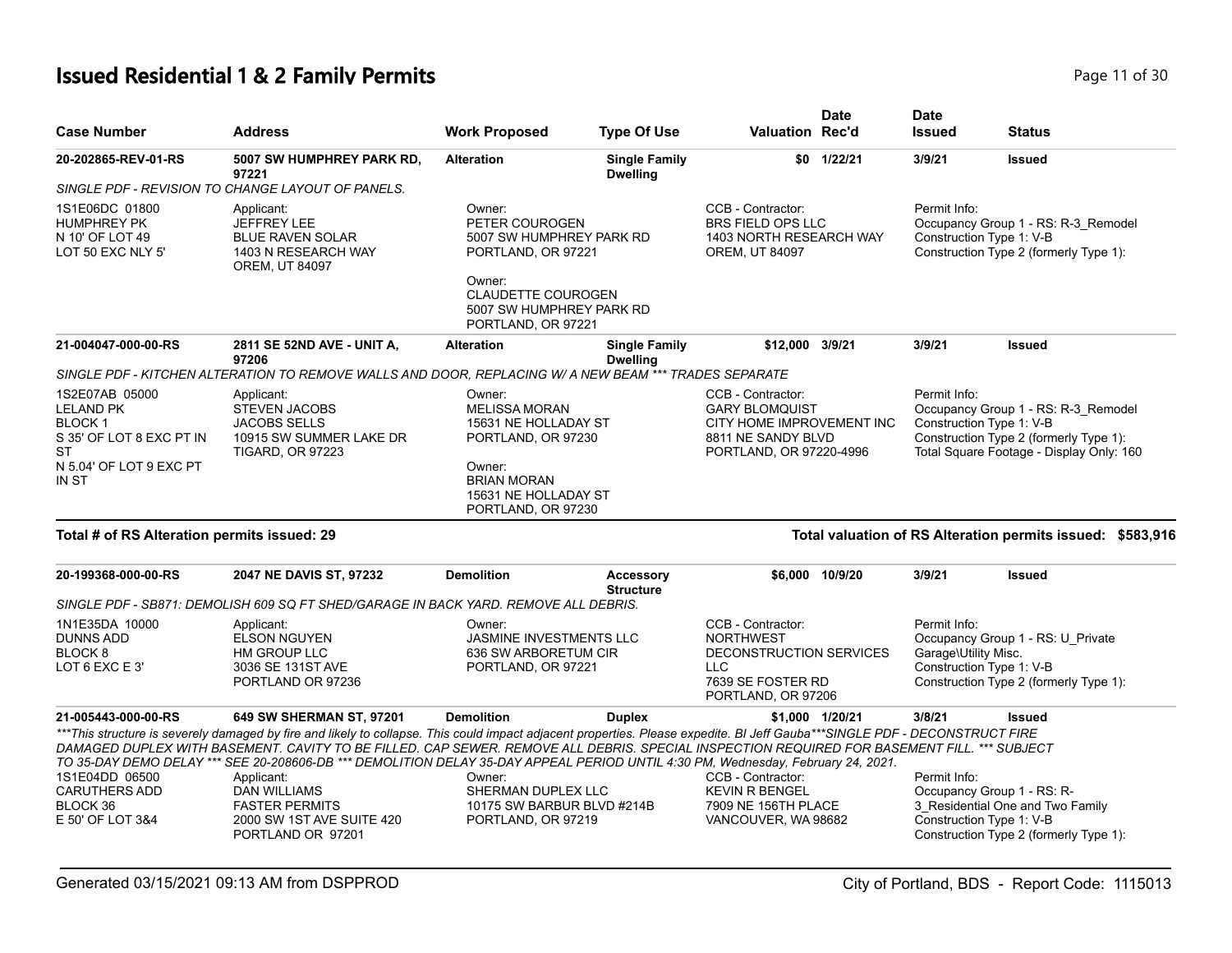# **Issued Residential 1 & 2 Family Permits Page 11 of 30 Page 11 of 30**

| <b>Case Number</b>                                                                                                        | <b>Address</b>                                                                                                                                                                                                                                                                                                                                                                                                                                                                                                                                                                 | <b>Work Proposed</b>                                                                                                                                         | <b>Type Of Use</b>                                                                                                                                                                                                   | Valuation Rec'd                                                                                                           | <b>Date</b>     | <b>Date</b><br><b>Issued</b>         | <b>Status</b>                                                                                                                                         |
|---------------------------------------------------------------------------------------------------------------------------|--------------------------------------------------------------------------------------------------------------------------------------------------------------------------------------------------------------------------------------------------------------------------------------------------------------------------------------------------------------------------------------------------------------------------------------------------------------------------------------------------------------------------------------------------------------------------------|--------------------------------------------------------------------------------------------------------------------------------------------------------------|----------------------------------------------------------------------------------------------------------------------------------------------------------------------------------------------------------------------|---------------------------------------------------------------------------------------------------------------------------|-----------------|--------------------------------------|-------------------------------------------------------------------------------------------------------------------------------------------------------|
| 20-202865-REV-01-RS                                                                                                       | 5007 SW HUMPHREY PARK RD,<br>97221<br>SINGLE PDF - REVISION TO CHANGE LAYOUT OF PANELS.                                                                                                                                                                                                                                                                                                                                                                                                                                                                                        | <b>Alteration</b>                                                                                                                                            | <b>Single Family</b><br><b>Dwelling</b>                                                                                                                                                                              |                                                                                                                           | \$0 1/22/21     | 3/9/21                               | <b>Issued</b>                                                                                                                                         |
| 1S1E06DC 01800<br><b>HUMPHREY PK</b><br>N 10' OF LOT 49<br>LOT 50 EXC NLY 5'                                              | Applicant:<br><b>JEFFREY LEE</b><br><b>BLUE RAVEN SOLAR</b><br>1403 N RESEARCH WAY<br><b>OREM, UT 84097</b>                                                                                                                                                                                                                                                                                                                                                                                                                                                                    | Owner:<br>PETER COUROGEN<br>5007 SW HUMPHREY PARK RD<br>PORTLAND, OR 97221<br>Owner:<br>CLAUDETTE COUROGEN<br>5007 SW HUMPHREY PARK RD<br>PORTLAND, OR 97221 |                                                                                                                                                                                                                      | CCB - Contractor:<br>BRS FIELD OPS LLC<br>1403 NORTH RESEARCH WAY<br>OREM, UT 84097                                       |                 | Permit Info:                         | Occupancy Group 1 - RS: R-3_Remodel<br>Construction Type 1: V-B<br>Construction Type 2 (formerly Type 1):                                             |
| 21-004047-000-00-RS                                                                                                       | 2811 SE 52ND AVE - UNIT A,<br>97206                                                                                                                                                                                                                                                                                                                                                                                                                                                                                                                                            | <b>Alteration</b>                                                                                                                                            | <b>Single Family</b><br><b>Dwelling</b>                                                                                                                                                                              | \$12,000 3/9/21                                                                                                           |                 | 3/9/21                               | <b>Issued</b>                                                                                                                                         |
|                                                                                                                           | SINGLE PDF - KITCHEN ALTERATION TO REMOVE WALLS AND DOOR, REPLACING W/ A NEW BEAM *** TRADES SEPARATE                                                                                                                                                                                                                                                                                                                                                                                                                                                                          |                                                                                                                                                              |                                                                                                                                                                                                                      |                                                                                                                           |                 |                                      |                                                                                                                                                       |
| 1S2E07AB 05000<br><b>LELAND PK</b><br><b>BLOCK1</b><br>S 35' OF LOT 8 EXC PT IN<br>ST<br>N 5.04' OF LOT 9 EXC PT<br>IN ST | Applicant:<br><b>STEVEN JACOBS</b><br><b>JACOBS SELLS</b><br>10915 SW SUMMER LAKE DR<br><b>TIGARD, OR 97223</b>                                                                                                                                                                                                                                                                                                                                                                                                                                                                | Owner:<br><b>MELISSA MORAN</b><br>Owner:<br><b>BRIAN MORAN</b>                                                                                               | CCB - Contractor:<br><b>GARY BLOMQUIST</b><br>15631 NE HOLLADAY ST<br>CITY HOME IMPROVEMENT INC<br>PORTLAND, OR 97230<br>8811 NE SANDY BLVD<br>PORTLAND, OR 97220-4996<br>15631 NE HOLLADAY ST<br>PORTLAND, OR 97230 |                                                                                                                           |                 | Permit Info:                         | Occupancy Group 1 - RS: R-3_Remodel<br>Construction Type 1: V-B<br>Construction Type 2 (formerly Type 1):<br>Total Square Footage - Display Only: 160 |
| Total # of RS Alteration permits issued: 29                                                                               |                                                                                                                                                                                                                                                                                                                                                                                                                                                                                                                                                                                |                                                                                                                                                              |                                                                                                                                                                                                                      |                                                                                                                           |                 |                                      | Total valuation of RS Alteration permits issued: \$583,916                                                                                            |
| 20-199368-000-00-RS                                                                                                       | 2047 NE DAVIS ST, 97232<br>SINGLE PDF - SB871: DEMOLISH 609 SQ FT SHED/GARAGE IN BACK YARD. REMOVE ALL DEBRIS.                                                                                                                                                                                                                                                                                                                                                                                                                                                                 | <b>Demolition</b>                                                                                                                                            | <b>Accessory</b><br><b>Structure</b>                                                                                                                                                                                 |                                                                                                                           | \$6,000 10/9/20 | 3/9/21                               | <b>Issued</b>                                                                                                                                         |
| 1N1E35DA 10000<br><b>DUNNS ADD</b><br>BLOCK <sub>8</sub><br>LOT 6 EXC E 3'                                                | Applicant:<br><b>ELSON NGUYEN</b><br>HM GROUP LLC<br>3036 SE 131ST AVE<br>PORTLAND OR 97236                                                                                                                                                                                                                                                                                                                                                                                                                                                                                    | Owner:<br><b>JASMINE INVESTMENTS LLC</b><br>636 SW ARBORETUM CIR<br>PORTLAND, OR 97221                                                                       |                                                                                                                                                                                                                      | CCB - Contractor:<br><b>NORTHWEST</b><br>DECONSTRUCTION SERVICES<br><b>LLC</b><br>7639 SE FOSTER RD<br>PORTLAND, OR 97206 |                 | Permit Info:<br>Garage\Utility Misc. | Occupancy Group 1 - RS: U_Private<br>Construction Type 1: V-B<br>Construction Type 2 (formerly Type 1):                                               |
| 21-005443-000-00-RS                                                                                                       | 649 SW SHERMAN ST, 97201                                                                                                                                                                                                                                                                                                                                                                                                                                                                                                                                                       | <b>Demolition</b>                                                                                                                                            | <b>Duplex</b>                                                                                                                                                                                                        |                                                                                                                           | \$1,000 1/20/21 | 3/8/21                               | <b>Issued</b>                                                                                                                                         |
| 1S1E04DD 06500<br><b>CARUTHERS ADD</b><br>BLOCK 36<br>E 50' OF LOT 3&4                                                    | ***This structure is severely damaged by fire and likely to collapse. This could impact adjacent properties. Please expedite. BI Jeff Gauba***SINGLE PDF - DECONSTRUCT FIRE<br>DAMAGED DUPLEX WITH BASEMENT. CAVITY TO BE FILLED. CAP SEWER. REMOVE ALL DEBRIS. SPECIAL INSPECTION REQUIRED FOR BASEMENT FILL. *** SUBJECT<br>TO 35-DAY DEMO DELAY *** SEE 20-208606-DB *** DEMOLITION DELAY 35-DAY APPEAL PERIOD UNTIL 4:30 PM, Wednesday, February 24, 2021.<br>Applicant:<br><b>DAN WILLIAMS</b><br><b>FASTER PERMITS</b><br>2000 SW 1ST AVE SUITE 420<br>PORTLAND OR 97201 | Owner:<br>SHERMAN DUPLEX LLC<br>10175 SW BARBUR BLVD #214B<br>PORTLAND, OR 97219                                                                             |                                                                                                                                                                                                                      | CCB - Contractor:<br><b>KEVIN R BENGEL</b><br>7909 NE 156TH PLACE<br>VANCOUVER, WA 98682                                  |                 | Permit Info:                         | Occupancy Group 1 - RS: R-<br>3 Residential One and Two Family<br>Construction Type 1: V-B<br>Construction Type 2 (formerly Type 1):                  |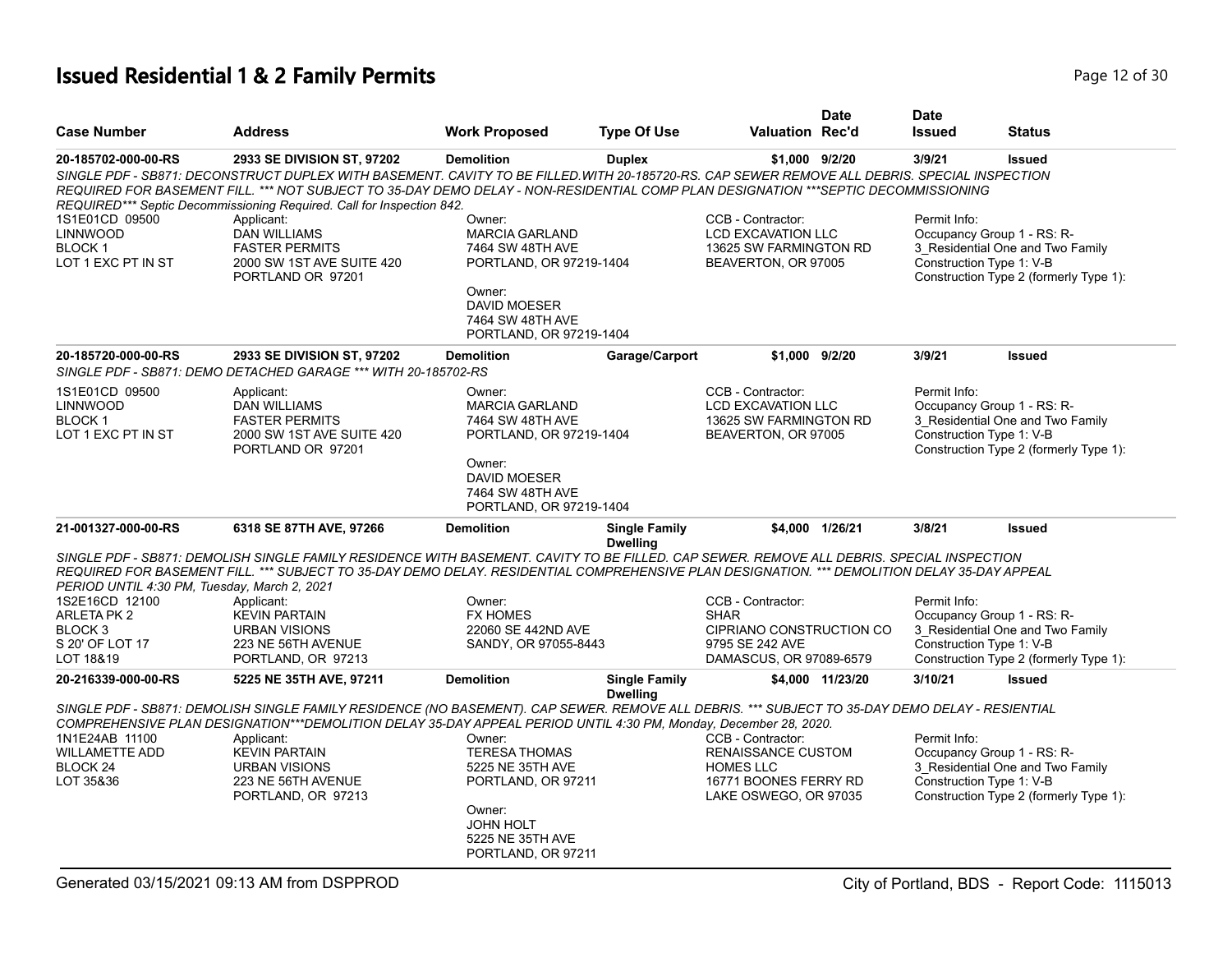#### **Issued Residential 1 & 2 Family Permits Page 12 of 30 Page 12 of 30**

| <b>Case Number</b>                                                       | <b>Address</b>                                                                                                                                                                                                                                                                                                                                                                            | <b>Work Proposed</b>                                                                                                                                           | <b>Type Of Use</b>                      | <b>Valuation Rec'd</b>                                                                          | <b>Date</b>      | <b>Date</b><br><b>Issued</b> | <b>Status</b>                                                                                                                        |
|--------------------------------------------------------------------------|-------------------------------------------------------------------------------------------------------------------------------------------------------------------------------------------------------------------------------------------------------------------------------------------------------------------------------------------------------------------------------------------|----------------------------------------------------------------------------------------------------------------------------------------------------------------|-----------------------------------------|-------------------------------------------------------------------------------------------------|------------------|------------------------------|--------------------------------------------------------------------------------------------------------------------------------------|
| 20-185702-000-00-RS                                                      | 2933 SE DIVISION ST, 97202<br>SINGLE PDF - SB871: DECONSTRUCT DUPLEX WITH BASEMENT. CAVITY TO BE FILLED WITH 20-185720-RS. CAP SEWER REMOVE ALL DEBRIS. SPECIAL INSPECTION<br>REQUIRED FOR BASEMENT FILL. *** NOT SUBJECT TO 35-DAY DEMO DELAY - NON-RESIDENTIAL COMP PLAN DESIGNATION ***SEPTIC DECOMMISSIONING<br>REQUIRED*** Septic Decommissioning Required. Call for Inspection 842. | <b>Demolition</b>                                                                                                                                              | <b>Duplex</b>                           | \$1,000 9/2/20                                                                                  |                  | 3/9/21                       | <b>Issued</b>                                                                                                                        |
| 1S1E01CD 09500<br><b>LINNWOOD</b><br><b>BLOCK1</b><br>LOT 1 EXC PT IN ST | Applicant:<br><b>DAN WILLIAMS</b><br><b>FASTER PERMITS</b><br>2000 SW 1ST AVE SUITE 420<br>PORTLAND OR 97201                                                                                                                                                                                                                                                                              | Owner:<br><b>MARCIA GARLAND</b><br>7464 SW 48TH AVE<br>PORTLAND, OR 97219-1404<br>Owner:<br><b>DAVID MOESER</b><br>7464 SW 48TH AVE<br>PORTLAND, OR 97219-1404 |                                         | CCB - Contractor:<br><b>LCD EXCAVATION LLC</b><br>13625 SW FARMINGTON RD<br>BEAVERTON, OR 97005 |                  | Permit Info:                 | Occupancy Group 1 - RS: R-<br>3_Residential One and Two Family<br>Construction Type 1: V-B<br>Construction Type 2 (formerly Type 1): |
| 20-185720-000-00-RS                                                      | 2933 SE DIVISION ST, 97202<br>SINGLE PDF - SB871: DEMO DETACHED GARAGE *** WITH 20-185702-RS                                                                                                                                                                                                                                                                                              | <b>Demolition</b>                                                                                                                                              | Garage/Carport                          | \$1.000 9/2/20                                                                                  |                  | 3/9/21                       | <b>Issued</b>                                                                                                                        |
| 1S1E01CD 09500<br><b>LINNWOOD</b><br><b>BLOCK1</b><br>LOT 1 EXC PT IN ST | Applicant:<br><b>DAN WILLIAMS</b><br><b>FASTER PERMITS</b><br>2000 SW 1ST AVE SUITE 420<br>PORTLAND OR 97201                                                                                                                                                                                                                                                                              | Owner:<br><b>MARCIA GARLAND</b><br>7464 SW 48TH AVE<br>PORTLAND, OR 97219-1404<br>Owner:<br><b>DAVID MOESER</b><br>7464 SW 48TH AVE<br>PORTLAND, OR 97219-1404 |                                         | CCB - Contractor:<br><b>LCD EXCAVATION LLC</b><br>13625 SW FARMINGTON RD<br>BEAVERTON, OR 97005 |                  | Permit Info:                 | Occupancy Group 1 - RS: R-<br>3 Residential One and Two Family<br>Construction Type 1: V-B<br>Construction Type 2 (formerly Type 1): |
| 21-001327-000-00-RS                                                      | 6318 SE 87TH AVE, 97266<br>SINGLE PDF - SB871: DEMOLISH SINGLE FAMILY RESIDENCE WITH BASEMENT. CAVITY TO BE FILLED. CAP SEWER. REMOVE ALL DEBRIS. SPECIAL INSPECTION<br>REQUIRED FOR BASEMENT FILL. *** SUBJECT TO 35-DAY DEMO DELAY. RESIDENTIAL COMPREHENSIVE PLAN DESIGNATION. *** DEMOLITION DELAY 35-DAY APPEAL                                                                      | <b>Demolition</b>                                                                                                                                              | <b>Single Family</b><br><b>Dwelling</b> |                                                                                                 | \$4.000 1/26/21  | 3/8/21                       | <b>Issued</b>                                                                                                                        |
| PERIOD UNTIL 4:30 PM, Tuesday, March 2, 2021<br>1S2E16CD 12100           | Applicant:                                                                                                                                                                                                                                                                                                                                                                                | Owner:                                                                                                                                                         |                                         | CCB - Contractor:                                                                               |                  | Permit Info:                 |                                                                                                                                      |
| ARLETA PK 2                                                              | <b>KEVIN PARTAIN</b>                                                                                                                                                                                                                                                                                                                                                                      | <b>FX HOMES</b>                                                                                                                                                |                                         | <b>SHAR</b>                                                                                     |                  |                              | Occupancy Group 1 - RS: R-                                                                                                           |
| BLOCK <sub>3</sub>                                                       | <b>URBAN VISIONS</b>                                                                                                                                                                                                                                                                                                                                                                      | 22060 SE 442ND AVE                                                                                                                                             |                                         | CIPRIANO CONSTRUCTION CO                                                                        |                  |                              | 3 Residential One and Two Family                                                                                                     |
| S 20' OF LOT 17<br>LOT 18&19                                             | 223 NE 56TH AVENUE<br>PORTLAND, OR 97213                                                                                                                                                                                                                                                                                                                                                  | SANDY, OR 97055-8443                                                                                                                                           |                                         | 9795 SE 242 AVE<br>DAMASCUS, OR 97089-6579                                                      |                  |                              | Construction Type 1: V-B<br>Construction Type 2 (formerly Type 1):                                                                   |
| 20-216339-000-00-RS                                                      | 5225 NE 35TH AVE, 97211                                                                                                                                                                                                                                                                                                                                                                   | <b>Demolition</b>                                                                                                                                              | <b>Single Family</b><br><b>Dwelling</b> |                                                                                                 | \$4,000 11/23/20 | 3/10/21                      | <b>Issued</b>                                                                                                                        |
|                                                                          | SINGLE PDF - SB871: DEMOLISH SINGLE FAMILY RESIDENCE (NO BASEMENT). CAP SEWER. REMOVE ALL DEBRIS. *** SUBJECT TO 35-DAY DEMO DELAY - RESIENTIAL<br>COMPREHENSIVE PLAN DESIGNATION***DEMOLITION DELAY 35-DAY APPEAL PERIOD UNTIL 4:30 PM, Monday, December 28, 2020.                                                                                                                       |                                                                                                                                                                |                                         |                                                                                                 |                  |                              |                                                                                                                                      |
| 1N1E24AB 11100                                                           | Applicant:                                                                                                                                                                                                                                                                                                                                                                                | Owner:                                                                                                                                                         |                                         | CCB - Contractor:                                                                               |                  | Permit Info:                 |                                                                                                                                      |
| <b>WILLAMETTE ADD</b>                                                    | <b>KEVIN PARTAIN</b>                                                                                                                                                                                                                                                                                                                                                                      | <b>TERESA THOMAS</b>                                                                                                                                           |                                         | RENAISSANCE CUSTOM                                                                              |                  |                              | Occupancy Group 1 - RS: R-                                                                                                           |
| BLOCK 24<br>LOT 35&36                                                    | <b>URBAN VISIONS</b><br>223 NE 56TH AVENUE                                                                                                                                                                                                                                                                                                                                                | 5225 NE 35TH AVE<br>PORTLAND, OR 97211                                                                                                                         |                                         | <b>HOMES LLC</b><br>16771 BOONES FERRY RD                                                       |                  |                              | 3_Residential One and Two Family<br>Construction Type 1: V-B                                                                         |
|                                                                          | PORTLAND, OR 97213                                                                                                                                                                                                                                                                                                                                                                        | Owner:                                                                                                                                                         |                                         | LAKE OSWEGO, OR 97035                                                                           |                  |                              | Construction Type 2 (formerly Type 1):                                                                                               |
|                                                                          |                                                                                                                                                                                                                                                                                                                                                                                           | <b>JOHN HOLT</b><br>5225 NE 35TH AVE<br>PORTLAND, OR 97211                                                                                                     |                                         |                                                                                                 |                  |                              |                                                                                                                                      |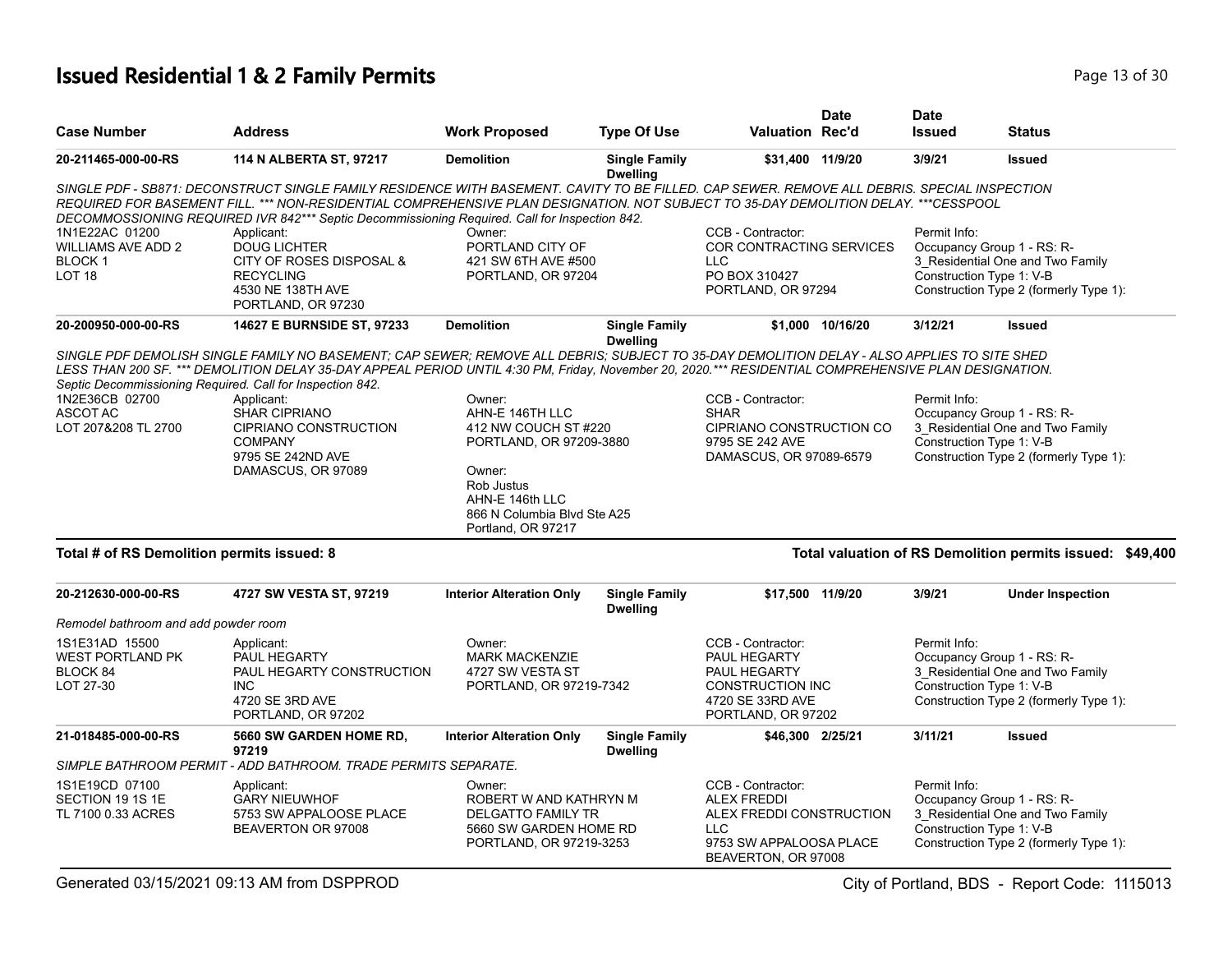#### **Issued Residential 1 & 2 Family Permits Page 13 of 30 Page 13 of 30**

| <b>Case Number</b>                                                            | <b>Address</b>                                                                                                                                                                                                                                                                                                                                                                                                                                                                               | <b>Work Proposed</b>                                                                                                                                                         | <b>Type Of Use</b>                      | Valuation Rec'd                                                                                                                     | <b>Date</b>      | <b>Date</b><br><b>Issued</b> | <b>Status</b>                                                                                                                        |
|-------------------------------------------------------------------------------|----------------------------------------------------------------------------------------------------------------------------------------------------------------------------------------------------------------------------------------------------------------------------------------------------------------------------------------------------------------------------------------------------------------------------------------------------------------------------------------------|------------------------------------------------------------------------------------------------------------------------------------------------------------------------------|-----------------------------------------|-------------------------------------------------------------------------------------------------------------------------------------|------------------|------------------------------|--------------------------------------------------------------------------------------------------------------------------------------|
| 20-211465-000-00-RS                                                           | 114 N ALBERTA ST, 97217                                                                                                                                                                                                                                                                                                                                                                                                                                                                      | <b>Demolition</b>                                                                                                                                                            | <b>Single Family</b><br><b>Dwelling</b> | \$31,400 11/9/20                                                                                                                    |                  | 3/9/21                       | <b>Issued</b>                                                                                                                        |
|                                                                               | SINGLE PDF - SB871: DECONSTRUCT SINGLE FAMILY RESIDENCE WITH BASEMENT. CAVITY TO BE FILLED. CAP SEWER. REMOVE ALL DEBRIS. SPECIAL INSPECTION<br>REQUIRED FOR BASEMENT FILL. *** NON-RESIDENTIAL COMPREHENSIVE PLAN DESIGNATION. NOT SUBJECT TO 35-DAY DEMOLITION DELAY. ***CESSPOOL<br>DECOMMOSSIONING REQUIRED IVR 842*** Septic Decommissioning Required. Call for Inspection 842.                                                                                                         |                                                                                                                                                                              |                                         |                                                                                                                                     |                  |                              |                                                                                                                                      |
| 1N1E22AC 01200<br><b>WILLIAMS AVE ADD 2</b><br><b>BLOCK1</b><br><b>LOT 18</b> | Applicant:<br><b>DOUG LICHTER</b><br>CITY OF ROSES DISPOSAL &<br><b>RECYCLING</b><br>4530 NE 138TH AVE<br>PORTLAND, OR 97230                                                                                                                                                                                                                                                                                                                                                                 | Owner:<br>PORTLAND CITY OF<br>421 SW 6TH AVE #500<br>PORTLAND, OR 97204                                                                                                      |                                         | CCB - Contractor:<br>COR CONTRACTING SERVICES<br><b>LLC</b><br>PO BOX 310427<br>PORTLAND, OR 97294                                  |                  | Permit Info:                 | Occupancy Group 1 - RS: R-<br>3 Residential One and Two Family<br>Construction Type 1: V-B<br>Construction Type 2 (formerly Type 1): |
| 20-200950-000-00-RS                                                           | 14627 E BURNSIDE ST, 97233                                                                                                                                                                                                                                                                                                                                                                                                                                                                   | <b>Demolition</b>                                                                                                                                                            | <b>Single Family</b><br><b>Dwelling</b> |                                                                                                                                     | \$1.000 10/16/20 | 3/12/21                      | <b>Issued</b>                                                                                                                        |
| 1N2E36CB 02700<br><b>ASCOT AC</b><br>LOT 207&208 TL 2700                      | SINGLE PDF DEMOLISH SINGLE FAMILY NO BASEMENT; CAP SEWER; REMOVE ALL DEBRIS; SUBJECT TO 35-DAY DEMOLITION DELAY - ALSO APPLIES TO SITE SHED<br>LESS THAN 200 SF. *** DEMOLITION DELAY 35-DAY APPEAL PERIOD UNTIL 4:30 PM, Friday, November 20, 2020.*** RESIDENTIAL COMPREHENSIVE PLAN DESIGNATION.<br>Septic Decommissioning Required. Call for Inspection 842.<br>Applicant:<br>SHAR CIPRIANO<br><b>CIPRIANO CONSTRUCTION</b><br><b>COMPANY</b><br>9795 SE 242ND AVE<br>DAMASCUS, OR 97089 | Owner:<br>AHN-E 146TH LLC<br>412 NW COUCH ST #220<br>PORTLAND, OR 97209-3880<br>Owner:<br>Rob Justus<br>AHN-E 146th LLC<br>866 N Columbia Blvd Ste A25<br>Portland, OR 97217 |                                         | CCB - Contractor:<br><b>SHAR</b><br>CIPRIANO CONSTRUCTION CO<br>9795 SE 242 AVE<br>DAMASCUS, OR 97089-6579                          |                  | Permit Info:                 | Occupancy Group 1 - RS: R-<br>3_Residential One and Two Family<br>Construction Type 1: V-B<br>Construction Type 2 (formerly Type 1): |
| Total # of RS Demolition permits issued: 8                                    |                                                                                                                                                                                                                                                                                                                                                                                                                                                                                              |                                                                                                                                                                              |                                         |                                                                                                                                     |                  |                              | Total valuation of RS Demolition permits issued: \$49,400                                                                            |
| 20-212630-000-00-RS<br>Remodel bathroom and add powder room                   | 4727 SW VESTA ST, 97219                                                                                                                                                                                                                                                                                                                                                                                                                                                                      | <b>Interior Alteration Only</b>                                                                                                                                              | <b>Single Family</b><br><b>Dwelling</b> | \$17,500 11/9/20                                                                                                                    |                  | 3/9/21                       | <b>Under Inspection</b>                                                                                                              |
| 1S1E31AD 15500<br><b>WEST PORTLAND PK</b><br>BLOCK 84<br>LOT 27-30            | Applicant:<br>PAUL HEGARTY<br>PAUL HEGARTY CONSTRUCTION<br><b>INC</b><br>4720 SE 3RD AVE<br>PORTLAND, OR 97202                                                                                                                                                                                                                                                                                                                                                                               | Owner:<br><b>MARK MACKENZIE</b><br>4727 SW VESTA ST<br>PORTLAND, OR 97219-7342                                                                                               |                                         | CCB - Contractor:<br>PAUL HEGARTY<br>PAUL HEGARTY<br>CONSTRUCTION INC<br>4720 SE 33RD AVE<br>PORTLAND, OR 97202                     |                  | Permit Info:                 | Occupancy Group 1 - RS: R-<br>3_Residential One and Two Family<br>Construction Type 1: V-B<br>Construction Type 2 (formerly Type 1): |
| 21-018485-000-00-RS                                                           | 5660 SW GARDEN HOME RD,<br>97219                                                                                                                                                                                                                                                                                                                                                                                                                                                             | <b>Interior Alteration Only</b>                                                                                                                                              | <b>Single Family</b><br><b>Dwelling</b> | \$46,300 2/25/21                                                                                                                    |                  | 3/11/21                      | <b>Issued</b>                                                                                                                        |
|                                                                               | SIMPLE BATHROOM PERMIT - ADD BATHROOM. TRADE PERMITS SEPARATE.                                                                                                                                                                                                                                                                                                                                                                                                                               |                                                                                                                                                                              |                                         |                                                                                                                                     |                  |                              |                                                                                                                                      |
| 1S1E19CD 07100<br>SECTION 19 1S 1E<br>TL 7100 0.33 ACRES                      | Applicant:<br><b>GARY NIEUWHOF</b><br>5753 SW APPALOOSE PLACE<br>BEAVERTON OR 97008                                                                                                                                                                                                                                                                                                                                                                                                          | Owner:<br>ROBERT W AND KATHRYN M<br><b>DELGATTO FAMILY TR</b><br>5660 SW GARDEN HOME RD<br>PORTLAND, OR 97219-3253                                                           |                                         | CCB - Contractor:<br><b>ALEX FREDDI</b><br>ALEX FREDDI CONSTRUCTION<br><b>LLC</b><br>9753 SW APPALOOSA PLACE<br>BEAVERTON, OR 97008 |                  | Permit Info:                 | Occupancy Group 1 - RS: R-<br>3_Residential One and Two Family<br>Construction Type 1: V-B<br>Construction Type 2 (formerly Type 1): |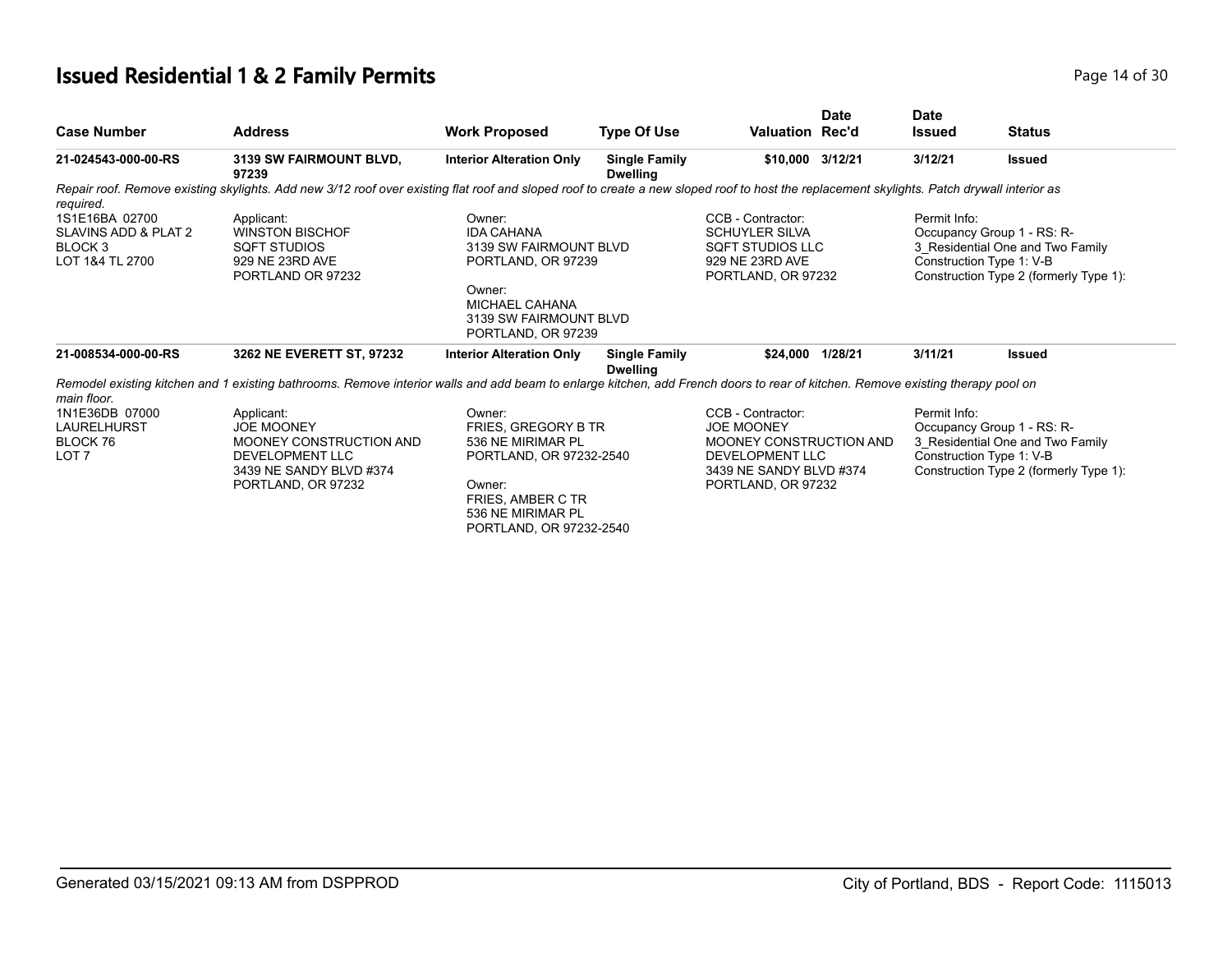## **Issued Residential 1 & 2 Family Permits Page 14 of 30 Page 14 of 30**

| <b>Case Number</b>                                                   | <b>Address</b>                                                                                                                                                                             | <b>Work Proposed</b>                                                                                                                                                | <b>Type Of Use</b>                      | <b>Valuation Rec'd</b>                                                                                                                       | <b>Date</b> | <b>Date</b><br><b>Issued</b>             | <b>Status</b>                                                                                                                        |
|----------------------------------------------------------------------|--------------------------------------------------------------------------------------------------------------------------------------------------------------------------------------------|---------------------------------------------------------------------------------------------------------------------------------------------------------------------|-----------------------------------------|----------------------------------------------------------------------------------------------------------------------------------------------|-------------|------------------------------------------|--------------------------------------------------------------------------------------------------------------------------------------|
| 21-024543-000-00-RS                                                  | 3139 SW FAIRMOUNT BLVD,<br>97239                                                                                                                                                           | <b>Interior Alteration Only</b>                                                                                                                                     | <b>Single Family</b><br><b>Dwelling</b> | \$10.000 3/12/21                                                                                                                             |             | 3/12/21                                  | <b>Issued</b>                                                                                                                        |
| required.                                                            | Repair roof. Remove existing skylights. Add new 3/12 roof over existing flat roof and sloped roof to create a new sloped roof to host the replacement skylights. Patch drywall interior as |                                                                                                                                                                     |                                         |                                                                                                                                              |             |                                          |                                                                                                                                      |
| 1S1E16BA 02700<br>SLAVINS ADD & PLAT 2<br>BLOCK 3<br>LOT 1&4 TL 2700 | Applicant:<br><b>WINSTON BISCHOF</b><br><b>SQFT STUDIOS</b><br>929 NE 23RD AVE<br>PORTLAND OR 97232                                                                                        | Owner:<br><b>IDA CAHANA</b><br>3139 SW FAIRMOUNT BLVD<br>PORTLAND, OR 97239<br>Owner:<br>MICHAEL CAHANA<br>3139 SW FAIRMOUNT BLVD<br>PORTLAND, OR 97239             |                                         | CCB - Contractor:<br><b>SCHUYLER SILVA</b><br>SQFT STUDIOS LLC<br>929 NE 23RD AVE<br>PORTLAND, OR 97232                                      |             | Permit Info:                             | Occupancy Group 1 - RS: R-<br>3 Residential One and Two Family<br>Construction Type 1: V-B<br>Construction Type 2 (formerly Type 1): |
| 21-008534-000-00-RS                                                  | 3262 NE EVERETT ST, 97232                                                                                                                                                                  | <b>Interior Alteration Only</b>                                                                                                                                     | <b>Single Family</b><br><b>Dwelling</b> | \$24,000 1/28/21                                                                                                                             |             | 3/11/21                                  | <b>Issued</b>                                                                                                                        |
| main floor.                                                          | Remodel existing kitchen and 1 existing bathrooms. Remove interior walls and add beam to enlarge kitchen, add French doors to rear of kitchen. Remove existing therapy pool on             |                                                                                                                                                                     |                                         |                                                                                                                                              |             |                                          |                                                                                                                                      |
| 1N1E36DB 07000<br>LAURELHURST<br>BLOCK 76<br>LOT <sub>7</sub>        | Applicant:<br><b>JOE MOONEY</b><br>MOONEY CONSTRUCTION AND<br>DEVELOPMENT LLC<br>3439 NE SANDY BLVD #374<br>PORTLAND, OR 97232                                                             | Owner:<br><b>FRIES, GREGORY B TR</b><br>536 NE MIRIMAR PL<br>PORTLAND, OR 97232-2540<br>Owner:<br>FRIES, AMBER C TR<br>536 NE MIRIMAR PL<br>PORTLAND, OR 97232-2540 |                                         | CCB - Contractor:<br><b>JOE MOONEY</b><br>MOONEY CONSTRUCTION AND<br><b>DEVELOPMENT LLC</b><br>3439 NE SANDY BLVD #374<br>PORTLAND, OR 97232 |             | Permit Info:<br>Construction Type 1: V-B | Occupancy Group 1 - RS: R-<br>3 Residential One and Two Family<br>Construction Type 2 (formerly Type 1):                             |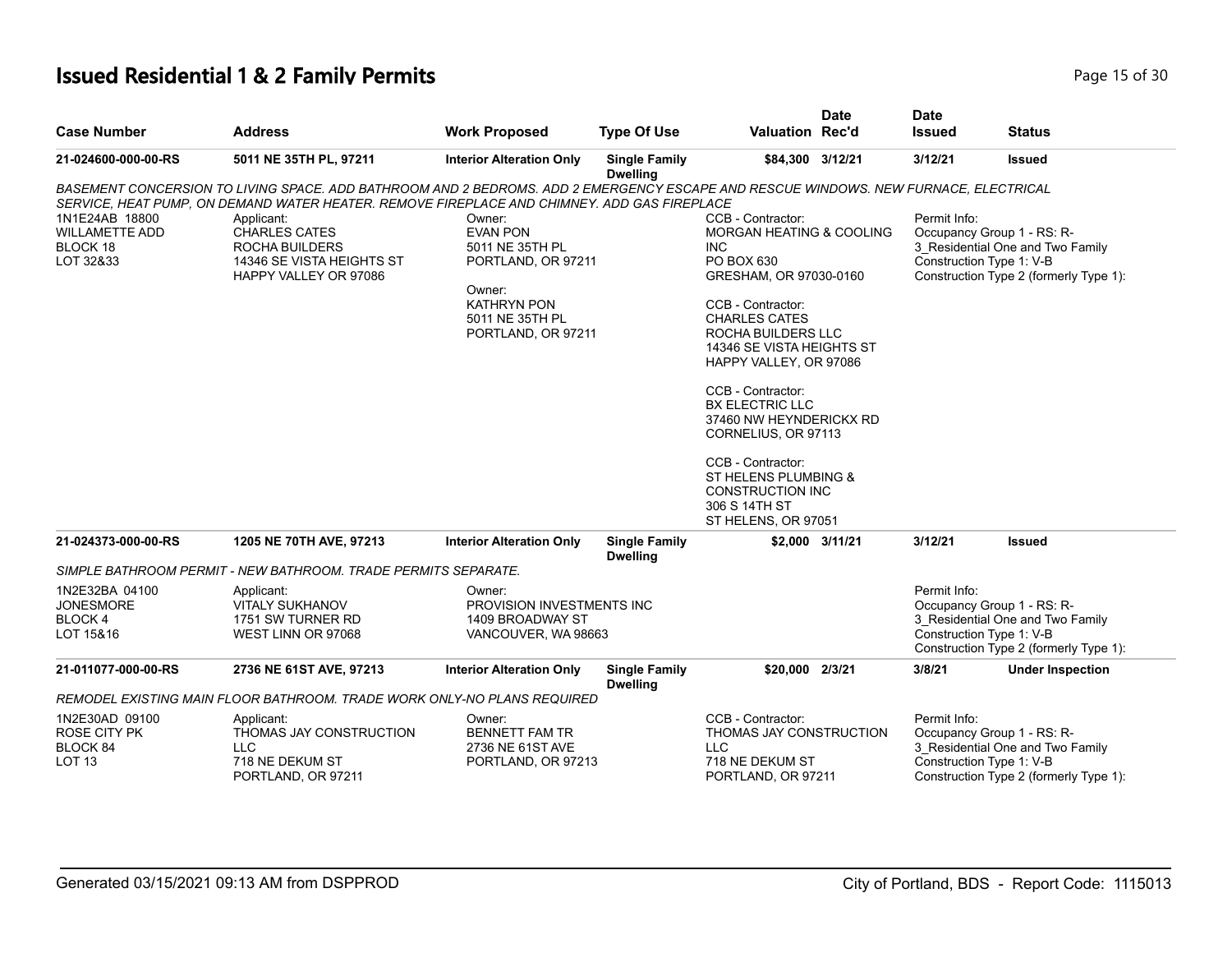#### **Issued Residential 1 & 2 Family Permits Page 15 of 30 Page 15 of 30**

| <b>Case Number</b>                                                     | <b>Address</b>                                                                                                                                                                                                                                                                                                                                   | <b>Work Proposed</b>                                                                                                                        | <b>Type Of Use</b>                      | <b>Valuation Rec'd</b>                                                                                                                                                                                                                                                                                                                                                                                                                  | <b>Date</b>     | <b>Date</b><br><b>Issued</b>             | <b>Status</b>                                                                                            |
|------------------------------------------------------------------------|--------------------------------------------------------------------------------------------------------------------------------------------------------------------------------------------------------------------------------------------------------------------------------------------------------------------------------------------------|---------------------------------------------------------------------------------------------------------------------------------------------|-----------------------------------------|-----------------------------------------------------------------------------------------------------------------------------------------------------------------------------------------------------------------------------------------------------------------------------------------------------------------------------------------------------------------------------------------------------------------------------------------|-----------------|------------------------------------------|----------------------------------------------------------------------------------------------------------|
| 21-024600-000-00-RS                                                    | 5011 NE 35TH PL, 97211                                                                                                                                                                                                                                                                                                                           | <b>Interior Alteration Only</b>                                                                                                             | <b>Single Family</b><br><b>Dwelling</b> | \$84,300 3/12/21                                                                                                                                                                                                                                                                                                                                                                                                                        |                 | 3/12/21                                  | <b>Issued</b>                                                                                            |
| 1N1E24AB 18800<br><b>WILLAMETTE ADD</b><br>BLOCK 18<br>LOT 32&33       | BASEMENT CONCERSION TO LIVING SPACE. ADD BATHROOM AND 2 BEDROMS. ADD 2 EMERGENCY ESCAPE AND RESCUE WINDOWS. NEW FURNACE, ELECTRICAL<br>SERVICE, HEAT PUMP, ON DEMAND WATER HEATER. REMOVE FIREPLACE AND CHIMNEY. ADD GAS FIREPLACE<br>Applicant:<br><b>CHARLES CATES</b><br>ROCHA BUILDERS<br>14346 SE VISTA HEIGHTS ST<br>HAPPY VALLEY OR 97086 | Owner:<br><b>EVAN PON</b><br>5011 NE 35TH PL<br>PORTLAND, OR 97211<br>Owner:<br><b>KATHRYN PON</b><br>5011 NE 35TH PL<br>PORTLAND, OR 97211 |                                         | CCB - Contractor:<br>MORGAN HEATING & COOLING<br><b>INC</b><br>PO BOX 630<br>GRESHAM, OR 97030-0160<br>CCB - Contractor:<br><b>CHARLES CATES</b><br>ROCHA BUILDERS LLC<br>14346 SE VISTA HEIGHTS ST<br>HAPPY VALLEY, OR 97086<br>CCB - Contractor:<br><b>BX ELECTRIC LLC</b><br>37460 NW HEYNDERICKX RD<br>CORNELIUS, OR 97113<br>CCB - Contractor:<br>ST HELENS PLUMBING &<br>CONSTRUCTION INC<br>306 S 14TH ST<br>ST HELENS, OR 97051 |                 | Permit Info:<br>Construction Type 1: V-B | Occupancy Group 1 - RS: R-<br>3_Residential One and Two Family<br>Construction Type 2 (formerly Type 1): |
| 21-024373-000-00-RS                                                    | 1205 NE 70TH AVE, 97213                                                                                                                                                                                                                                                                                                                          | <b>Interior Alteration Only</b>                                                                                                             | <b>Single Family</b><br><b>Dwelling</b> |                                                                                                                                                                                                                                                                                                                                                                                                                                         | \$2,000 3/11/21 | 3/12/21                                  | <b>Issued</b>                                                                                            |
|                                                                        | SIMPLE BATHROOM PERMIT - NEW BATHROOM. TRADE PERMITS SEPARATE.                                                                                                                                                                                                                                                                                   |                                                                                                                                             |                                         |                                                                                                                                                                                                                                                                                                                                                                                                                                         |                 |                                          |                                                                                                          |
| 1N2E32BA 04100<br><b>JONESMORE</b><br><b>BLOCK4</b><br>LOT 15&16       | Applicant:<br><b>VITALY SUKHANOV</b><br>1751 SW TURNER RD<br>WEST LINN OR 97068                                                                                                                                                                                                                                                                  | Owner:<br>PROVISION INVESTMENTS INC<br>1409 BROADWAY ST<br>VANCOUVER, WA 98663                                                              |                                         |                                                                                                                                                                                                                                                                                                                                                                                                                                         |                 | Permit Info:<br>Construction Type 1: V-B | Occupancy Group 1 - RS: R-<br>3 Residential One and Two Family<br>Construction Type 2 (formerly Type 1): |
| 21-011077-000-00-RS                                                    | 2736 NE 61ST AVE, 97213                                                                                                                                                                                                                                                                                                                          | <b>Interior Alteration Only</b>                                                                                                             | <b>Single Family</b><br><b>Dwelling</b> | \$20,000 2/3/21                                                                                                                                                                                                                                                                                                                                                                                                                         |                 | 3/8/21                                   | <b>Under Inspection</b>                                                                                  |
|                                                                        | REMODEL EXISTING MAIN FLOOR BATHROOM. TRADE WORK ONLY-NO PLANS REQUIRED                                                                                                                                                                                                                                                                          |                                                                                                                                             |                                         |                                                                                                                                                                                                                                                                                                                                                                                                                                         |                 |                                          |                                                                                                          |
| 1N2E30AD 09100<br><b>ROSE CITY PK</b><br>BLOCK 84<br>LOT <sub>13</sub> | Applicant:<br>THOMAS JAY CONSTRUCTION<br><b>LLC</b><br>718 NE DEKUM ST<br>PORTLAND, OR 97211                                                                                                                                                                                                                                                     | Owner:<br><b>BENNETT FAM TR</b><br>2736 NE 61ST AVE<br>PORTLAND, OR 97213                                                                   |                                         | CCB - Contractor:<br>THOMAS JAY CONSTRUCTION<br>LLC<br>718 NE DEKUM ST<br>PORTLAND, OR 97211                                                                                                                                                                                                                                                                                                                                            |                 | Permit Info:<br>Construction Type 1: V-B | Occupancy Group 1 - RS: R-<br>3_Residential One and Two Family<br>Construction Type 2 (formerly Type 1): |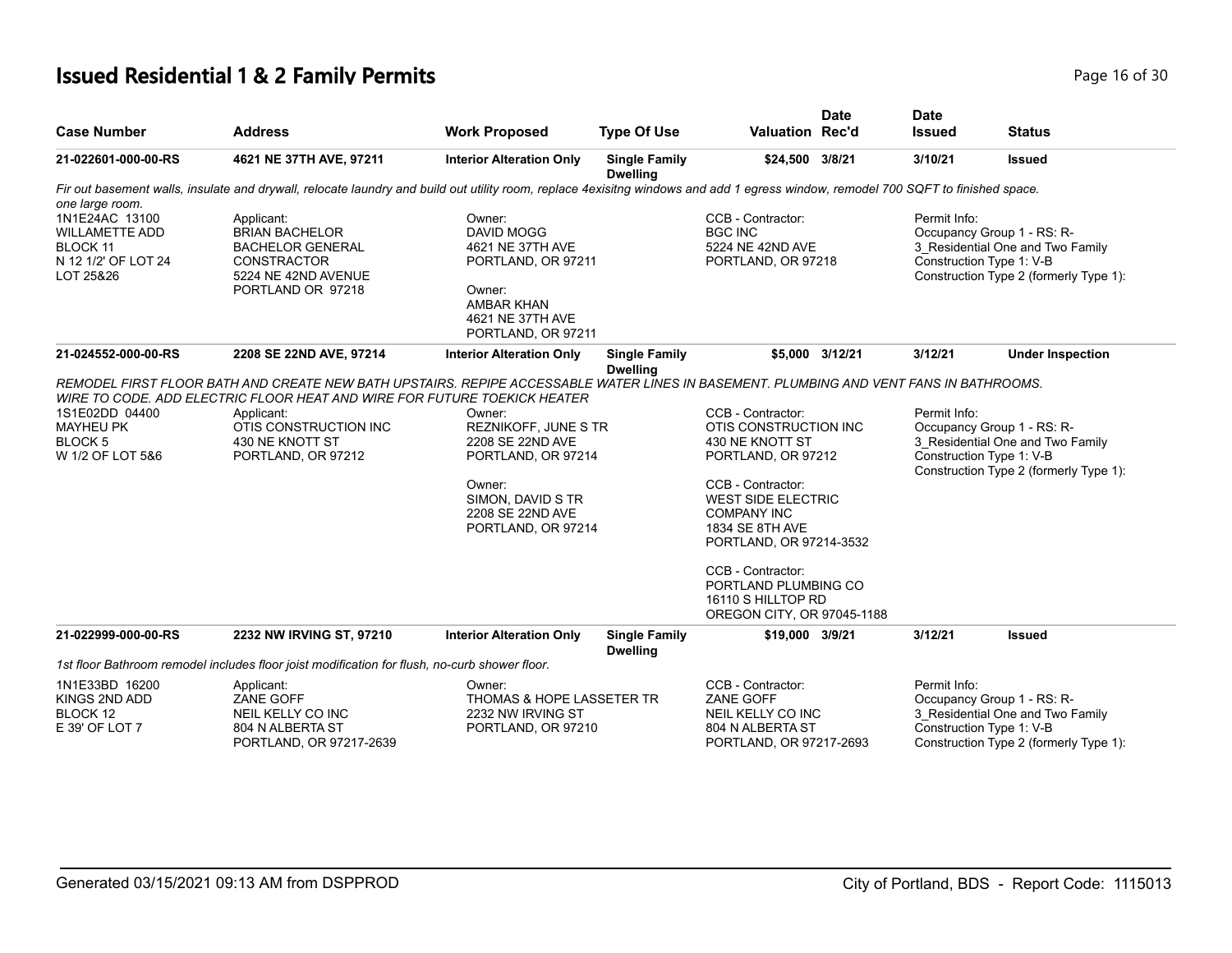#### **Issued Residential 1 & 2 Family Permits Page 16 of 30 Page 16 of 30**

| <b>Case Number</b>                                                                      | <b>Address</b>                                                                                                                                                                                                                                                                                     | <b>Work Proposed</b>                                                                                                                                     | <b>Type Of Use</b>                      | <b>Valuation Rec'd</b>                                                                                                                                                                                                                                                                                     | <b>Date</b>     | <b>Date</b><br><b>Issued</b> | <b>Status</b>                                                                                                                        |
|-----------------------------------------------------------------------------------------|----------------------------------------------------------------------------------------------------------------------------------------------------------------------------------------------------------------------------------------------------------------------------------------------------|----------------------------------------------------------------------------------------------------------------------------------------------------------|-----------------------------------------|------------------------------------------------------------------------------------------------------------------------------------------------------------------------------------------------------------------------------------------------------------------------------------------------------------|-----------------|------------------------------|--------------------------------------------------------------------------------------------------------------------------------------|
| 21-022601-000-00-RS                                                                     | 4621 NE 37TH AVE, 97211                                                                                                                                                                                                                                                                            | <b>Interior Alteration Only</b>                                                                                                                          | <b>Single Family</b><br><b>Dwelling</b> | \$24,500 3/8/21                                                                                                                                                                                                                                                                                            |                 | 3/10/21                      | <b>Issued</b>                                                                                                                        |
| one large room.                                                                         | Fir out basement walls, insulate and drywall, relocate laundry and build out utility room, replace 4exisitng windows and add 1 egress window, remodel 700 SQFT to finished space.                                                                                                                  |                                                                                                                                                          |                                         |                                                                                                                                                                                                                                                                                                            |                 |                              |                                                                                                                                      |
| 1N1E24AC 13100<br><b>WILLAMETTE ADD</b><br>BLOCK 11<br>N 12 1/2' OF LOT 24<br>LOT 25&26 | Applicant:<br><b>BRIAN BACHELOR</b><br><b>BACHELOR GENERAL</b><br><b>CONSTRACTOR</b><br>5224 NE 42ND AVENUE<br>PORTLAND OR 97218                                                                                                                                                                   | Owner:<br><b>DAVID MOGG</b><br>4621 NE 37TH AVE<br>PORTLAND, OR 97211<br>Owner:<br><b>AMBAR KHAN</b><br>4621 NE 37TH AVE<br>PORTLAND, OR 97211           |                                         | CCB - Contractor:<br><b>BGC INC</b><br>5224 NE 42ND AVE<br>PORTLAND, OR 97218                                                                                                                                                                                                                              |                 | Permit Info:                 | Occupancy Group 1 - RS: R-<br>3 Residential One and Two Family<br>Construction Type 1: V-B<br>Construction Type 2 (formerly Type 1): |
| 21-024552-000-00-RS                                                                     | 2208 SE 22ND AVE, 97214                                                                                                                                                                                                                                                                            | <b>Interior Alteration Only</b>                                                                                                                          | <b>Single Family</b><br><b>Dwelling</b> |                                                                                                                                                                                                                                                                                                            | \$5,000 3/12/21 | 3/12/21                      | <b>Under Inspection</b>                                                                                                              |
| 1S1E02DD 04400<br><b>MAYHEU PK</b><br><b>BLOCK5</b><br>W 1/2 OF LOT 5&6                 | REMODEL FIRST FLOOR BATH AND CREATE NEW BATH UPSTAIRS. REPIPE ACCESSABLE WATER LINES IN BASEMENT. PLUMBING AND VENT FANS IN BATHROOMS.<br>WIRE TO CODE. ADD ELECTRIC FLOOR HEAT AND WIRE FOR FUTURE TOEKICK HEATER<br>Applicant:<br>OTIS CONSTRUCTION INC<br>430 NE KNOTT ST<br>PORTLAND, OR 97212 | Owner:<br><b>REZNIKOFF, JUNE S TR</b><br>2208 SE 22ND AVE<br>PORTLAND, OR 97214<br>Owner:<br>SIMON, DAVID S TR<br>2208 SE 22ND AVE<br>PORTLAND, OR 97214 |                                         | CCB - Contractor:<br>OTIS CONSTRUCTION INC<br>430 NE KNOTT ST<br>PORTLAND, OR 97212<br>CCB - Contractor:<br><b>WEST SIDE ELECTRIC</b><br><b>COMPANY INC</b><br>1834 SE 8TH AVE<br>PORTLAND, OR 97214-3532<br>CCB - Contractor:<br>PORTLAND PLUMBING CO<br>16110 S HILLTOP RD<br>OREGON CITY, OR 97045-1188 |                 | Permit Info:                 | Occupancy Group 1 - RS: R-<br>3 Residential One and Two Family<br>Construction Type 1: V-B<br>Construction Type 2 (formerly Type 1): |
| 21-022999-000-00-RS                                                                     | 2232 NW IRVING ST, 97210                                                                                                                                                                                                                                                                           | <b>Interior Alteration Only</b>                                                                                                                          | <b>Single Family</b><br><b>Dwelling</b> | \$19,000 3/9/21                                                                                                                                                                                                                                                                                            |                 | 3/12/21                      | <b>Issued</b>                                                                                                                        |
|                                                                                         | 1st floor Bathroom remodel includes floor joist modification for flush, no-curb shower floor.                                                                                                                                                                                                      |                                                                                                                                                          |                                         |                                                                                                                                                                                                                                                                                                            |                 |                              |                                                                                                                                      |
| 1N1E33BD 16200<br>KINGS 2ND ADD<br>BLOCK 12<br>E 39' OF LOT 7                           | Applicant:<br>ZANE GOFF<br>NEIL KELLY CO INC<br>804 N ALBERTA ST<br>PORTLAND, OR 97217-2639                                                                                                                                                                                                        | Owner:<br><b>THOMAS &amp; HOPE LASSETER TR</b><br>2232 NW IRVING ST<br>PORTLAND, OR 97210                                                                |                                         | CCB - Contractor:<br>ZANE GOFF<br>NEIL KELLY CO INC<br>804 N ALBERTA ST<br>PORTLAND, OR 97217-2693                                                                                                                                                                                                         |                 | Permit Info:                 | Occupancy Group 1 - RS: R-<br>3 Residential One and Two Family<br>Construction Type 1: V-B<br>Construction Type 2 (formerly Type 1): |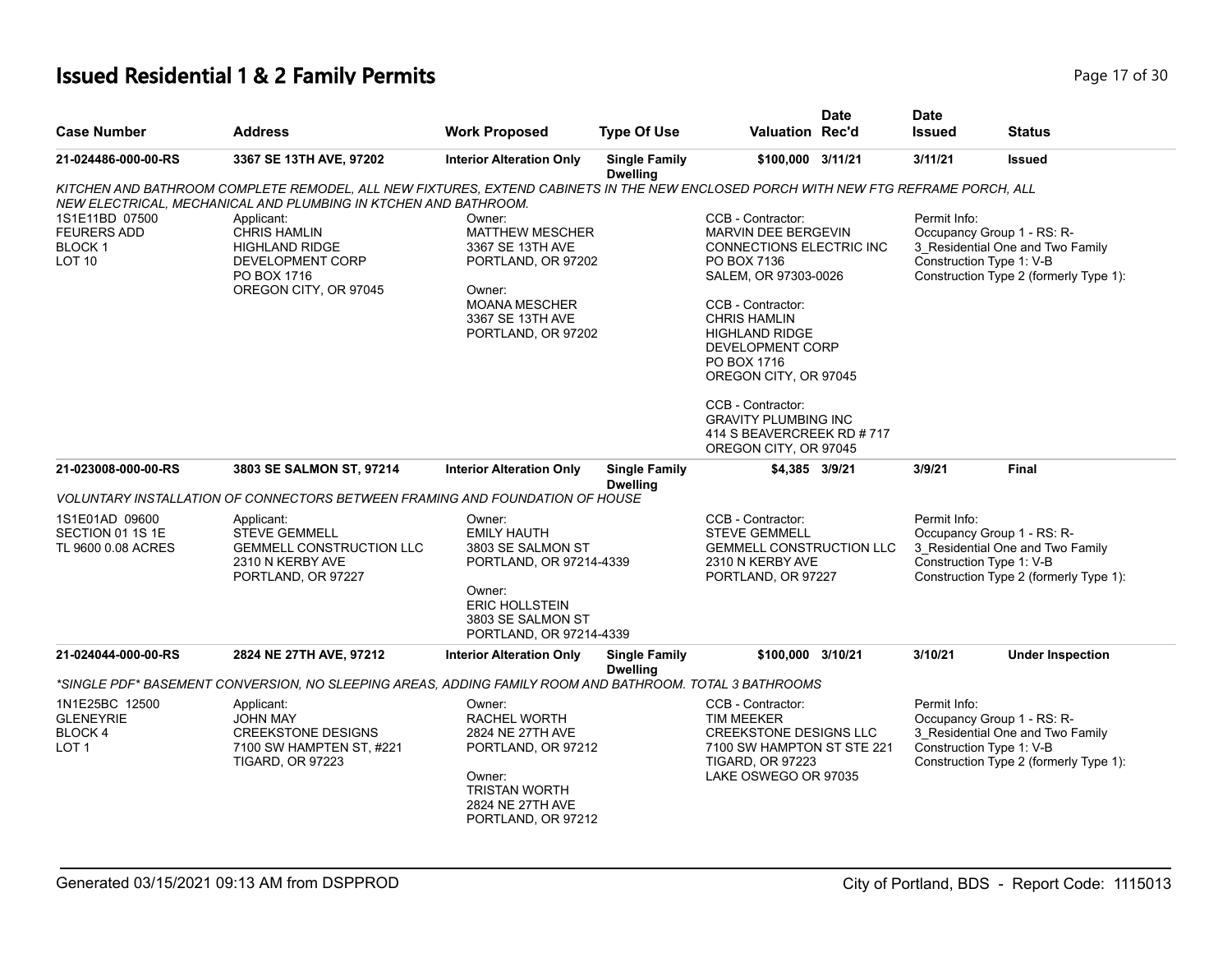#### **Issued Residential 1 & 2 Family Permits Page 17 of 30 Page 17 of 30**

| <b>Case Number</b>                                                         | <b>Address</b>                                                                                                                                                                                                                                                                                                                  | <b>Work Proposed</b>                                                                                                                                            | <b>Type Of Use</b>                      | <b>Valuation Rec'd</b>                                                                                                                                                                                                                                                                                                                                                | <b>Date</b> | <b>Date</b><br><b>Issued</b>                                           | <b>Status</b>                                                              |
|----------------------------------------------------------------------------|---------------------------------------------------------------------------------------------------------------------------------------------------------------------------------------------------------------------------------------------------------------------------------------------------------------------------------|-----------------------------------------------------------------------------------------------------------------------------------------------------------------|-----------------------------------------|-----------------------------------------------------------------------------------------------------------------------------------------------------------------------------------------------------------------------------------------------------------------------------------------------------------------------------------------------------------------------|-------------|------------------------------------------------------------------------|----------------------------------------------------------------------------|
| 21-024486-000-00-RS                                                        | 3367 SE 13TH AVE, 97202                                                                                                                                                                                                                                                                                                         | <b>Interior Alteration Only</b>                                                                                                                                 | <b>Single Family</b><br><b>Dwelling</b> | \$100,000 3/11/21                                                                                                                                                                                                                                                                                                                                                     |             | 3/11/21                                                                | <b>Issued</b>                                                              |
| 1S1E11BD 07500<br><b>FEURERS ADD</b><br><b>BLOCK1</b><br>LOT <sub>10</sub> | KITCHEN AND BATHROOM COMPLETE REMODEL, ALL NEW FIXTURES, EXTEND CABINETS IN THE NEW ENCLOSED PORCH WITH NEW FTG REFRAME PORCH, ALL<br>NEW ELECTRICAL, MECHANICAL AND PLUMBING IN KTCHEN AND BATHROOM.<br>Applicant:<br><b>CHRIS HAMLIN</b><br><b>HIGHLAND RIDGE</b><br>DEVELOPMENT CORP<br>PO BOX 1716<br>OREGON CITY, OR 97045 | Owner:<br><b>MATTHEW MESCHER</b><br>3367 SE 13TH AVE<br>PORTLAND, OR 97202<br>Owner:<br><b>MOANA MESCHER</b><br>3367 SE 13TH AVE<br>PORTLAND, OR 97202          |                                         | CCB - Contractor:<br><b>MARVIN DEE BERGEVIN</b><br><b>CONNECTIONS ELECTRIC INC</b><br>PO BOX 7136<br>SALEM, OR 97303-0026<br>CCB - Contractor:<br><b>CHRIS HAMLIN</b><br><b>HIGHLAND RIDGE</b><br>DEVELOPMENT CORP<br>PO BOX 1716<br>OREGON CITY, OR 97045<br>CCB - Contractor:<br><b>GRAVITY PLUMBING INC</b><br>414 S BEAVERCREEK RD # 717<br>OREGON CITY, OR 97045 |             | Permit Info:<br>Occupancy Group 1 - RS: R-<br>Construction Type 1: V-B | 3_Residential One and Two Family<br>Construction Type 2 (formerly Type 1): |
| 21-023008-000-00-RS                                                        | 3803 SE SALMON ST, 97214                                                                                                                                                                                                                                                                                                        | <b>Interior Alteration Only</b>                                                                                                                                 | <b>Single Family</b><br><b>Dwelling</b> | \$4,385 3/9/21                                                                                                                                                                                                                                                                                                                                                        |             | 3/9/21                                                                 | Final                                                                      |
|                                                                            | VOLUNTARY INSTALLATION OF CONNECTORS BETWEEN FRAMING AND FOUNDATION OF HOUSE                                                                                                                                                                                                                                                    |                                                                                                                                                                 |                                         |                                                                                                                                                                                                                                                                                                                                                                       |             |                                                                        |                                                                            |
| 1S1E01AD 09600<br>SECTION 01 1S 1E<br>TL 9600 0.08 ACRES                   | Applicant:<br><b>STEVE GEMMELL</b><br><b>GEMMELL CONSTRUCTION LLC</b><br>2310 N KERBY AVE<br>PORTLAND, OR 97227                                                                                                                                                                                                                 | Owner:<br><b>EMILY HAUTH</b><br>3803 SE SALMON ST<br>PORTLAND, OR 97214-4339<br>Owner:<br><b>ERIC HOLLSTEIN</b><br>3803 SE SALMON ST<br>PORTLAND, OR 97214-4339 |                                         | CCB - Contractor:<br><b>STEVE GEMMELL</b><br><b>GEMMELL CONSTRUCTION LLC</b><br>2310 N KERBY AVE<br>PORTLAND, OR 97227                                                                                                                                                                                                                                                |             | Permit Info:<br>Occupancy Group 1 - RS: R-<br>Construction Type 1: V-B | 3_Residential One and Two Family<br>Construction Type 2 (formerly Type 1): |
| 21-024044-000-00-RS                                                        | 2824 NE 27TH AVE, 97212                                                                                                                                                                                                                                                                                                         | <b>Interior Alteration Only</b>                                                                                                                                 | <b>Single Family</b>                    | \$100,000 3/10/21                                                                                                                                                                                                                                                                                                                                                     |             | 3/10/21                                                                | <b>Under Inspection</b>                                                    |
|                                                                            | "SINGLE PDF" BASEMENT CONVERSION, NO SLEEPING AREAS, ADDING FAMILY ROOM AND BATHROOM. TOTAL 3 BATHROOMS                                                                                                                                                                                                                         |                                                                                                                                                                 | <b>Dwelling</b>                         |                                                                                                                                                                                                                                                                                                                                                                       |             |                                                                        |                                                                            |
| 1N1E25BC 12500<br><b>GLENEYRIE</b><br>BLOCK 4<br>LOT <sub>1</sub>          | Applicant:<br><b>JOHN MAY</b><br><b>CREEKSTONE DESIGNS</b><br>7100 SW HAMPTEN ST, #221<br><b>TIGARD, OR 97223</b>                                                                                                                                                                                                               | Owner:<br><b>RACHEL WORTH</b><br>2824 NE 27TH AVE<br>PORTLAND, OR 97212<br>Owner:<br><b>TRISTAN WORTH</b><br>2824 NE 27TH AVE<br>PORTLAND, OR 97212             |                                         | CCB - Contractor:<br><b>TIM MEEKER</b><br><b>CREEKSTONE DESIGNS LLC</b><br>7100 SW HAMPTON ST STE 221<br><b>TIGARD, OR 97223</b><br>LAKE OSWEGO OR 97035                                                                                                                                                                                                              |             | Permit Info:<br>Occupancy Group 1 - RS: R-<br>Construction Type 1: V-B | 3_Residential One and Two Family<br>Construction Type 2 (formerly Type 1): |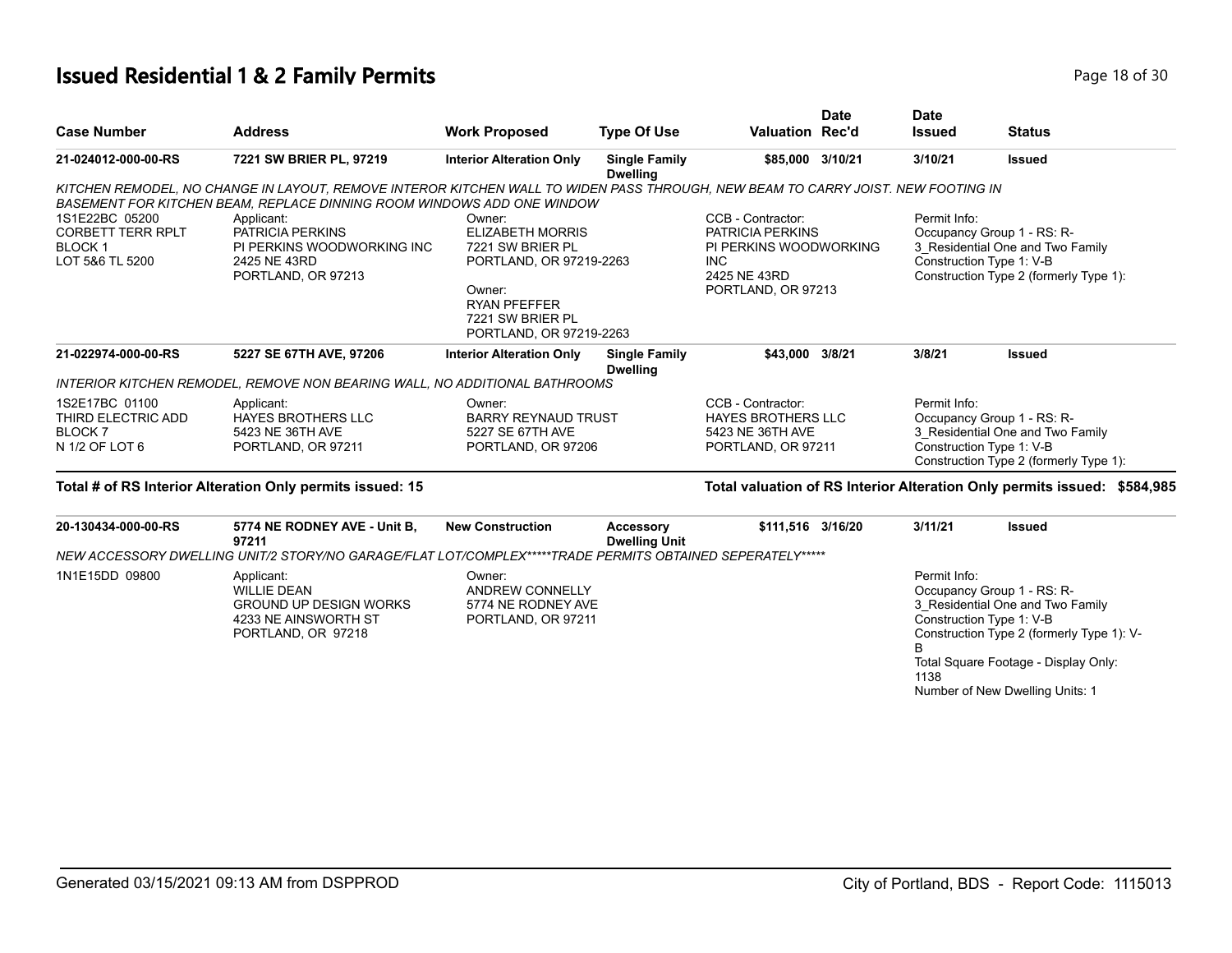## **Issued Residential 1 & 2 Family Permits Page 18 of 30 Page 18 of 30**

| <b>Case Number</b>                                                             | <b>Address</b>                                                                                                                                                                                                                                                                                                   | <b>Work Proposed</b>                                                                                              | <b>Type Of Use</b>                      | <b>Valuation Rec'd</b>                                                                                              | <b>Date</b> | <b>Date</b><br><b>Issued</b> | <b>Status</b>                                                                                                                                                                                                      |
|--------------------------------------------------------------------------------|------------------------------------------------------------------------------------------------------------------------------------------------------------------------------------------------------------------------------------------------------------------------------------------------------------------|-------------------------------------------------------------------------------------------------------------------|-----------------------------------------|---------------------------------------------------------------------------------------------------------------------|-------------|------------------------------|--------------------------------------------------------------------------------------------------------------------------------------------------------------------------------------------------------------------|
| 21-024012-000-00-RS                                                            | 7221 SW BRIER PL, 97219                                                                                                                                                                                                                                                                                          | <b>Interior Alteration Only</b>                                                                                   | <b>Single Family</b><br><b>Dwelling</b> | \$85,000 3/10/21                                                                                                    |             | 3/10/21                      | <b>Issued</b>                                                                                                                                                                                                      |
| 1S1E22BC 05200<br><b>CORBETT TERR RPLT</b><br><b>BLOCK1</b><br>LOT 5&6 TL 5200 | KITCHEN REMODEL, NO CHANGE IN LAYOUT, REMOVE INTEROR KITCHEN WALL TO WIDEN PASS THROUGH, NEW BEAM TO CARRY JOIST. NEW FOOTING IN<br>BASEMENT FOR KITCHEN BEAM, REPLACE DINNING ROOM WINDOWS ADD ONE WINDOW<br>Applicant:<br>PATRICIA PERKINS<br>PI PERKINS WOODWORKING INC<br>2425 NE 43RD<br>PORTLAND, OR 97213 | Owner:<br><b>ELIZABETH MORRIS</b><br>7221 SW BRIER PL<br>PORTLAND, OR 97219-2263<br>Owner:<br><b>RYAN PFEFFER</b> |                                         | CCB - Contractor:<br>PATRICIA PERKINS<br>PI PERKINS WOODWORKING<br><b>INC</b><br>2425 NE 43RD<br>PORTLAND, OR 97213 |             | Permit Info:                 | Occupancy Group 1 - RS: R-<br>3 Residential One and Two Family<br>Construction Type 1: V-B<br>Construction Type 2 (formerly Type 1):                                                                               |
|                                                                                |                                                                                                                                                                                                                                                                                                                  | 7221 SW BRIER PL<br>PORTLAND, OR 97219-2263                                                                       |                                         |                                                                                                                     |             |                              |                                                                                                                                                                                                                    |
| 21-022974-000-00-RS                                                            | 5227 SE 67TH AVE, 97206                                                                                                                                                                                                                                                                                          | <b>Interior Alteration Only</b>                                                                                   | <b>Single Family</b><br><b>Dwelling</b> | \$43,000 3/8/21                                                                                                     |             | 3/8/21                       | <b>Issued</b>                                                                                                                                                                                                      |
|                                                                                | INTERIOR KITCHEN REMODEL, REMOVE NON BEARING WALL, NO ADDITIONAL BATHROOMS                                                                                                                                                                                                                                       |                                                                                                                   |                                         |                                                                                                                     |             |                              |                                                                                                                                                                                                                    |
| 1S2E17BC 01100<br>THIRD ELECTRIC ADD<br>BLOCK <sub>7</sub><br>N 1/2 OF LOT 6   | Applicant:<br><b>HAYES BROTHERS LLC</b><br>5423 NE 36TH AVE<br>PORTLAND, OR 97211                                                                                                                                                                                                                                | Owner:<br><b>BARRY REYNAUD TRUST</b><br>5227 SE 67TH AVE<br>PORTLAND, OR 97206                                    |                                         | CCB - Contractor:<br><b>HAYES BROTHERS LLC</b><br>5423 NE 36TH AVE<br>PORTLAND, OR 97211                            |             | Permit Info:                 | Occupancy Group 1 - RS: R-<br>3 Residential One and Two Family<br>Construction Type 1: V-B<br>Construction Type 2 (formerly Type 1):                                                                               |
|                                                                                | Total # of RS Interior Alteration Only permits issued: 15                                                                                                                                                                                                                                                        |                                                                                                                   |                                         |                                                                                                                     |             |                              | Total valuation of RS Interior Alteration Only permits issued: \$584,985                                                                                                                                           |
| 20-130434-000-00-RS                                                            | 5774 NE RODNEY AVE - Unit B,<br>97211<br>NEW ACCESSORY DWELLING UNIT/2 STORY/NO GARAGE/FLAT LOT/COMPLEX*****TRADE PERMITS OBTAINED SEPERATELY*****                                                                                                                                                               | <b>New Construction</b>                                                                                           | Accessory<br><b>Dwelling Unit</b>       | \$111,516 3/16/20                                                                                                   |             | 3/11/21                      | <b>Issued</b>                                                                                                                                                                                                      |
| 1N1E15DD 09800                                                                 | Applicant:<br><b>WILLIE DEAN</b><br><b>GROUND UP DESIGN WORKS</b><br>4233 NE AINSWORTH ST<br>PORTLAND, OR 97218                                                                                                                                                                                                  | Owner:<br><b>ANDREW CONNELLY</b><br>5774 NE RODNEY AVE<br>PORTLAND, OR 97211                                      |                                         |                                                                                                                     |             | Permit Info:<br>1138         | Occupancy Group 1 - RS: R-<br>3_Residential One and Two Family<br>Construction Type 1: V-B<br>Construction Type 2 (formerly Type 1): V-<br>Total Square Footage - Display Only:<br>Number of New Dwelling Units: 1 |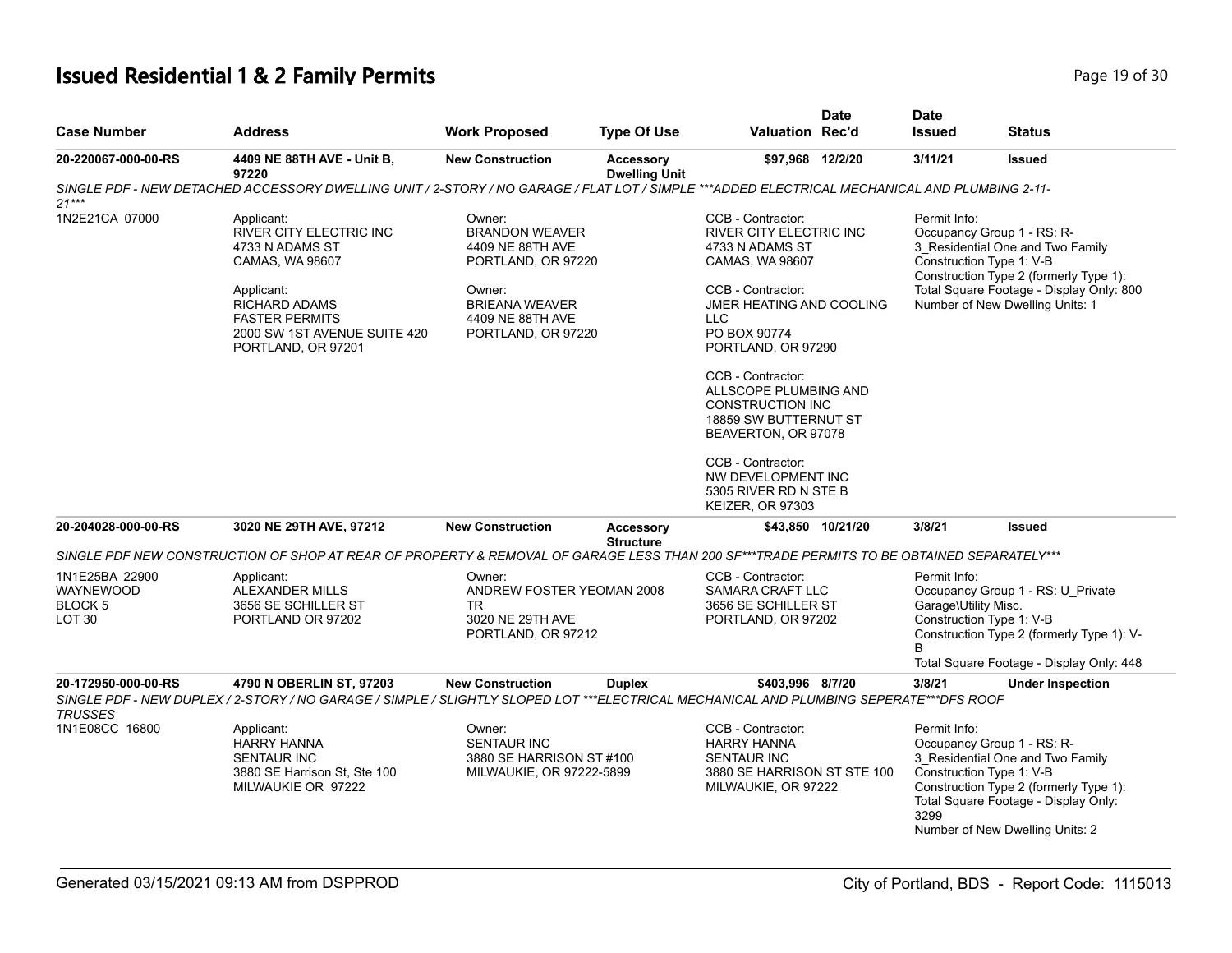#### **Issued Residential 1 & 2 Family Permits Page 19 of 30 Page 19 of 30**

| <b>Case Number</b>                                                        | <b>Address</b>                                                                                                                                                                                                                | <b>Work Proposed</b>                                                                                                                                   | <b>Type Of Use</b>                       | <b>Valuation Rec'd</b>                                                                                                                                                                                                                                                                                                                                                                                                 | <b>Date</b>       | <b>Date</b><br><b>Issued</b>         | <b>Status</b>                                                                                                                                                                                                       |
|---------------------------------------------------------------------------|-------------------------------------------------------------------------------------------------------------------------------------------------------------------------------------------------------------------------------|--------------------------------------------------------------------------------------------------------------------------------------------------------|------------------------------------------|------------------------------------------------------------------------------------------------------------------------------------------------------------------------------------------------------------------------------------------------------------------------------------------------------------------------------------------------------------------------------------------------------------------------|-------------------|--------------------------------------|---------------------------------------------------------------------------------------------------------------------------------------------------------------------------------------------------------------------|
| 20-220067-000-00-RS                                                       | 4409 NE 88TH AVE - Unit B,<br>97220                                                                                                                                                                                           | <b>New Construction</b>                                                                                                                                | <b>Accessory</b><br><b>Dwelling Unit</b> | \$97,968 12/2/20                                                                                                                                                                                                                                                                                                                                                                                                       |                   | 3/11/21                              | <b>Issued</b>                                                                                                                                                                                                       |
| $21***$                                                                   | SINGLE PDF - NEW DETACHED ACCESSORY DWELLING UNIT / 2-STORY / NO GARAGE / FLAT LOT / SIMPLE ***ADDED ELECTRICAL MECHANICAL AND PLUMBING 2-11-                                                                                 |                                                                                                                                                        |                                          |                                                                                                                                                                                                                                                                                                                                                                                                                        |                   |                                      |                                                                                                                                                                                                                     |
| 1N2E21CA 07000                                                            | Applicant:<br><b>RIVER CITY ELECTRIC INC</b><br>4733 N ADAMS ST<br>CAMAS, WA 98607<br>Applicant:<br><b>RICHARD ADAMS</b><br><b>FASTER PERMITS</b><br>2000 SW 1ST AVENUE SUITE 420<br>PORTLAND, OR 97201                       | Owner:<br><b>BRANDON WEAVER</b><br>4409 NE 88TH AVE<br>PORTLAND, OR 97220<br>Owner:<br><b>BRIEANA WEAVER</b><br>4409 NE 88TH AVE<br>PORTLAND, OR 97220 |                                          | CCB - Contractor:<br><b>RIVER CITY ELECTRIC INC</b><br>4733 N ADAMS ST<br>CAMAS, WA 98607<br>CCB - Contractor:<br><b>JMER HEATING AND COOLING</b><br><b>LLC</b><br>PO BOX 90774<br>PORTLAND, OR 97290<br>CCB - Contractor:<br>ALLSCOPE PLUMBING AND<br><b>CONSTRUCTION INC</b><br>18859 SW BUTTERNUT ST<br>BEAVERTON, OR 97078<br>CCB - Contractor:<br>NW DEVELOPMENT INC<br>5305 RIVER RD N STE B<br>KEIZER, OR 97303 |                   | Permit Info:                         | Occupancy Group 1 - RS: R-<br>3 Residential One and Two Family<br>Construction Type 1: V-B<br>Construction Type 2 (formerly Type 1):<br>Total Square Footage - Display Only: 800<br>Number of New Dwelling Units: 1 |
| 20-204028-000-00-RS                                                       | 3020 NE 29TH AVE, 97212                                                                                                                                                                                                       | <b>New Construction</b>                                                                                                                                | <b>Accessory</b><br><b>Structure</b>     |                                                                                                                                                                                                                                                                                                                                                                                                                        | \$43,850 10/21/20 | 3/8/21                               | <b>Issued</b>                                                                                                                                                                                                       |
| 1N1E25BA 22900<br><b>WAYNEWOOD</b><br><b>BLOCK 5</b><br>LOT <sub>30</sub> | SINGLE PDF NEW CONSTRUCTION OF SHOP AT REAR OF PROPERTY & REMOVAL OF GARAGE LESS THAN 200 SF***TRADE PERMITS TO BE OBTAINED SEPARATELY***<br>Applicant:<br><b>ALEXANDER MILLS</b><br>3656 SE SCHILLER ST<br>PORTLAND OR 97202 | Owner:<br>ANDREW FOSTER YEOMAN 2008<br><b>TR</b><br>3020 NE 29TH AVE<br>PORTLAND, OR 97212                                                             |                                          | CCB - Contractor:<br>SAMARA CRAFT LLC<br>3656 SE SCHILLER ST<br>PORTLAND, OR 97202                                                                                                                                                                                                                                                                                                                                     |                   | Permit Info:<br>Garage\Utility Misc. | Occupancy Group 1 - RS: U_Private<br>Construction Type 1: V-B<br>Construction Type 2 (formerly Type 1): V-<br>Total Square Footage - Display Only: 448                                                              |
| 20-172950-000-00-RS<br><b>TRUSSES</b>                                     | 4790 N OBERLIN ST, 97203<br>SINGLE PDF - NEW DUPLEX / 2-STORY / NO GARAGE / SIMPLE / SLIGHTLY SLOPED LOT ***ELECTRICAL MECHANICAL AND PLUMBING SEPERATE***DFS ROOF                                                            | <b>New Construction</b>                                                                                                                                | <b>Duplex</b>                            | \$403,996 8/7/20                                                                                                                                                                                                                                                                                                                                                                                                       |                   | 3/8/21                               | <b>Under Inspection</b>                                                                                                                                                                                             |
| 1N1E08CC 16800                                                            | Applicant:<br><b>HARRY HANNA</b><br><b>SENTAUR INC</b><br>3880 SE Harrison St, Ste 100<br>MILWAUKIE OR 97222                                                                                                                  | Owner:<br><b>SENTAUR INC</b><br>3880 SE HARRISON ST #100<br>MILWAUKIE, OR 97222-5899                                                                   |                                          | CCB - Contractor:<br><b>HARRY HANNA</b><br><b>SENTAUR INC</b><br>3880 SE HARRISON ST STE 100<br>MILWAUKIE, OR 97222                                                                                                                                                                                                                                                                                                    |                   | Permit Info:<br>3299                 | Occupancy Group 1 - RS: R-<br>3 Residential One and Two Family<br>Construction Type 1: V-B<br>Construction Type 2 (formerly Type 1):<br>Total Square Footage - Display Only:<br>Number of New Dwelling Units: 2     |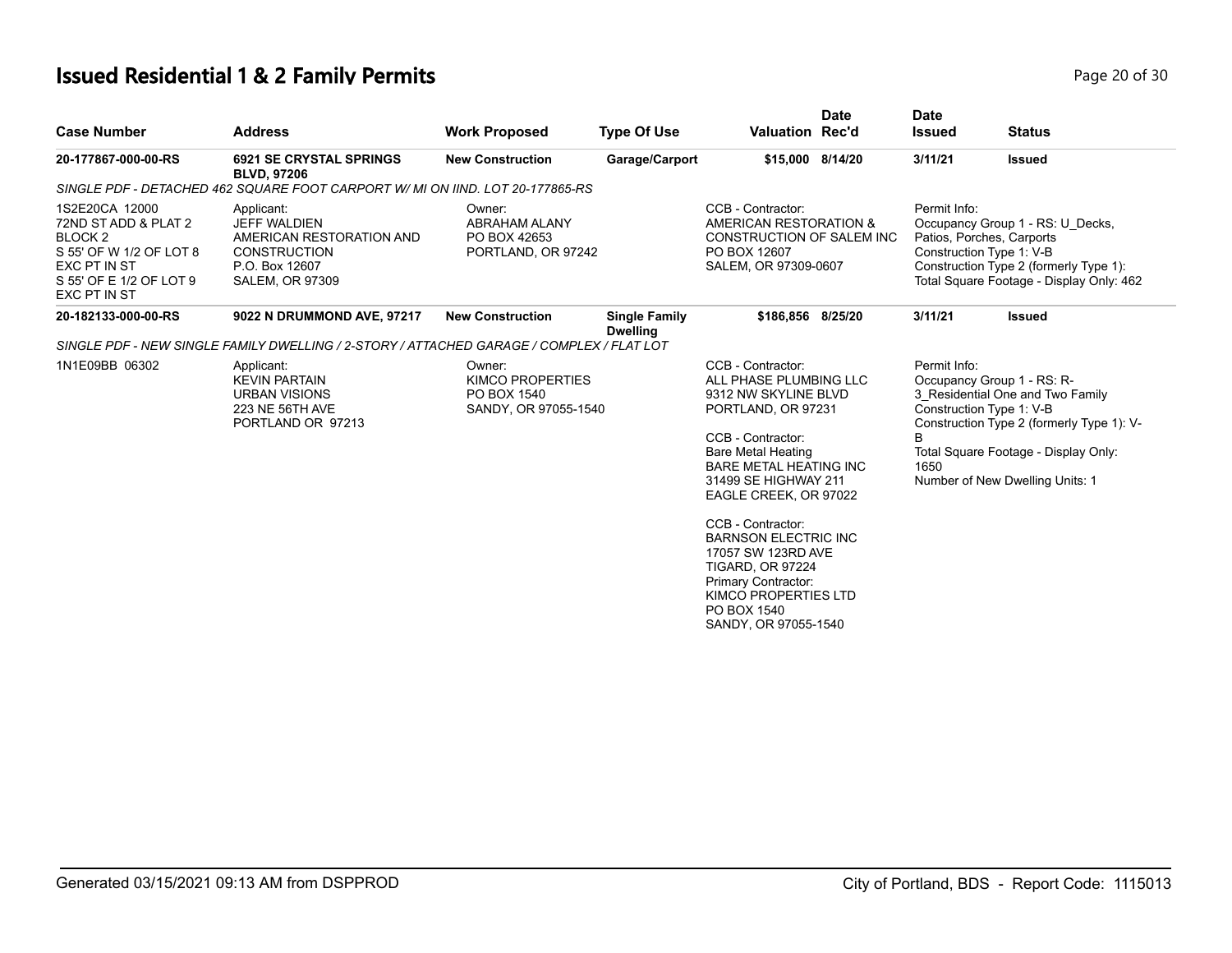# **Issued Residential 1 & 2 Family Permits Page 20 of 30 Page 20 of 30**

| <b>Case Number</b>                                                                                                                                        | <b>Address</b>                                                                                                                   | <b>Work Proposed</b>                                                     | <b>Type Of Use</b>                      | <b>Valuation Rec'd</b>                                                                                                                                                                                                                                                                                                                                                                                                   | <b>Date</b> | <b>Date</b><br><b>Issued</b> | <b>Status</b>                                                                                                                                                                                                      |
|-----------------------------------------------------------------------------------------------------------------------------------------------------------|----------------------------------------------------------------------------------------------------------------------------------|--------------------------------------------------------------------------|-----------------------------------------|--------------------------------------------------------------------------------------------------------------------------------------------------------------------------------------------------------------------------------------------------------------------------------------------------------------------------------------------------------------------------------------------------------------------------|-------------|------------------------------|--------------------------------------------------------------------------------------------------------------------------------------------------------------------------------------------------------------------|
| 20-177867-000-00-RS                                                                                                                                       | <b>6921 SE CRYSTAL SPRINGS</b><br><b>BLVD. 97206</b>                                                                             | <b>New Construction</b>                                                  | Garage/Carport                          | \$15,000 8/14/20                                                                                                                                                                                                                                                                                                                                                                                                         |             | 3/11/21                      | <b>Issued</b>                                                                                                                                                                                                      |
|                                                                                                                                                           | SINGLE PDF - DETACHED 462 SQUARE FOOT CARPORT W/ MI ON IIND. LOT 20-177865-RS                                                    |                                                                          |                                         |                                                                                                                                                                                                                                                                                                                                                                                                                          |             |                              |                                                                                                                                                                                                                    |
| 1S2E20CA 12000<br>72ND ST ADD & PLAT 2<br>BLOCK <sub>2</sub><br>S 55' OF W 1/2 OF LOT 8<br>EXC PT IN ST<br>S 55' OF E 1/2 OF LOT 9<br><b>EXC PT IN ST</b> | Applicant:<br><b>JEFF WALDIEN</b><br>AMERICAN RESTORATION AND<br><b>CONSTRUCTION</b><br>P.O. Box 12607<br><b>SALEM, OR 97309</b> | Owner:<br><b>ABRAHAM ALANY</b><br>PO BOX 42653<br>PORTLAND, OR 97242     |                                         | CCB - Contractor:<br>AMERICAN RESTORATION &<br>CONSTRUCTION OF SALEM INC<br>PO BOX 12607<br>SALEM, OR 97309-0607                                                                                                                                                                                                                                                                                                         |             | Permit Info:                 | Occupancy Group 1 - RS: U Decks,<br>Patios, Porches, Carports<br>Construction Type 1: V-B<br>Construction Type 2 (formerly Type 1):<br>Total Square Footage - Display Only: 462                                    |
| 20-182133-000-00-RS                                                                                                                                       | 9022 N DRUMMOND AVE, 97217                                                                                                       | <b>New Construction</b>                                                  | <b>Single Family</b><br><b>Dwelling</b> | \$186,856 8/25/20                                                                                                                                                                                                                                                                                                                                                                                                        |             | 3/11/21                      | <b>Issued</b>                                                                                                                                                                                                      |
|                                                                                                                                                           | SINGLE PDF - NEW SINGLE FAMILY DWELLING / 2-STORY / ATTACHED GARAGE / COMPLEX / FLAT LOT                                         |                                                                          |                                         |                                                                                                                                                                                                                                                                                                                                                                                                                          |             |                              |                                                                                                                                                                                                                    |
| 1N1E09BB 06302                                                                                                                                            | Applicant:<br><b>KEVIN PARTAIN</b><br><b>URBAN VISIONS</b><br>223 NE 56TH AVE<br>PORTLAND OR 97213                               | Owner:<br><b>KIMCO PROPERTIES</b><br>PO BOX 1540<br>SANDY, OR 97055-1540 |                                         | CCB - Contractor:<br>ALL PHASE PLUMBING LLC<br>9312 NW SKYLINE BLVD<br>PORTLAND, OR 97231<br>CCB - Contractor:<br><b>Bare Metal Heating</b><br><b>BARE METAL HEATING INC</b><br>31499 SE HIGHWAY 211<br>EAGLE CREEK, OR 97022<br>CCB - Contractor:<br><b>BARNSON ELECTRIC INC</b><br>17057 SW 123RD AVE<br><b>TIGARD, OR 97224</b><br>Primary Contractor:<br>KIMCO PROPERTIES LTD<br>PO BOX 1540<br>SANDY, OR 97055-1540 |             | Permit Info:<br>1650         | Occupancy Group 1 - RS: R-<br>3 Residential One and Two Family<br>Construction Type 1: V-B<br>Construction Type 2 (formerly Type 1): V-<br>Total Square Footage - Display Only:<br>Number of New Dwelling Units: 1 |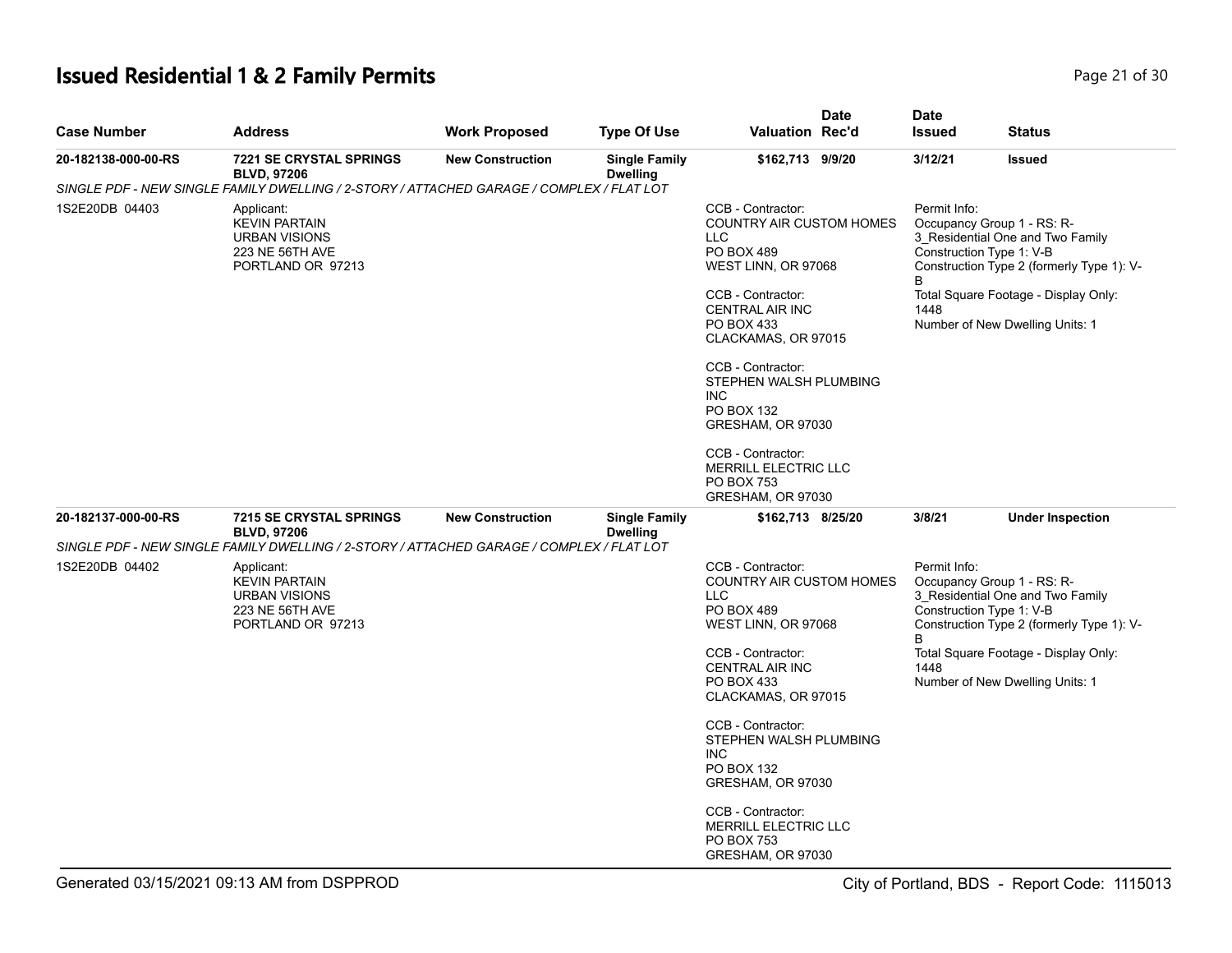## **Issued Residential 1 & 2 Family Permits**

| Page 21 of 30 |  |  |
|---------------|--|--|
|               |  |  |

| <b>Case Number</b>  | <b>Address</b>                                                                                     | <b>Work Proposed</b>    | <b>Type Of Use</b>                      | <b>Valuation Rec'd</b>                                                                                                                                        | <b>Date</b> | <b>Date</b><br><b>Issued</b> | <b>Status</b>                                                                                                                                                                   |
|---------------------|----------------------------------------------------------------------------------------------------|-------------------------|-----------------------------------------|---------------------------------------------------------------------------------------------------------------------------------------------------------------|-------------|------------------------------|---------------------------------------------------------------------------------------------------------------------------------------------------------------------------------|
| 20-182138-000-00-RS | <b>7221 SE CRYSTAL SPRINGS</b><br><b>BLVD. 97206</b>                                               | <b>New Construction</b> | <b>Single Family</b><br><b>Dwelling</b> | \$162,713 9/9/20                                                                                                                                              |             | 3/12/21                      | <b>Issued</b>                                                                                                                                                                   |
|                     | SINGLE PDF - NEW SINGLE FAMILY DWELLING / 2-STORY / ATTACHED GARAGE / COMPLEX / FLAT LOT           |                         |                                         |                                                                                                                                                               |             |                              |                                                                                                                                                                                 |
| 1S2E20DB 04403      | Applicant:<br><b>KEVIN PARTAIN</b><br><b>URBAN VISIONS</b><br>223 NE 56TH AVE<br>PORTLAND OR 97213 |                         |                                         | CCB - Contractor:<br><b>COUNTRY AIR CUSTOM HOMES</b><br><b>LLC</b><br>PO BOX 489<br>WEST LINN, OR 97068                                                       |             | Permit Info:<br>B            | Occupancy Group 1 - RS: R-<br>3_Residential One and Two Family<br>Construction Type 1: V-B<br>Construction Type 2 (formerly Type 1): V-                                         |
|                     |                                                                                                    |                         |                                         | CCB - Contractor:<br><b>CENTRAL AIR INC</b><br><b>PO BOX 433</b><br>CLACKAMAS, OR 97015                                                                       |             | 1448                         | Total Square Footage - Display Only:<br>Number of New Dwelling Units: 1                                                                                                         |
|                     |                                                                                                    |                         |                                         | CCB - Contractor:<br>STEPHEN WALSH PLUMBING<br><b>INC</b><br>PO BOX 132<br>GRESHAM, OR 97030                                                                  |             |                              |                                                                                                                                                                                 |
|                     |                                                                                                    |                         |                                         | CCB - Contractor:<br>MERRILL ELECTRIC LLC<br>PO BOX 753<br>GRESHAM, OR 97030                                                                                  |             |                              |                                                                                                                                                                                 |
| 20-182137-000-00-RS | <b>7215 SE CRYSTAL SPRINGS</b><br><b>BLVD, 97206</b>                                               | <b>New Construction</b> | <b>Single Family</b><br><b>Dwelling</b> | \$162,713 8/25/20                                                                                                                                             |             | 3/8/21                       | <b>Under Inspection</b>                                                                                                                                                         |
|                     | SINGLE PDF - NEW SINGLE FAMILY DWELLING / 2-STORY / ATTACHED GARAGE / COMPLEX / FLAT LOT           |                         |                                         |                                                                                                                                                               |             |                              |                                                                                                                                                                                 |
| 1S2E20DB 04402      | Applicant:<br><b>KEVIN PARTAIN</b><br><b>URBAN VISIONS</b><br>223 NE 56TH AVE<br>PORTLAND OR 97213 |                         |                                         | CCB - Contractor:<br><b>COUNTRY AIR CUSTOM HOMES</b><br><b>LLC</b><br><b>PO BOX 489</b><br>WEST LINN, OR 97068<br>CCB - Contractor:<br><b>CENTRAL AIR INC</b> |             | Permit Info:<br>B<br>1448    | Occupancy Group 1 - RS: R-<br>3_Residential One and Two Family<br>Construction Type 1: V-B<br>Construction Type 2 (formerly Type 1): V-<br>Total Square Footage - Display Only: |
|                     |                                                                                                    |                         |                                         | PO BOX 433<br>CLACKAMAS, OR 97015                                                                                                                             |             |                              | Number of New Dwelling Units: 1                                                                                                                                                 |
|                     |                                                                                                    |                         |                                         | CCB - Contractor:<br>STEPHEN WALSH PLUMBING<br><b>INC</b><br>PO BOX 132<br>GRESHAM, OR 97030                                                                  |             |                              |                                                                                                                                                                                 |
|                     |                                                                                                    |                         |                                         | CCB - Contractor:<br>MERRILL ELECTRIC LLC<br><b>PO BOX 753</b><br>GRESHAM, OR 97030                                                                           |             |                              |                                                                                                                                                                                 |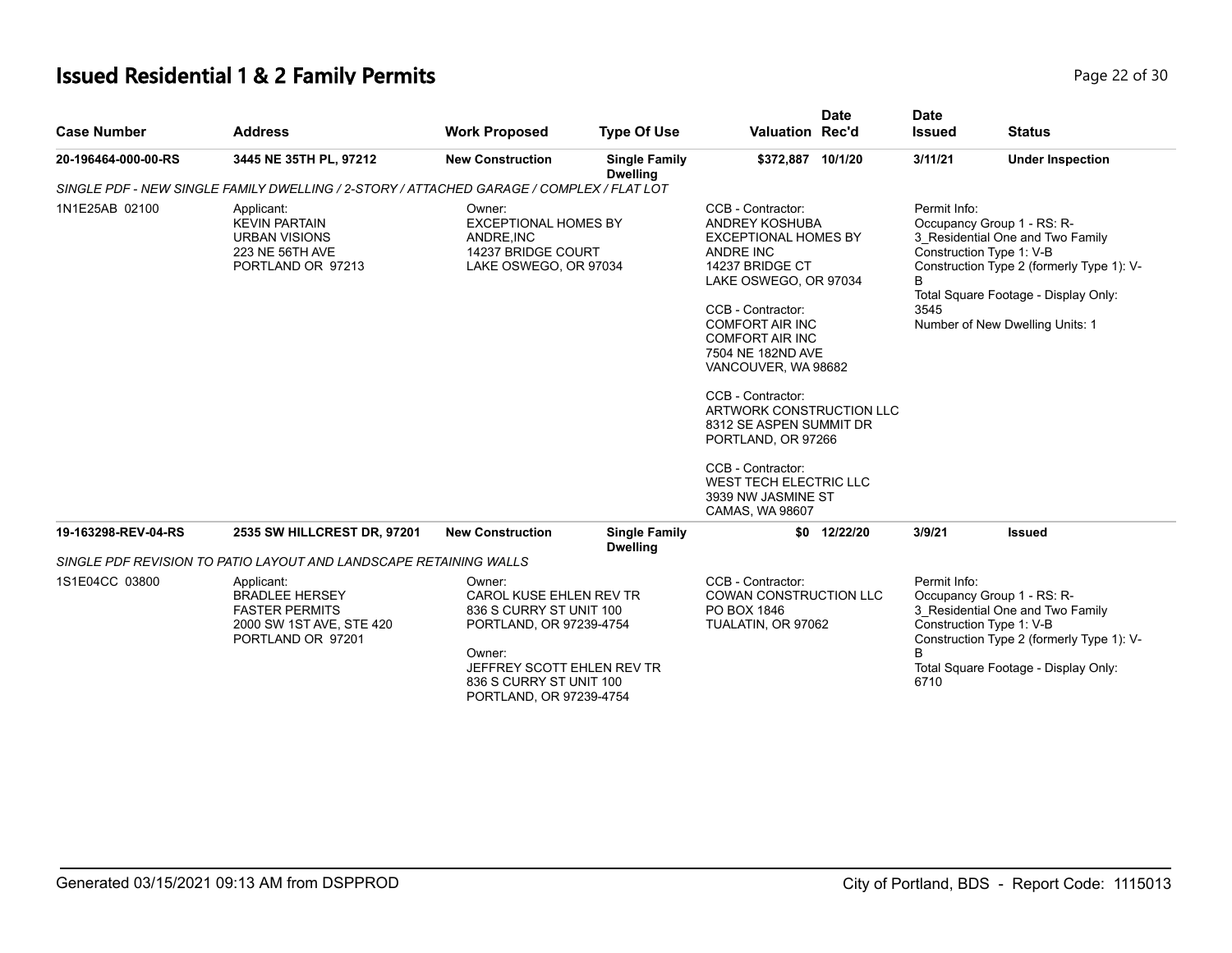## **Issued Residential 1 & 2 Family Permits Page 22 of 30 Page 22 of 30**

| <b>Case Number</b>  | <b>Address</b>                                                                                                | <b>Work Proposed</b>                                                                                                                                                                  | <b>Type Of Use</b>                      | <b>Valuation Rec'd</b>                                                                                                                                                                                                                                                                                                                                                                                                                     | <b>Date</b>  | <b>Date</b><br><b>Issued</b> | <b>Status</b>                                                                                                                                                                                                      |
|---------------------|---------------------------------------------------------------------------------------------------------------|---------------------------------------------------------------------------------------------------------------------------------------------------------------------------------------|-----------------------------------------|--------------------------------------------------------------------------------------------------------------------------------------------------------------------------------------------------------------------------------------------------------------------------------------------------------------------------------------------------------------------------------------------------------------------------------------------|--------------|------------------------------|--------------------------------------------------------------------------------------------------------------------------------------------------------------------------------------------------------------------|
| 20-196464-000-00-RS | 3445 NE 35TH PL, 97212                                                                                        | <b>New Construction</b>                                                                                                                                                               | <b>Single Family</b><br><b>Dwelling</b> | \$372,887 10/1/20                                                                                                                                                                                                                                                                                                                                                                                                                          |              | 3/11/21                      | <b>Under Inspection</b>                                                                                                                                                                                            |
|                     | SINGLE PDF - NEW SINGLE FAMILY DWELLING / 2-STORY / ATTACHED GARAGE / COMPLEX / FLAT LOT                      |                                                                                                                                                                                       |                                         |                                                                                                                                                                                                                                                                                                                                                                                                                                            |              |                              |                                                                                                                                                                                                                    |
| 1N1E25AB 02100      | Applicant:<br><b>KEVIN PARTAIN</b><br><b>URBAN VISIONS</b><br>223 NE 56TH AVE<br>PORTLAND OR 97213            | Owner:<br><b>EXCEPTIONAL HOMES BY</b><br>ANDRE, INC<br>14237 BRIDGE COURT<br>LAKE OSWEGO, OR 97034                                                                                    |                                         | CCB - Contractor:<br>ANDREY KOSHUBA<br><b>EXCEPTIONAL HOMES BY</b><br>ANDRE INC<br>14237 BRIDGE CT<br>LAKE OSWEGO, OR 97034<br>CCB - Contractor:<br><b>COMFORT AIR INC</b><br><b>COMFORT AIR INC</b><br>7504 NE 182ND AVE<br>VANCOUVER, WA 98682<br>CCB - Contractor:<br>ARTWORK CONSTRUCTION LLC<br>8312 SE ASPEN SUMMIT DR<br>PORTLAND, OR 97266<br>CCB - Contractor:<br>WEST TECH ELECTRIC LLC<br>3939 NW JASMINE ST<br>CAMAS, WA 98607 |              | Permit Info:<br>B<br>3545    | Occupancy Group 1 - RS: R-<br>3_Residential One and Two Family<br>Construction Type 1: V-B<br>Construction Type 2 (formerly Type 1): V-<br>Total Square Footage - Display Only:<br>Number of New Dwelling Units: 1 |
| 19-163298-REV-04-RS | 2535 SW HILLCREST DR, 97201                                                                                   | <b>New Construction</b>                                                                                                                                                               | <b>Single Family</b><br><b>Dwelling</b> |                                                                                                                                                                                                                                                                                                                                                                                                                                            | \$0 12/22/20 | 3/9/21                       | <b>Issued</b>                                                                                                                                                                                                      |
|                     | SINGLE PDF REVISION TO PATIO LAYOUT AND LANDSCAPE RETAINING WALLS                                             |                                                                                                                                                                                       |                                         |                                                                                                                                                                                                                                                                                                                                                                                                                                            |              |                              |                                                                                                                                                                                                                    |
| 1S1E04CC 03800      | Applicant:<br><b>BRADLEE HERSEY</b><br><b>FASTER PERMITS</b><br>2000 SW 1ST AVE, STE 420<br>PORTLAND OR 97201 | Owner:<br>CAROL KUSE EHLEN REV TR<br>836 S CURRY ST UNIT 100<br>PORTLAND, OR 97239-4754<br>Owner:<br>JEFFREY SCOTT EHLEN REV TR<br>836 S CURRY ST UNIT 100<br>PORTLAND, OR 97239-4754 |                                         | CCB - Contractor:<br>COWAN CONSTRUCTION LLC<br>PO BOX 1846<br>TUALATIN, OR 97062                                                                                                                                                                                                                                                                                                                                                           |              | Permit Info:<br>6710         | Occupancy Group 1 - RS: R-<br>3 Residential One and Two Family<br>Construction Type 1: V-B<br>Construction Type 2 (formerly Type 1): V-<br>Total Square Footage - Display Only:                                    |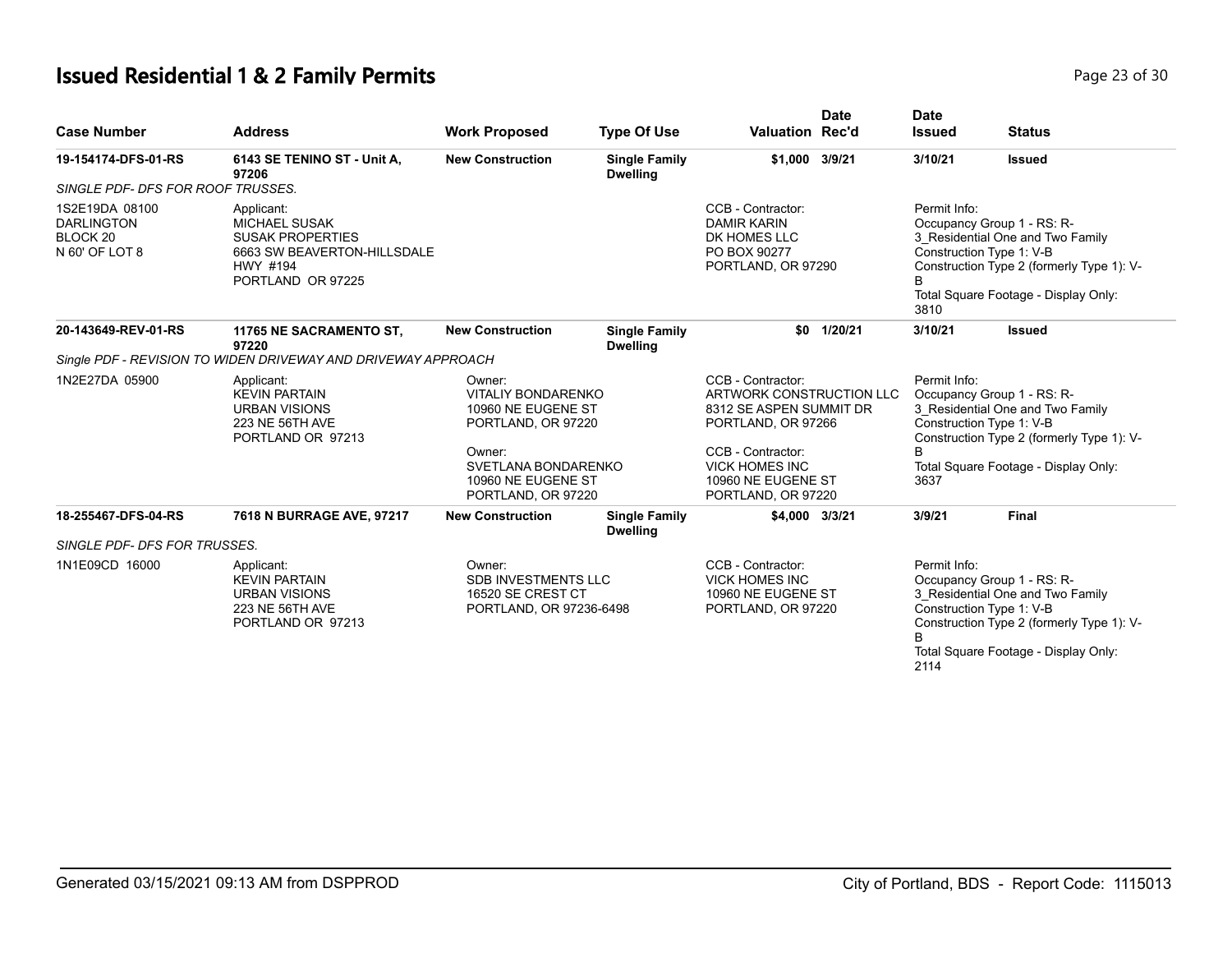# **Issued Residential 1 & 2 Family Permits Page 23 of 30 Page 23 of 30**

| <b>Case Number</b>                                                           | <b>Address</b>                                                                                                                | <b>Work Proposed</b>                                                                 | <b>Type Of Use</b>                      | Valuation Rec'd                                                                                | <b>Date</b>                                                                                                                                                      | Date<br><b>Issued</b>                                                                                                                                                                                   | <b>Status</b>                                                                                                                           |
|------------------------------------------------------------------------------|-------------------------------------------------------------------------------------------------------------------------------|--------------------------------------------------------------------------------------|-----------------------------------------|------------------------------------------------------------------------------------------------|------------------------------------------------------------------------------------------------------------------------------------------------------------------|---------------------------------------------------------------------------------------------------------------------------------------------------------------------------------------------------------|-----------------------------------------------------------------------------------------------------------------------------------------|
| 19-154174-DFS-01-RS                                                          | 6143 SE TENINO ST - Unit A,<br>97206                                                                                          | <b>New Construction</b>                                                              | <b>Single Family</b><br><b>Dwelling</b> | \$1,000 3/9/21                                                                                 |                                                                                                                                                                  | 3/10/21                                                                                                                                                                                                 | <b>Issued</b>                                                                                                                           |
| SINGLE PDF- DFS FOR ROOF TRUSSES.                                            |                                                                                                                               |                                                                                      |                                         |                                                                                                |                                                                                                                                                                  |                                                                                                                                                                                                         |                                                                                                                                         |
| 1S2E19DA 08100<br><b>DARLINGTON</b><br>BLOCK <sub>20</sub><br>N 60' OF LOT 8 | Applicant:<br><b>MICHAEL SUSAK</b><br><b>SUSAK PROPERTIES</b><br>6663 SW BEAVERTON-HILLSDALE<br>HWY #194<br>PORTLAND OR 97225 |                                                                                      |                                         | CCB - Contractor:<br><b>DAMIR KARIN</b><br>DK HOMES LLC<br>PO BOX 90277<br>PORTLAND, OR 97290  | Permit Info:<br>Occupancy Group 1 - RS: R-<br>3 Residential One and Two Family<br>Construction Type 1: V-B<br>B.<br>Total Square Footage - Display Only:<br>3810 |                                                                                                                                                                                                         | Construction Type 2 (formerly Type 1): V-                                                                                               |
| 20-143649-REV-01-RS                                                          | 11765 NE SACRAMENTO ST,<br>97220                                                                                              | <b>New Construction</b>                                                              | <b>Single Family</b><br><b>Dwelling</b> |                                                                                                | \$0 1/20/21                                                                                                                                                      | 3/10/21                                                                                                                                                                                                 | <b>Issued</b>                                                                                                                           |
|                                                                              | Single PDF - REVISION TO WIDEN DRIVEWAY AND DRIVEWAY APPROACH                                                                 |                                                                                      |                                         |                                                                                                |                                                                                                                                                                  |                                                                                                                                                                                                         |                                                                                                                                         |
| 1N2E27DA 05900                                                               | Applicant:<br><b>KEVIN PARTAIN</b><br><b>URBAN VISIONS</b><br>223 NE 56TH AVE<br>PORTLAND OR 97213                            | Owner:<br><b>VITALIY BONDARENKO</b><br>10960 NE EUGENE ST<br>PORTLAND, OR 97220      |                                         | CCB - Contractor:<br>ARTWORK CONSTRUCTION LLC<br>8312 SE ASPEN SUMMIT DR<br>PORTLAND, OR 97266 |                                                                                                                                                                  | Permit Info:                                                                                                                                                                                            | Occupancy Group 1 - RS: R-<br>3 Residential One and Two Family<br>Construction Type 1: V-B<br>Construction Type 2 (formerly Type 1): V- |
|                                                                              |                                                                                                                               | Owner:<br>SVETLANA BONDARENKO<br>10960 NE EUGENE ST<br>PORTLAND, OR 97220            |                                         | CCB - Contractor:<br><b>VICK HOMES INC</b><br>10960 NE EUGENE ST<br>PORTLAND, OR 97220         |                                                                                                                                                                  | R<br>3637                                                                                                                                                                                               | Total Square Footage - Display Only:                                                                                                    |
| 18-255467-DFS-04-RS                                                          | 7618 N BURRAGE AVE, 97217                                                                                                     | <b>New Construction</b>                                                              | <b>Single Family</b><br><b>Dwelling</b> | \$4,000 3/3/21                                                                                 |                                                                                                                                                                  | 3/9/21                                                                                                                                                                                                  | Final                                                                                                                                   |
| SINGLE PDF- DFS FOR TRUSSES.                                                 |                                                                                                                               |                                                                                      |                                         |                                                                                                |                                                                                                                                                                  |                                                                                                                                                                                                         |                                                                                                                                         |
| 1N1E09CD 16000                                                               | Applicant:<br><b>KEVIN PARTAIN</b><br><b>URBAN VISIONS</b><br>223 NE 56TH AVE<br>PORTLAND OR 97213                            | Owner:<br><b>SDB INVESTMENTS LLC</b><br>16520 SE CREST CT<br>PORTLAND, OR 97236-6498 |                                         | CCB - Contractor:<br><b>VICK HOMES INC</b><br>10960 NE EUGENE ST<br>PORTLAND, OR 97220         |                                                                                                                                                                  | Permit Info:<br>Occupancy Group 1 - RS: R-<br>3 Residential One and Two Family<br>Construction Type 1: V-B<br>Construction Type 2 (formerly Type 1): V-<br>Total Square Footage - Display Only:<br>2114 |                                                                                                                                         |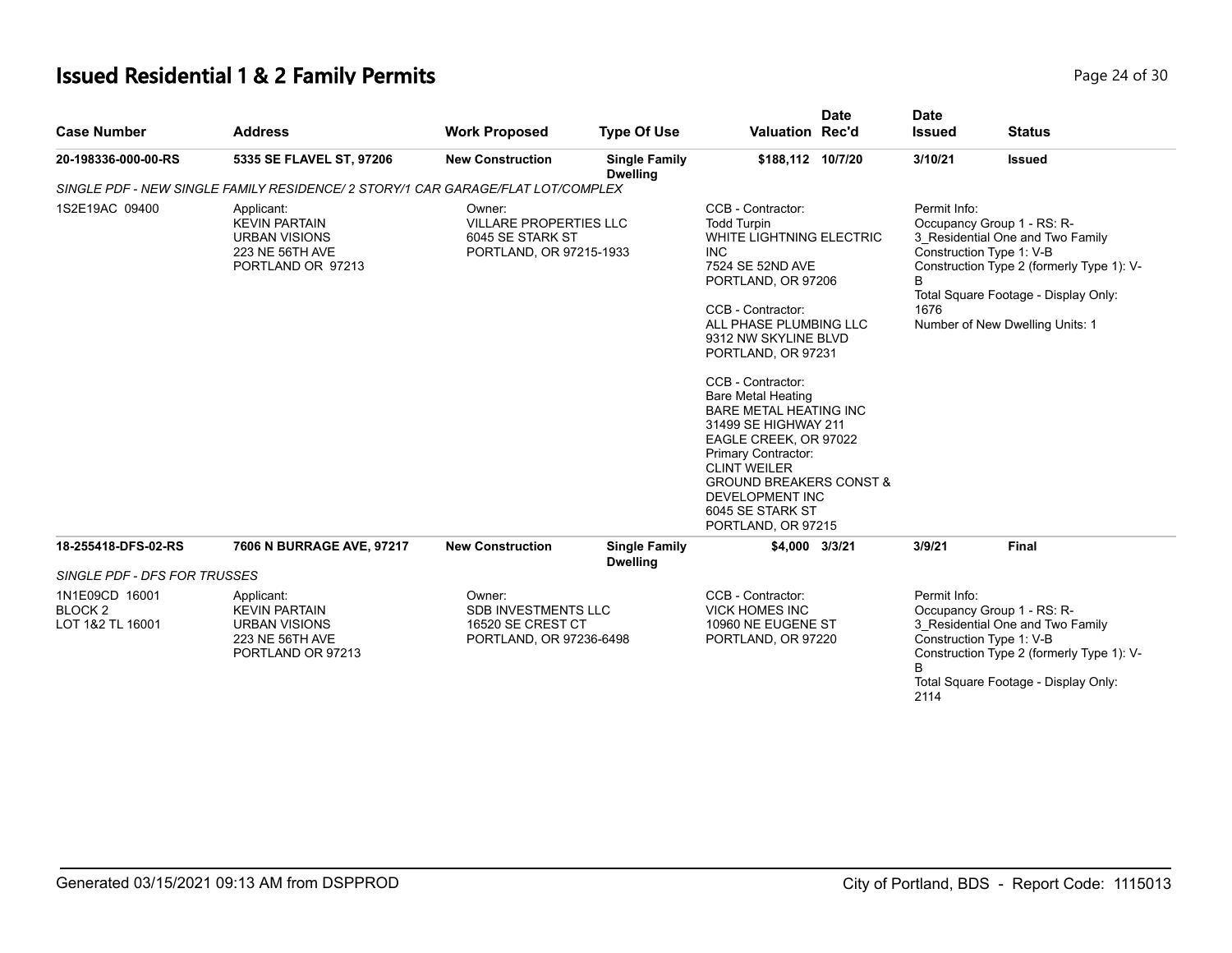## **Issued Residential 1 & 2 Family Permits Page 24 of 30 Page 24 of 30**

| <b>Case Number</b>                                       | <b>Address</b>                                                                                     | <b>Work Proposed</b>                                                                 | <b>Type Of Use</b>                      | <b>Date</b><br><b>Valuation Rec'd</b>                                                                                                                                                                                                                                                                                                                                                                                                                                                                         | <b>Date</b><br><b>Issued</b>                                                                                                                                                                                  | <b>Status</b>                                                                                                                                                                                                      |  |
|----------------------------------------------------------|----------------------------------------------------------------------------------------------------|--------------------------------------------------------------------------------------|-----------------------------------------|---------------------------------------------------------------------------------------------------------------------------------------------------------------------------------------------------------------------------------------------------------------------------------------------------------------------------------------------------------------------------------------------------------------------------------------------------------------------------------------------------------------|---------------------------------------------------------------------------------------------------------------------------------------------------------------------------------------------------------------|--------------------------------------------------------------------------------------------------------------------------------------------------------------------------------------------------------------------|--|
| 20-198336-000-00-RS                                      | 5335 SE FLAVEL ST, 97206                                                                           | <b>New Construction</b>                                                              | <b>Single Family</b><br><b>Dwelling</b> | \$188,112 10/7/20                                                                                                                                                                                                                                                                                                                                                                                                                                                                                             | 3/10/21                                                                                                                                                                                                       | <b>Issued</b>                                                                                                                                                                                                      |  |
|                                                          | SINGLE PDF - NEW SINGLE FAMILY RESIDENCE/ 2 STORY/1 CAR GARAGE/FLAT LOT/COMPLEX                    |                                                                                      |                                         |                                                                                                                                                                                                                                                                                                                                                                                                                                                                                                               |                                                                                                                                                                                                               |                                                                                                                                                                                                                    |  |
| 1S2E19AC 09400                                           | Applicant:<br><b>KEVIN PARTAIN</b><br><b>URBAN VISIONS</b><br>223 NE 56TH AVE<br>PORTLAND OR 97213 | Owner:<br>VILLARE PROPERTIES LLC<br>6045 SE STARK ST<br>PORTLAND, OR 97215-1933      |                                         | CCB - Contractor:<br><b>Todd Turpin</b><br>WHITE LIGHTNING ELECTRIC<br><b>INC</b><br>7524 SE 52ND AVE<br>PORTLAND, OR 97206<br>CCB - Contractor:<br>ALL PHASE PLUMBING LLC<br>9312 NW SKYLINE BLVD<br>PORTLAND, OR 97231<br>CCB - Contractor:<br><b>Bare Metal Heating</b><br><b>BARE METAL HEATING INC</b><br>31499 SE HIGHWAY 211<br>EAGLE CREEK, OR 97022<br>Primary Contractor:<br><b>CLINT WEILER</b><br><b>GROUND BREAKERS CONST &amp;</b><br>DEVELOPMENT INC<br>6045 SE STARK ST<br>PORTLAND, OR 97215 | Permit Info:<br>1676                                                                                                                                                                                          | Occupancy Group 1 - RS: R-<br>3_Residential One and Two Family<br>Construction Type 1: V-B<br>Construction Type 2 (formerly Type 1): V-<br>Total Square Footage - Display Only:<br>Number of New Dwelling Units: 1 |  |
| 18-255418-DFS-02-RS                                      | 7606 N BURRAGE AVE, 97217                                                                          | <b>New Construction</b>                                                              | <b>Single Family</b><br><b>Dwelling</b> | \$4,000 3/3/21                                                                                                                                                                                                                                                                                                                                                                                                                                                                                                | 3/9/21                                                                                                                                                                                                        | <b>Final</b>                                                                                                                                                                                                       |  |
| SINGLE PDF - DFS FOR TRUSSES                             |                                                                                                    |                                                                                      |                                         |                                                                                                                                                                                                                                                                                                                                                                                                                                                                                                               |                                                                                                                                                                                                               |                                                                                                                                                                                                                    |  |
| 1N1E09CD 16001<br>BLOCK <sub>2</sub><br>LOT 1&2 TL 16001 | Applicant:<br><b>KEVIN PARTAIN</b><br><b>URBAN VISIONS</b><br>223 NE 56TH AVE<br>PORTLAND OR 97213 | Owner:<br><b>SDB INVESTMENTS LLC</b><br>16520 SE CREST CT<br>PORTLAND, OR 97236-6498 |                                         | CCB - Contractor:<br><b>VICK HOMES INC</b><br>10960 NE EUGENE ST<br>PORTLAND, OR 97220                                                                                                                                                                                                                                                                                                                                                                                                                        | Permit Info:<br>Occupancy Group 1 - RS: R-<br>3_Residential One and Two Family<br>Construction Type 1: V-B<br>Construction Type 2 (formerly Type 1): V-<br>B.<br>Total Square Footage - Display Only:<br>2114 |                                                                                                                                                                                                                    |  |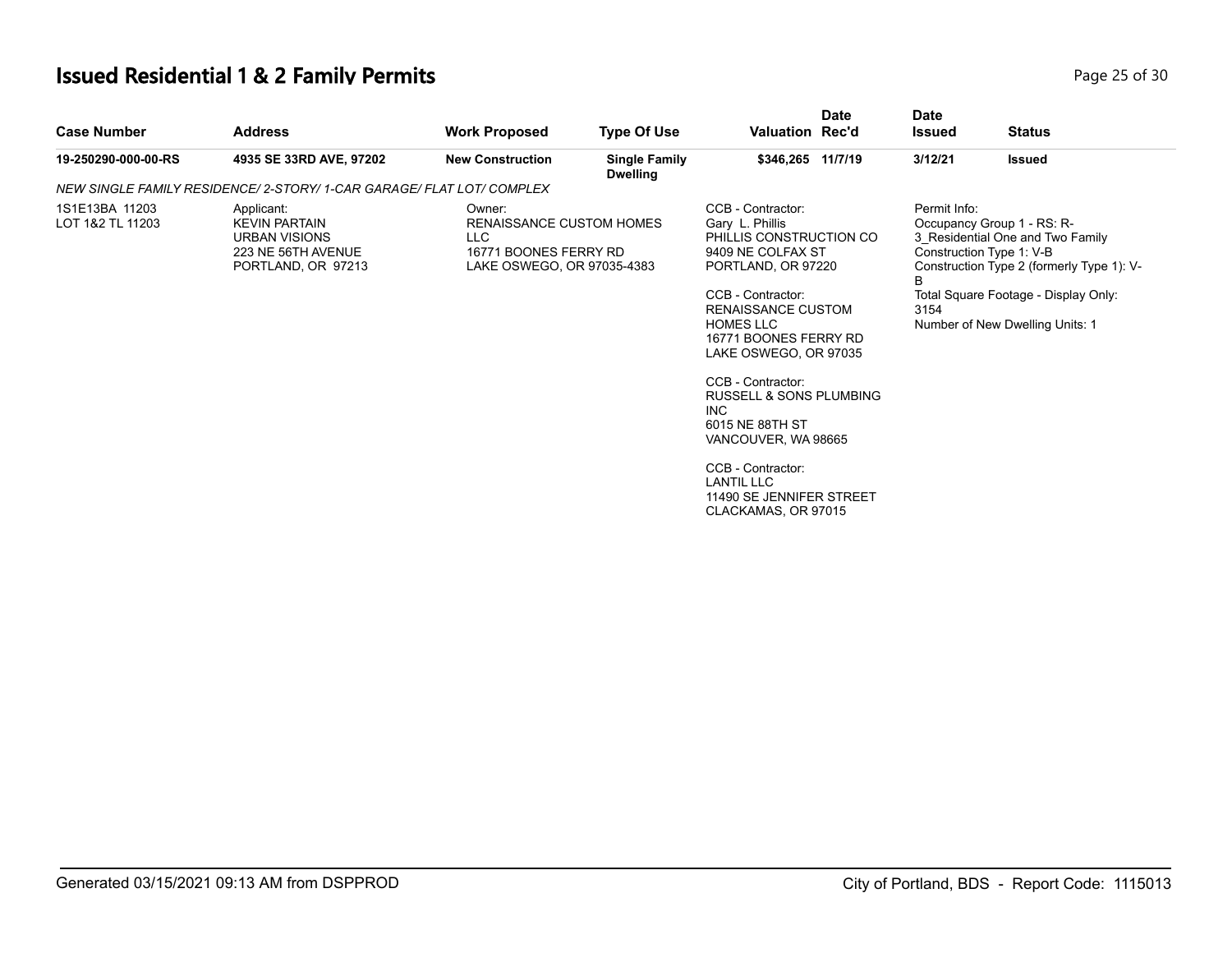## **Issued Residential 1 & 2 Family Permits**

| Page 25 of 30 |  |  |
|---------------|--|--|
|               |  |  |

| 3/12/21<br>19-250290-000-00-RS<br>4935 SE 33RD AVE, 97202<br><b>New Construction</b><br><b>Single Family</b><br>\$346,265 11/7/19<br><b>Dwelling</b><br>NEW SINGLE FAMILY RESIDENCE/ 2-STORY/ 1-CAR GARAGE/ FLAT LOT/ COMPLEX<br>CCB - Contractor:<br>Permit Info:<br>1S1E13BA 11203<br>Applicant:<br>Owner:<br>Gary L. Phillis<br>LOT 1&2 TL 11203<br><b>RENAISSANCE CUSTOM HOMES</b><br><b>KEVIN PARTAIN</b><br><b>LLC</b><br>PHILLIS CONSTRUCTION CO<br><b>URBAN VISIONS</b><br>223 NE 56TH AVENUE<br>16771 BOONES FERRY RD<br>9409 NE COLFAX ST<br>PORTLAND, OR 97213<br>LAKE OSWEGO, OR 97035-4383<br>PORTLAND, OR 97220<br>B<br>CCB - Contractor:<br><b>RENAISSANCE CUSTOM</b><br>3154<br><b>HOMES LLC</b><br>16771 BOONES FERRY RD<br>LAKE OSWEGO, OR 97035<br>CCB - Contractor:<br><b>RUSSELL &amp; SONS PLUMBING</b><br><b>INC</b><br>6015 NE 88TH ST<br>VANCOUVER, WA 98665 | <b>Case Number</b> | <b>Date</b><br><b>Issued</b> | <b>Date</b><br><b>Valuation Rec'd</b> | <b>Status</b>                                                                                                                                                                                                      |
|---------------------------------------------------------------------------------------------------------------------------------------------------------------------------------------------------------------------------------------------------------------------------------------------------------------------------------------------------------------------------------------------------------------------------------------------------------------------------------------------------------------------------------------------------------------------------------------------------------------------------------------------------------------------------------------------------------------------------------------------------------------------------------------------------------------------------------------------------------------------------------------|--------------------|------------------------------|---------------------------------------|--------------------------------------------------------------------------------------------------------------------------------------------------------------------------------------------------------------------|
|                                                                                                                                                                                                                                                                                                                                                                                                                                                                                                                                                                                                                                                                                                                                                                                                                                                                                       |                    |                              |                                       | <b>Issued</b>                                                                                                                                                                                                      |
|                                                                                                                                                                                                                                                                                                                                                                                                                                                                                                                                                                                                                                                                                                                                                                                                                                                                                       |                    |                              |                                       |                                                                                                                                                                                                                    |
| CCB - Contractor:<br><b>LANTIL LLC</b><br>11490 SE JENNIFER STREET<br>CLACKAMAS, OR 97015                                                                                                                                                                                                                                                                                                                                                                                                                                                                                                                                                                                                                                                                                                                                                                                             |                    |                              |                                       | Occupancy Group 1 - RS: R-<br>3 Residential One and Two Family<br>Construction Type 1: V-B<br>Construction Type 2 (formerly Type 1): V-<br>Total Square Footage - Display Only:<br>Number of New Dwelling Units: 1 |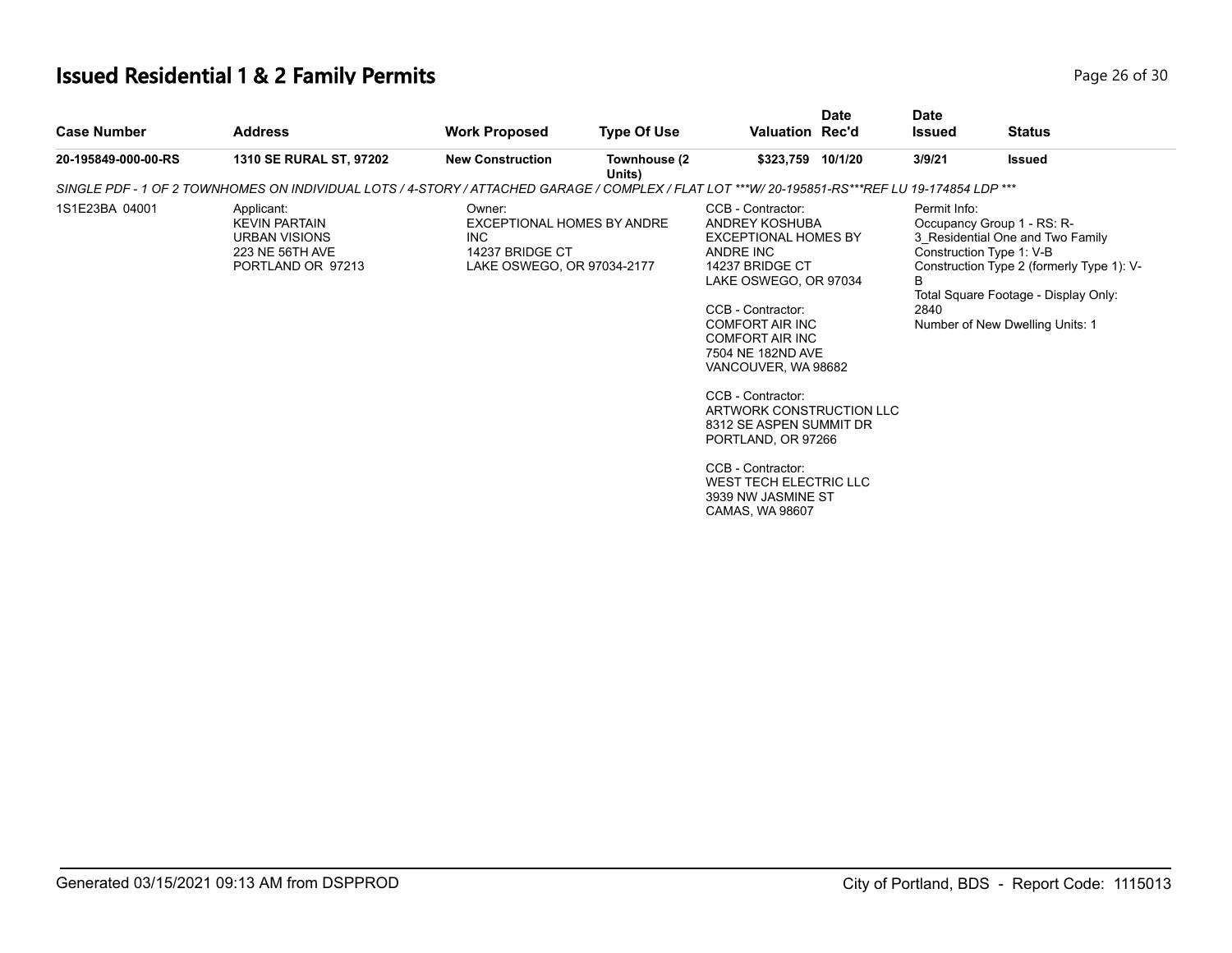## **Issued Residential 1 & 2 Family Permits Page 26 of 30 Page 26 of 30**

| <b>Case Number</b>  | <b>Address</b>                                                                                                                                  | <b>Work Proposed</b>                                                                                | <b>Type Of Use</b>     | <b>Valuation Rec'd</b>                                                                                                                                                                                                                                                                                                                                                                                                                     | <b>Date</b> | <b>Date</b><br><b>Issued</b> | <b>Status</b>                                                                                                                                                                                                      |  |
|---------------------|-------------------------------------------------------------------------------------------------------------------------------------------------|-----------------------------------------------------------------------------------------------------|------------------------|--------------------------------------------------------------------------------------------------------------------------------------------------------------------------------------------------------------------------------------------------------------------------------------------------------------------------------------------------------------------------------------------------------------------------------------------|-------------|------------------------------|--------------------------------------------------------------------------------------------------------------------------------------------------------------------------------------------------------------------|--|
| 20-195849-000-00-RS | <b>1310 SE RURAL ST, 97202</b>                                                                                                                  | <b>New Construction</b>                                                                             | Townhouse (2<br>Units) | \$323,759 10/1/20                                                                                                                                                                                                                                                                                                                                                                                                                          |             | 3/9/21                       | <b>Issued</b>                                                                                                                                                                                                      |  |
|                     | SINGLE PDF - 1 OF 2 TOWNHOMES ON INDIVIDUAL LOTS / 4-STORY / ATTACHED GARAGE / COMPLEX / FLAT LOT ***W/ 20-195851-RS***REF LU 19-174854 LDP *** |                                                                                                     |                        |                                                                                                                                                                                                                                                                                                                                                                                                                                            |             |                              |                                                                                                                                                                                                                    |  |
| 1S1E23BA 04001      | Applicant:<br><b>KEVIN PARTAIN</b><br>URBAN VISIONS<br>223 NE 56TH AVE<br>PORTLAND OR 97213                                                     | Owner:<br>EXCEPTIONAL HOMES BY ANDRE<br><b>INC</b><br>14237 BRIDGE CT<br>LAKE OSWEGO, OR 97034-2177 |                        | CCB - Contractor:<br>ANDREY KOSHUBA<br><b>EXCEPTIONAL HOMES BY</b><br>ANDRE INC<br>14237 BRIDGE CT<br>LAKE OSWEGO, OR 97034<br>CCB - Contractor:<br><b>COMFORT AIR INC</b><br><b>COMFORT AIR INC</b><br>7504 NE 182ND AVE<br>VANCOUVER, WA 98682<br>CCB - Contractor:<br>ARTWORK CONSTRUCTION LLC<br>8312 SE ASPEN SUMMIT DR<br>PORTLAND, OR 97266<br>CCB - Contractor:<br>WEST TECH ELECTRIC LLC<br>3939 NW JASMINE ST<br>CAMAS, WA 98607 |             | Permit Info:<br>B<br>2840    | Occupancy Group 1 - RS: R-<br>3 Residential One and Two Family<br>Construction Type 1: V-B<br>Construction Type 2 (formerly Type 1): V-<br>Total Square Footage - Display Only:<br>Number of New Dwelling Units: 1 |  |
|                     |                                                                                                                                                 |                                                                                                     |                        |                                                                                                                                                                                                                                                                                                                                                                                                                                            |             |                              |                                                                                                                                                                                                                    |  |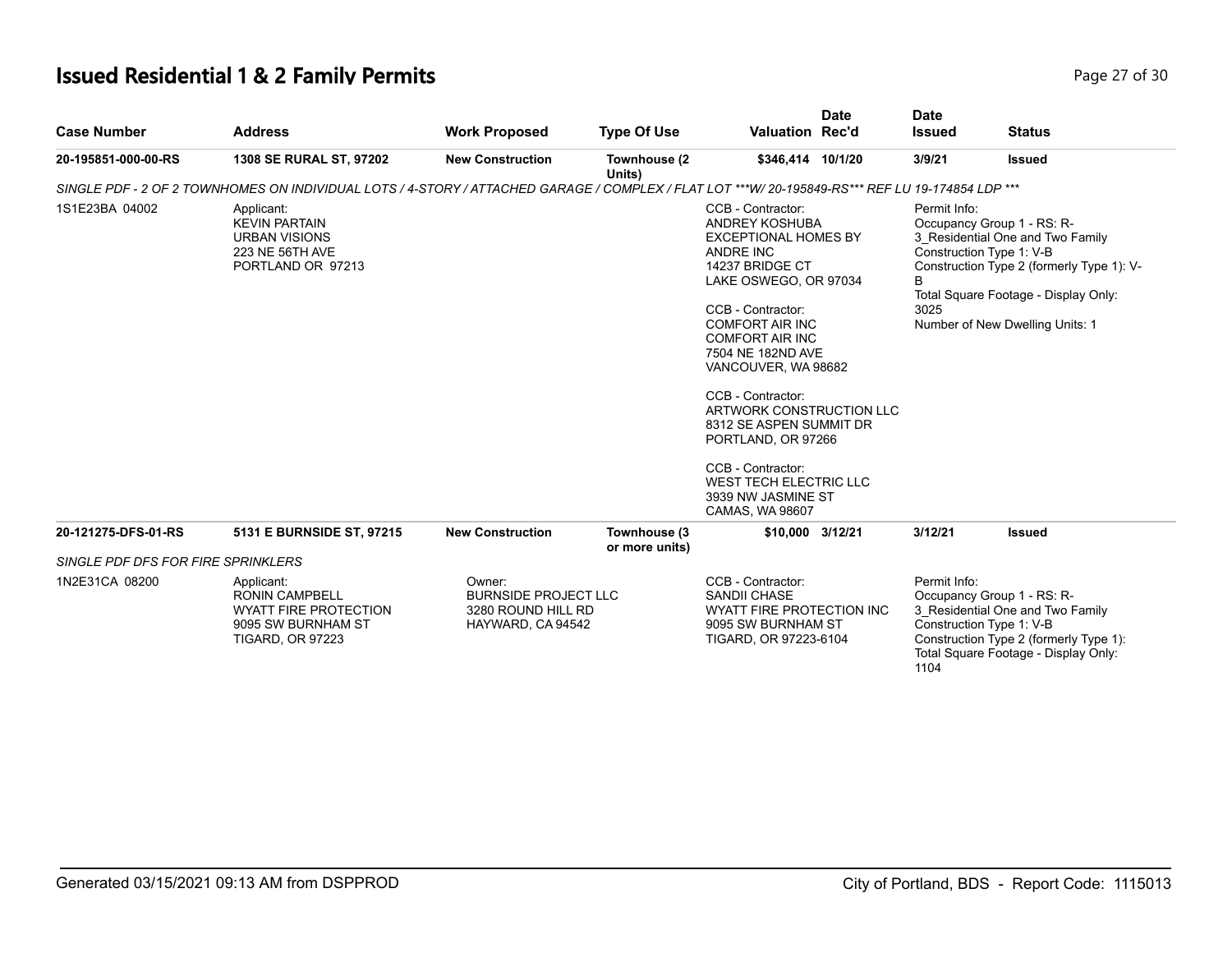## **Issued Residential 1 & 2 Family Permits Page 27 of 30 Page 27 of 30**

| <b>Case Number</b>                 | <b>Address</b>                                                                                                                                   | <b>Work Proposed</b>                                                             | <b>Type Of Use</b>             | <b>Valuation Rec'd</b>                                                                                                                                                                                                                                                                                                                                                                                                                                          | <b>Date</b> | <b>Date</b><br><b>Issued</b>                                                                                                                                                                         | <b>Status</b>                                                                                                                                                                                                      |
|------------------------------------|--------------------------------------------------------------------------------------------------------------------------------------------------|----------------------------------------------------------------------------------|--------------------------------|-----------------------------------------------------------------------------------------------------------------------------------------------------------------------------------------------------------------------------------------------------------------------------------------------------------------------------------------------------------------------------------------------------------------------------------------------------------------|-------------|------------------------------------------------------------------------------------------------------------------------------------------------------------------------------------------------------|--------------------------------------------------------------------------------------------------------------------------------------------------------------------------------------------------------------------|
| 20-195851-000-00-RS                | 1308 SE RURAL ST, 97202                                                                                                                          | <b>New Construction</b>                                                          | Townhouse (2<br>Units)         | \$346,414 10/1/20                                                                                                                                                                                                                                                                                                                                                                                                                                               |             | 3/9/21                                                                                                                                                                                               | <b>Issued</b>                                                                                                                                                                                                      |
|                                    | SINGLE PDF - 2 OF 2 TOWNHOMES ON INDIVIDUAL LOTS / 4-STORY / ATTACHED GARAGE / COMPLEX / FLAT LOT ***W/ 20-195849-RS*** REF LU 19-174854 LDP *** |                                                                                  |                                |                                                                                                                                                                                                                                                                                                                                                                                                                                                                 |             |                                                                                                                                                                                                      |                                                                                                                                                                                                                    |
| 1S1E23BA 04002                     | Applicant:<br><b>KEVIN PARTAIN</b><br><b>URBAN VISIONS</b><br>223 NE 56TH AVE<br>PORTLAND OR 97213                                               |                                                                                  |                                | CCB - Contractor:<br><b>ANDREY KOSHUBA</b><br><b>EXCEPTIONAL HOMES BY</b><br>ANDRE INC<br>14237 BRIDGE CT<br>LAKE OSWEGO, OR 97034<br>CCB - Contractor:<br><b>COMFORT AIR INC</b><br><b>COMFORT AIR INC</b><br>7504 NE 182ND AVE<br>VANCOUVER, WA 98682<br>CCB - Contractor:<br>ARTWORK CONSTRUCTION LLC<br>8312 SE ASPEN SUMMIT DR<br>PORTLAND, OR 97266<br>CCB - Contractor:<br><b>WEST TECH ELECTRIC LLC</b><br>3939 NW JASMINE ST<br><b>CAMAS, WA 98607</b> |             | Permit Info:<br>B<br>3025                                                                                                                                                                            | Occupancy Group 1 - RS: R-<br>3 Residential One and Two Family<br>Construction Type 1: V-B<br>Construction Type 2 (formerly Type 1): V-<br>Total Square Footage - Display Only:<br>Number of New Dwelling Units: 1 |
| 20-121275-DFS-01-RS                | 5131 E BURNSIDE ST, 97215                                                                                                                        | <b>New Construction</b>                                                          | Townhouse (3<br>or more units) | \$10,000 3/12/21                                                                                                                                                                                                                                                                                                                                                                                                                                                |             | 3/12/21                                                                                                                                                                                              | <b>Issued</b>                                                                                                                                                                                                      |
| SINGLE PDF DFS FOR FIRE SPRINKLERS |                                                                                                                                                  |                                                                                  |                                |                                                                                                                                                                                                                                                                                                                                                                                                                                                                 |             |                                                                                                                                                                                                      |                                                                                                                                                                                                                    |
| 1N2E31CA 08200                     | Applicant:<br><b>RONIN CAMPBELL</b><br><b>WYATT FIRE PROTECTION</b><br>9095 SW BURNHAM ST<br><b>TIGARD, OR 97223</b>                             | Owner:<br><b>BURNSIDE PROJECT LLC</b><br>3280 ROUND HILL RD<br>HAYWARD, CA 94542 |                                | CCB - Contractor:<br>SANDII CHASE<br>WYATT FIRE PROTECTION INC<br>9095 SW BURNHAM ST<br>TIGARD, OR 97223-6104                                                                                                                                                                                                                                                                                                                                                   |             | Permit Info:<br>Occupancy Group 1 - RS: R-<br>3_Residential One and Two Family<br>Construction Type 1: V-B<br>Construction Type 2 (formerly Type 1):<br>Total Square Footage - Display Only:<br>1104 |                                                                                                                                                                                                                    |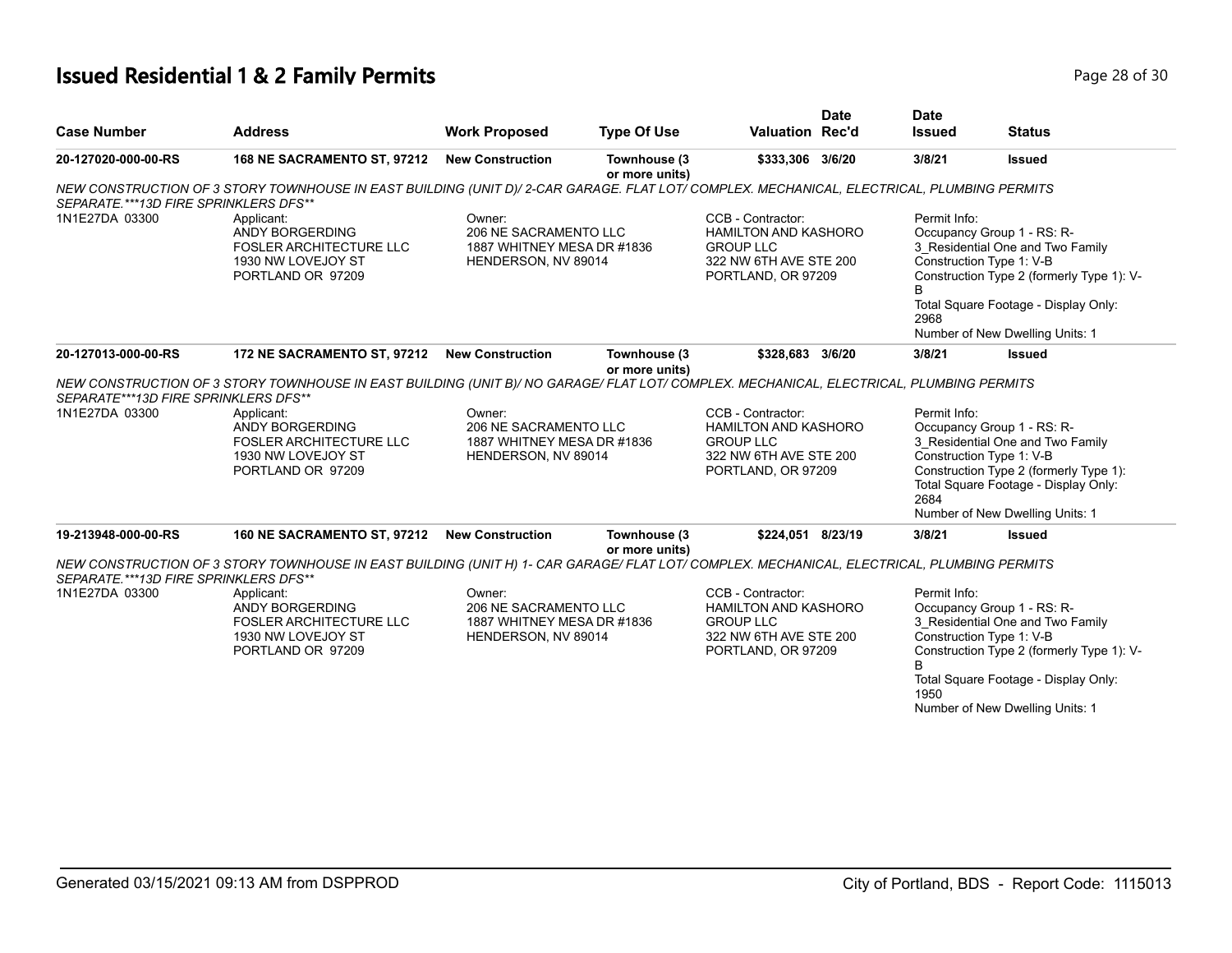#### **Issued Residential 1 & 2 Family Permits Page 28 of 30 Page 28 of 30**

| <b>Case Number</b>                     | <b>Address</b>                                                                                                                             | <b>Work Proposed</b>                                                                 | <b>Type Of Use</b>             | <b>Valuation Rec'd</b>                                                                                               | <b>Date</b> | <b>Date</b><br><b>Issued</b>                                                                                                                                                                                                            | <b>Status</b>                                                                                                                                                                                                      |  |
|----------------------------------------|--------------------------------------------------------------------------------------------------------------------------------------------|--------------------------------------------------------------------------------------|--------------------------------|----------------------------------------------------------------------------------------------------------------------|-------------|-----------------------------------------------------------------------------------------------------------------------------------------------------------------------------------------------------------------------------------------|--------------------------------------------------------------------------------------------------------------------------------------------------------------------------------------------------------------------|--|
| 20-127020-000-00-RS                    | 168 NE SACRAMENTO ST, 97212                                                                                                                | <b>New Construction</b>                                                              | Townhouse (3<br>or more units) | \$333,306 3/6/20                                                                                                     |             | 3/8/21                                                                                                                                                                                                                                  | <b>Issued</b>                                                                                                                                                                                                      |  |
| SEPARATE.***13D FIRE SPRINKLERS DFS**  | NEW CONSTRUCTION OF 3 STORY TOWNHOUSE IN EAST BUILDING (UNIT D)/2-CAR GARAGE. FLAT LOT/ COMPLEX. MECHANICAL, ELECTRICAL, PLUMBING PERMITS  |                                                                                      |                                |                                                                                                                      |             |                                                                                                                                                                                                                                         |                                                                                                                                                                                                                    |  |
| 1N1E27DA 03300                         | Applicant:<br>ANDY BORGERDING<br><b>FOSLER ARCHITECTURE LLC</b><br>1930 NW LOVEJOY ST<br>PORTLAND OR 97209                                 | Owner:<br>206 NE SACRAMENTO LLC<br>1887 WHITNEY MESA DR #1836<br>HENDERSON, NV 89014 |                                | CCB - Contractor:<br>HAMILTON AND KASHORO<br><b>GROUP LLC</b><br>322 NW 6TH AVE STE 200<br>PORTLAND, OR 97209        |             | Permit Info:<br>в<br>2968                                                                                                                                                                                                               | Occupancy Group 1 - RS: R-<br>3 Residential One and Two Family<br>Construction Type 1: V-B<br>Construction Type 2 (formerly Type 1): V-<br>Total Square Footage - Display Only:<br>Number of New Dwelling Units: 1 |  |
| 20-127013-000-00-RS                    | 172 NE SACRAMENTO ST, 97212                                                                                                                | <b>New Construction</b>                                                              | Townhouse (3<br>or more units) | \$328.683 3/6/20                                                                                                     |             | 3/8/21                                                                                                                                                                                                                                  | <b>Issued</b>                                                                                                                                                                                                      |  |
| SEPARATE***13D FIRE SPRINKLERS DFS**   | NEW CONSTRUCTION OF 3 STORY TOWNHOUSE IN EAST BUILDING (UNIT B)/ NO GARAGE/ FLAT LOT/ COMPLEX. MECHANICAL, ELECTRICAL, PLUMBING PERMITS    |                                                                                      |                                |                                                                                                                      |             |                                                                                                                                                                                                                                         |                                                                                                                                                                                                                    |  |
| 1N1E27DA 03300                         | Applicant:<br>ANDY BORGERDING<br><b>FOSLER ARCHITECTURE LLC</b><br>1930 NW LOVEJOY ST<br>PORTLAND OR 97209                                 | Owner:<br>206 NE SACRAMENTO LLC<br>1887 WHITNEY MESA DR #1836<br>HENDERSON, NV 89014 |                                | CCB - Contractor:<br><b>HAMILTON AND KASHORO</b><br><b>GROUP LLC</b><br>322 NW 6TH AVE STE 200<br>PORTLAND, OR 97209 |             | Permit Info:<br>Occupancy Group 1 - RS: R-<br>3 Residential One and Two Family<br>Construction Type 1: V-B<br>Construction Type 2 (formerly Type 1):<br>Total Square Footage - Display Only:<br>2684<br>Number of New Dwelling Units: 1 |                                                                                                                                                                                                                    |  |
| 19-213948-000-00-RS                    | 160 NE SACRAMENTO ST, 97212                                                                                                                | <b>New Construction</b>                                                              | Townhouse (3<br>or more units) | \$224.051 8/23/19                                                                                                    |             | 3/8/21                                                                                                                                                                                                                                  | <b>Issued</b>                                                                                                                                                                                                      |  |
| SEPARATE. ***13D FIRE SPRINKLERS DFS** | NEW CONSTRUCTION OF 3 STORY TOWNHOUSE IN EAST BUILDING (UNIT H) 1- CAR GARAGE/ FLAT LOT/ COMPLEX. MECHANICAL, ELECTRICAL, PLUMBING PERMITS |                                                                                      |                                |                                                                                                                      |             |                                                                                                                                                                                                                                         |                                                                                                                                                                                                                    |  |
| 1N1E27DA 03300                         | Applicant:<br>ANDY BORGERDING<br><b>FOSLER ARCHITECTURE LLC</b><br>1930 NW LOVEJOY ST<br>PORTLAND OR 97209                                 | Owner:<br>206 NE SACRAMENTO LLC<br>1887 WHITNEY MESA DR #1836<br>HENDERSON, NV 89014 |                                | CCB - Contractor:<br><b>HAMILTON AND KASHORO</b><br><b>GROUP LLC</b><br>322 NW 6TH AVE STE 200<br>PORTLAND, OR 97209 |             | Permit Info:<br>B<br>1950                                                                                                                                                                                                               | Occupancy Group 1 - RS: R-<br>3 Residential One and Two Family<br>Construction Type 1: V-B<br>Construction Type 2 (formerly Type 1): V-<br>Total Square Footage - Display Only:<br>Number of New Dwelling Units: 1 |  |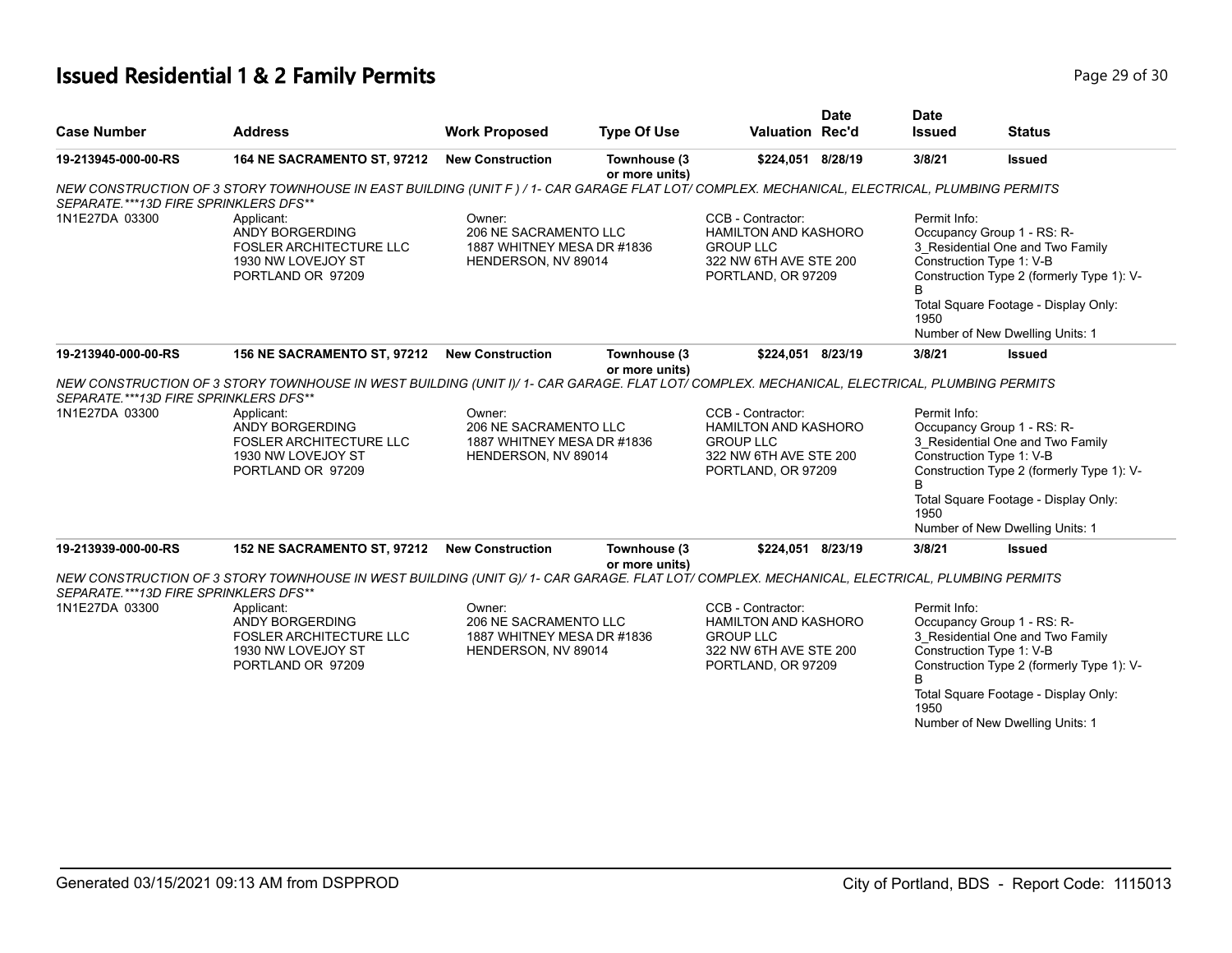#### **Issued Residential 1 & 2 Family Permits Page 29 of 30 Page 29 of 30**

| <b>Case Number</b>                     | <b>Address</b>                                                                                                                              | <b>Work Proposed</b>                                                                 | <b>Type Of Use</b>             | <b>Valuation Rec'd</b>                                                                                               | <b>Date</b> | <b>Date</b><br><b>Issued</b> | <b>Status</b>                                                                                                                                                                                                      |
|----------------------------------------|---------------------------------------------------------------------------------------------------------------------------------------------|--------------------------------------------------------------------------------------|--------------------------------|----------------------------------------------------------------------------------------------------------------------|-------------|------------------------------|--------------------------------------------------------------------------------------------------------------------------------------------------------------------------------------------------------------------|
|                                        |                                                                                                                                             |                                                                                      |                                |                                                                                                                      |             |                              |                                                                                                                                                                                                                    |
| 19-213945-000-00-RS                    | 164 NE SACRAMENTO ST, 97212                                                                                                                 | <b>New Construction</b>                                                              | Townhouse (3<br>or more units) | \$224,051 8/28/19                                                                                                    |             | 3/8/21                       | <b>Issued</b>                                                                                                                                                                                                      |
| SEPARATE. ***13D FIRE SPRINKLERS DFS** | NEW CONSTRUCTION OF 3 STORY TOWNHOUSE IN EAST BUILDING (UNIT F) / 1- CAR GARAGE FLAT LOT/ COMPLEX. MECHANICAL, ELECTRICAL, PLUMBING PERMITS |                                                                                      |                                |                                                                                                                      |             |                              |                                                                                                                                                                                                                    |
| 1N1E27DA 03300                         | Applicant:<br>ANDY BORGERDING<br><b>FOSLER ARCHITECTURE LLC</b><br>1930 NW LOVEJOY ST<br>PORTLAND OR 97209                                  | Owner:<br>206 NE SACRAMENTO LLC<br>1887 WHITNEY MESA DR #1836<br>HENDERSON, NV 89014 |                                | CCB - Contractor:<br><b>HAMILTON AND KASHORO</b><br><b>GROUP LLC</b><br>322 NW 6TH AVE STE 200<br>PORTLAND, OR 97209 |             | Permit Info:<br>B<br>1950    | Occupancy Group 1 - RS: R-<br>3 Residential One and Two Family<br>Construction Type 1: V-B<br>Construction Type 2 (formerly Type 1): V-<br>Total Square Footage - Display Only:<br>Number of New Dwelling Units: 1 |
| 19-213940-000-00-RS                    | 156 NE SACRAMENTO ST, 97212                                                                                                                 | <b>New Construction</b>                                                              | Townhouse (3                   | \$224,051 8/23/19                                                                                                    |             | 3/8/21                       | <b>Issued</b>                                                                                                                                                                                                      |
| SEPARATE.***13D FIRE SPRINKLERS DFS**  | NEW CONSTRUCTION OF 3 STORY TOWNHOUSE IN WEST BUILDING (UNIT I)/ 1- CAR GARAGE. FLAT LOT/ COMPLEX. MECHANICAL, ELECTRICAL, PLUMBING PERMITS |                                                                                      | or more units)                 |                                                                                                                      |             |                              |                                                                                                                                                                                                                    |
| 1N1E27DA 03300                         | Applicant:<br>ANDY BORGERDING<br><b>FOSLER ARCHITECTURE LLC</b><br>1930 NW LOVEJOY ST<br>PORTLAND OR 97209                                  | Owner:<br>206 NE SACRAMENTO LLC<br>1887 WHITNEY MESA DR #1836<br>HENDERSON, NV 89014 |                                | CCB - Contractor:<br><b>HAMILTON AND KASHORO</b><br><b>GROUP LLC</b><br>322 NW 6TH AVE STE 200<br>PORTLAND, OR 97209 |             | Permit Info:<br>R<br>1950    | Occupancy Group 1 - RS: R-<br>3 Residential One and Two Family<br>Construction Type 1: V-B<br>Construction Type 2 (formerly Type 1): V-<br>Total Square Footage - Display Only:<br>Number of New Dwelling Units: 1 |
| 19-213939-000-00-RS                    | 152 NE SACRAMENTO ST, 97212                                                                                                                 | <b>New Construction</b>                                                              | Townhouse (3<br>or more units) | \$224,051 8/23/19                                                                                                    |             | 3/8/21                       | <b>Issued</b>                                                                                                                                                                                                      |
| SEPARATE.***13D FIRE SPRINKLERS DFS**  | NEW CONSTRUCTION OF 3 STORY TOWNHOUSE IN WEST BUILDING (UNIT G)/ 1- CAR GARAGE. FLAT LOT/ COMPLEX. MECHANICAL, ELECTRICAL, PLUMBING PERMITS |                                                                                      |                                |                                                                                                                      |             |                              |                                                                                                                                                                                                                    |
| 1N1E27DA 03300                         | Applicant:<br>ANDY BORGERDING<br><b>FOSLER ARCHITECTURE LLC</b><br>1930 NW LOVEJOY ST<br>PORTLAND OR 97209                                  | Owner:<br>206 NE SACRAMENTO LLC<br>1887 WHITNEY MESA DR #1836<br>HENDERSON, NV 89014 |                                | CCB - Contractor:<br><b>HAMILTON AND KASHORO</b><br><b>GROUP LLC</b><br>322 NW 6TH AVE STE 200<br>PORTLAND, OR 97209 |             | Permit Info:<br>B<br>1950    | Occupancy Group 1 - RS: R-<br>3 Residential One and Two Family<br>Construction Type 1: V-B<br>Construction Type 2 (formerly Type 1): V-<br>Total Square Footage - Display Only:<br>Number of New Dwelling Units: 1 |